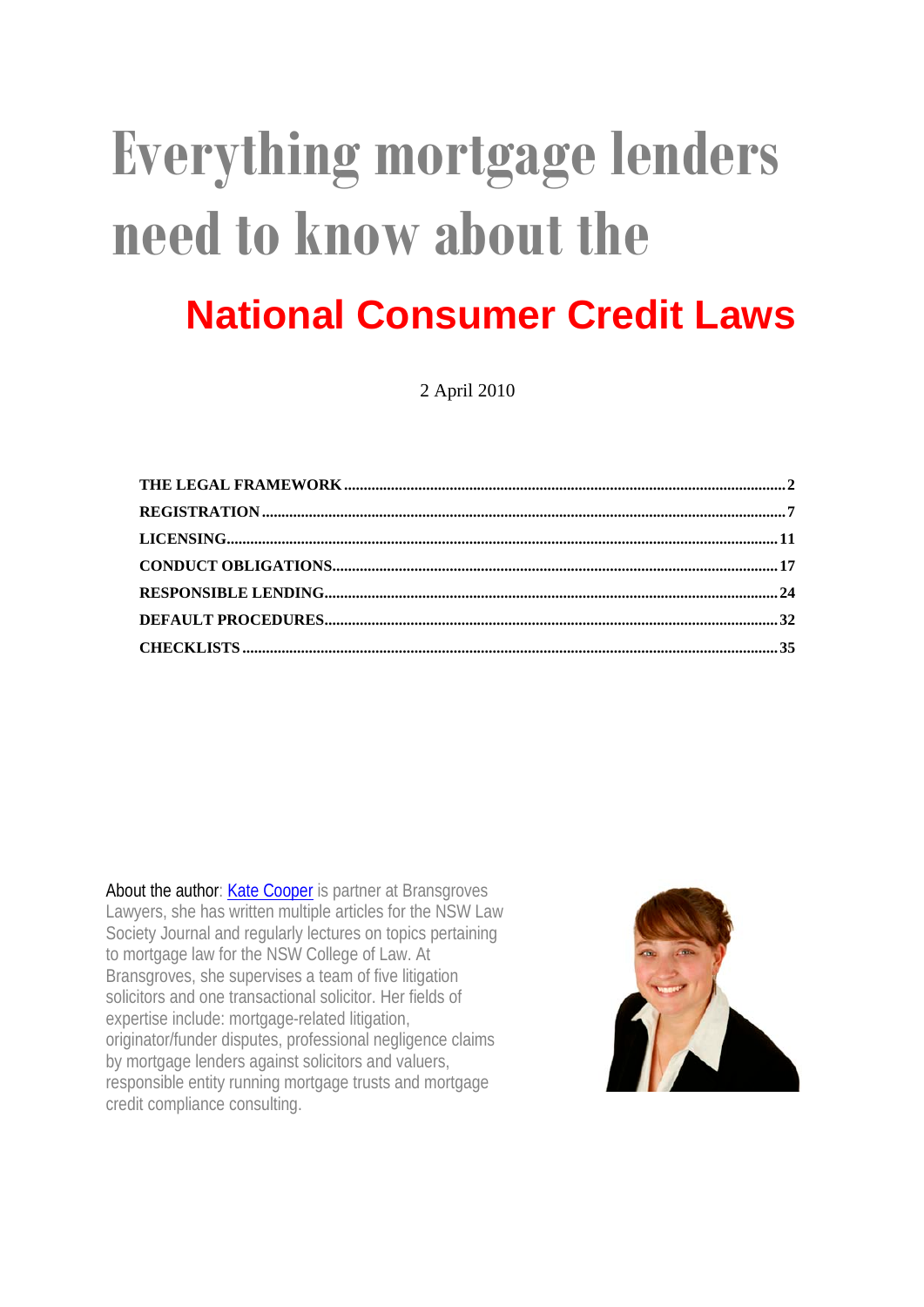# **Everything mortgage lenders need to know about the National Consumer Credit Laws**

2 April 2010

About the author: [Kate Cooper](http://www.bransgroves.com.au/people/kate-cooper-partner.html) is partner at Bransgroves Lawyers, she has written multiple articles for the NSW Law Society Journal and regularly lectures on topics pertaining to mortgage law for the NSW College of Law. At Bransgroves, she supervises a team of five litigation solicitors and one transactional solicitor. Her fields of expertise include: mortgage-related litigation, originator/funder disputes, professional negligence claims by mortgage lenders against solicitors and valuers, responsible entity running mortgage trusts and mortgage credit compliance consulting.

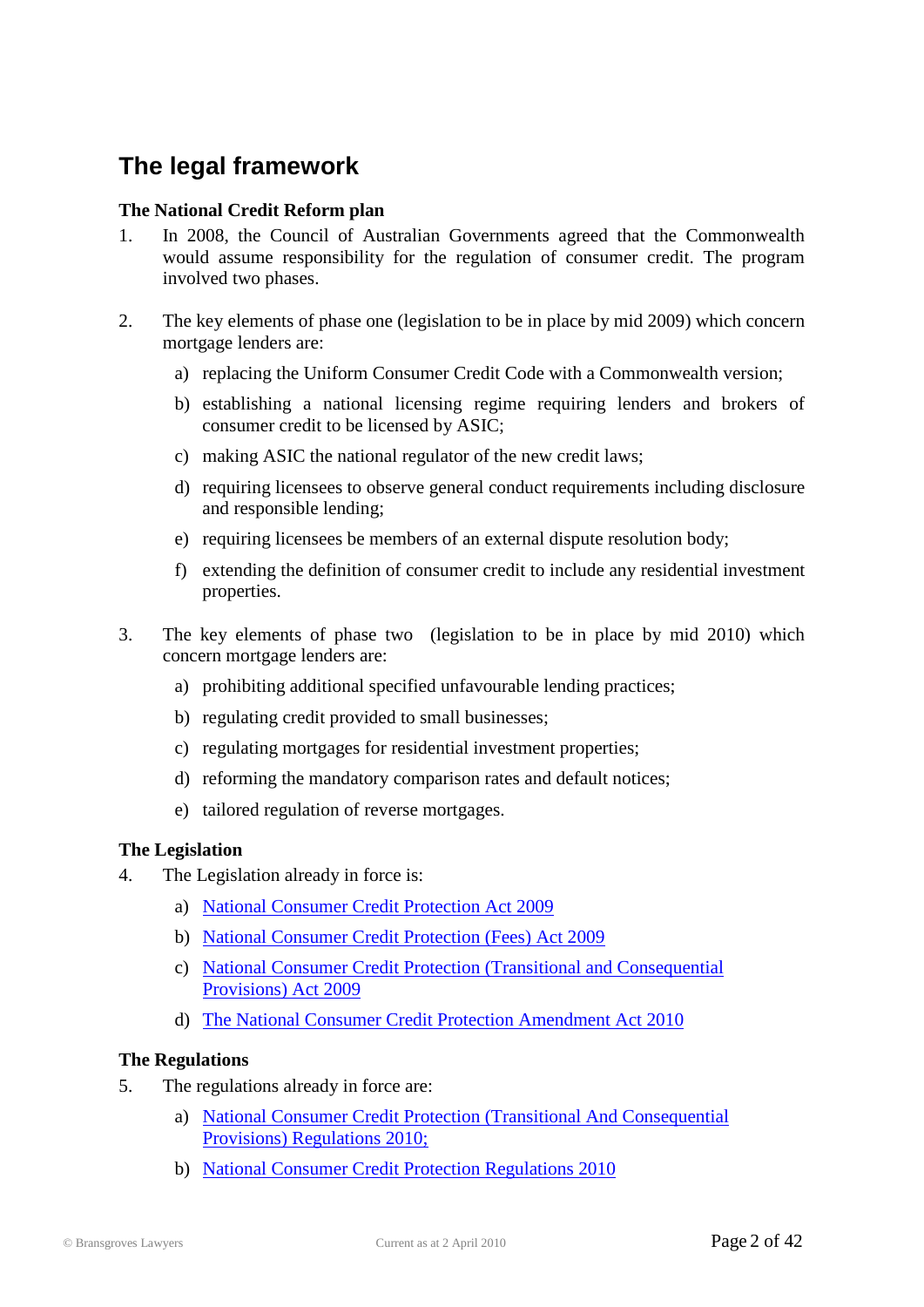### <span id="page-1-0"></span>**The legal framework**

#### **The National Credit Reform plan**

- 1. In 2008, the Council of Australian Governments agreed that the Commonwealth would assume responsibility for the regulation of consumer credit. The program involved two phases.
- 2. The key elements of phase one (legislation to be in place by mid 2009) which concern mortgage lenders are:
	- a) replacing the Uniform Consumer Credit Code with a Commonwealth version;
	- b) establishing a national licensing regime requiring lenders and brokers of consumer credit to be licensed by ASIC;
	- c) making ASIC the national regulator of the new credit laws;
	- d) requiring licensees to observe general conduct requirements including disclosure and responsible lending;
	- e) requiring licensees be members of an external dispute resolution body;
	- f) extending the definition of consumer credit to include any residential investment properties.
- 3. The key elements of phase two (legislation to be in place by mid 2010) which concern mortgage lenders are:
	- a) prohibiting additional specified unfavourable lending practices;
	- b) regulating credit provided to small businesses;
	- c) regulating mortgages for residential investment properties;
	- d) reforming the mandatory comparison rates and default notices;
	- e) tailored regulation of reverse mortgages.

#### **The Legislation**

- 4. The Legislation already in force is:
	- a) [National Consumer Credit Protection Act 2009](http://www.austlii.edu.au/au/legis/cth/num_act/nccpa2009377/)
	- b) [National Consumer Credit Protection \(Fees\) Act 2009](http://www.austlii.edu.au/au/legis/cth/num_act/nccpa2009408/)
	- c) [National Consumer Credit Protection \(Transitional and Consequential](http://www.austlii.edu.au/au/legis/cth/num_act/nccpacpa2009821/)  [Provisions\) Act 2009](http://www.austlii.edu.au/au/legis/cth/num_act/nccpacpa2009821/)
	- d) [The National Consumer Credit Protection Amendment Act](http://www.austlii.edu.au/au/legis/cth/num_act/nccpaa2010457/) 2010

#### **The Regulations**

- 5. The regulations already in force are:
	- a) [National Consumer Credit Protection \(Transitional And Consequential](http://www.austlii.edu.au/au/legis/cth/num_reg/nccpacpr2010n45o20101013/)  [Provisions\) Regulations 2010;](http://www.austlii.edu.au/au/legis/cth/num_reg/nccpacpr2010n45o20101013/)
	- b) [National Consumer Credit Protection Regulations 2010](http://www.austlii.edu.au/au/legis/cth/num_reg/nccpr2010n44o2010569/)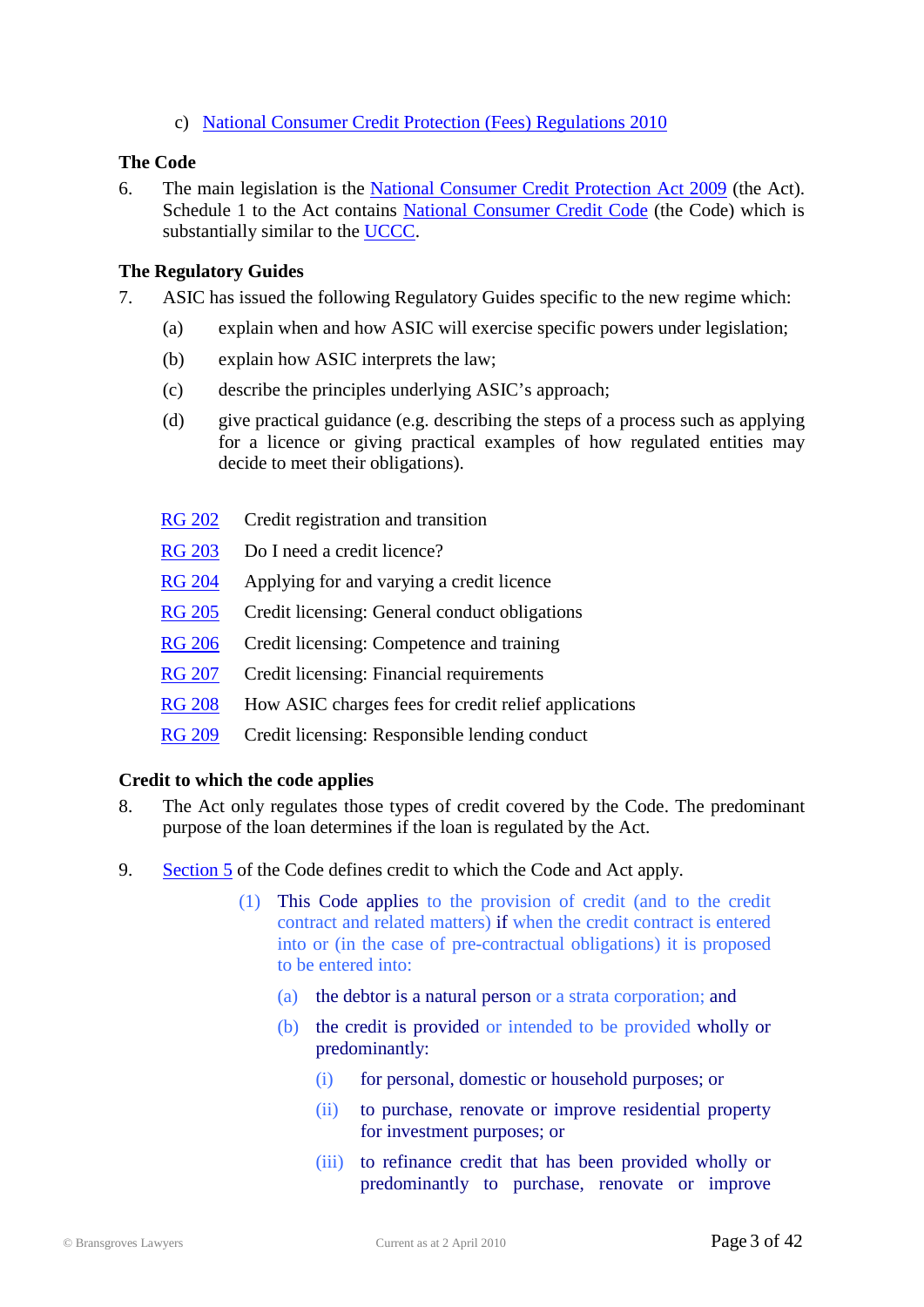c) [National Consumer Credit Protection \(Fees\) Regulations 2010](http://www.austlii.edu.au/au/legis/cth/num_reg/nccpr2010n43o2010600/)

#### **The Code**

6. The main legislation is the [National Consumer Credit Protection Act](http://www.austlii.edu.au/au/legis/cth/num_act/nccpa2009377/) 2009 (the Act). Schedule 1 to the Act contains [National Consumer Credit Code](http://www.austlii.edu.au/au/legis/cth/num_act/nccpa2009377/sch1.html) (the Code) which is substantially similar to the [UCCC.](http://www.austlii.edu.au/au/legis/qld/consol_reg/ccc176/index.html)

#### **The Regulatory Guides**

- 7. ASIC has issued the following Regulatory Guides specific to the new regime which:
	- (a) explain when and how ASIC will exercise specific powers under legislation;
	- (b) explain how ASIC interprets the law;
	- (c) describe the principles underlying ASIC's approach;
	- (d) give practical guidance (e.g. describing the steps of a process such as applying for a licence or giving practical examples of how regulated entities may decide to meet their obligations).
	- [RG 202](http://www.asic.gov.au/asic/pdflib.nsf/LookupByFileName/rg202.pdf/$file/rg202.pdf) Credit registration and transition
	- [RG 203](http://www.asic.gov.au/asic/pdflib.nsf/LookupByFileName/rg203.pdf/$file/rg203.pdf) Do I need a credit licence?
	- [RG 204](http://www.asic.gov.au/asic/pdflib.nsf/LookupByFileName/rg204.pdf/$file/rg204.pdf) Applying for and varying a credit licence
	- [RG 205](http://www.asic.gov.au/asic/pdflib.nsf/LookupByFileName/rg205.pdf/$file/rg205.pdf) Credit licensing: General conduct obligations
	- [RG 206](http://www.asic.gov.au/asic/pdflib.nsf/LookupByFileName/rg206.pdf/$file/rg206.pdf) Credit licensing: Competence and training
	- [RG 207](http://www.asic.gov.au/asic/pdflib.nsf/LookupByFileName/rg207.pdf/$file/rg207.pdf) Credit licensing: Financial requirements
	- [RG 208](http://www.asic.gov.au/asic/pdflib.nsf/LookupByFileName/rg208.pdf/$file/rg208.pdf) How ASIC charges fees for credit relief applications
	- [RG 209](http://www.asic.gov.au/asic/pdflib.nsf/LookupByFileName/rg209a.pdf/$file/rg209a.pdf) Credit licensing: Responsible lending conduct

#### **Credit to which the code applies**

- 8. The Act only regulates those types of credit covered by the Code. The predominant purpose of the loan determines if the loan is regulated by the Act.
- 9. [Section 5](http://www.austlii.edu.au/au/legis/cth/num_act/nccpa2009377/sch1.html#_Toc246930180) of the Code defines credit to which the Code and Act apply.
	- (1) This Code applies to the provision of credit (and to the credit contract and related matters) if when the credit contract is entered into or (in the case of pre-contractual obligations) it is proposed to be entered into:
		- (a) the debtor is a natural person or a strata corporation; and
		- (b) the credit is provided or intended to be provided wholly or predominantly:
			- (i) for personal, domestic or household purposes; or
			- (ii) to purchase, renovate or improve residential property for investment purposes; or
			- (iii) to refinance credit that has been provided wholly or predominantly to purchase, renovate or improve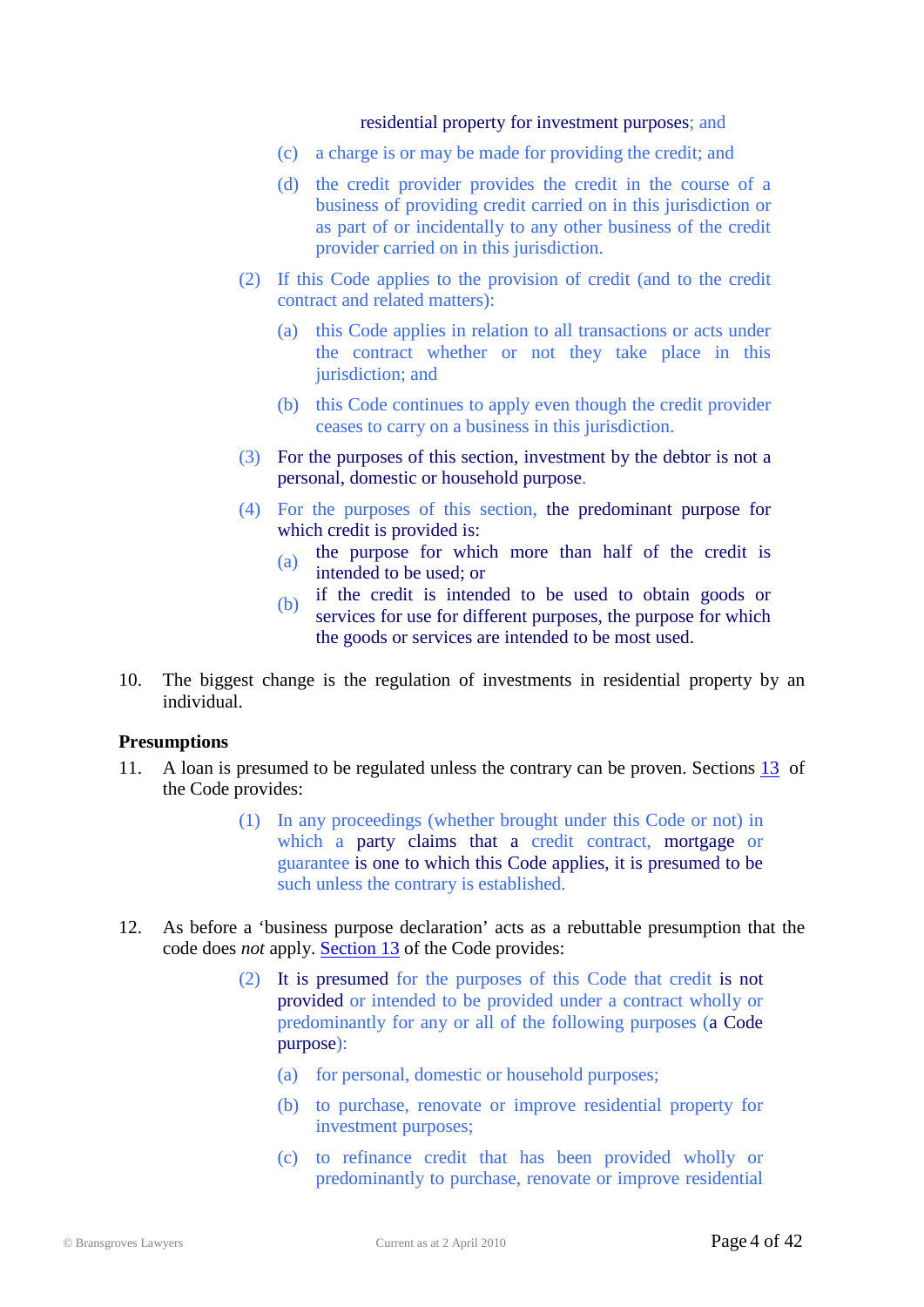#### residential property for investment purposes; and

- (c) a charge is or may be made for providing the credit; and
- (d) the credit provider provides the credit in the course of a business of providing credit carried on in this jurisdiction or as part of or incidentally to any other business of the credit provider carried on in this jurisdiction.
- (2) If this Code applies to the provision of credit (and to the credit contract and related matters):
	- (a) this Code applies in relation to all transactions or acts under the contract whether or not they take place in this jurisdiction; and
	- (b) this Code continues to apply even though the credit provider ceases to carry on a business in this jurisdiction.
- (3) For the purposes of this section, investment by the debtor is not a personal, domestic or household purpose.
- (4) For the purposes of this section, the predominant purpose for which credit is provided is:
	- (a) the purpose for which more than half of the credit is intended to be used; or
	- (b) if the credit is intended to be used to obtain goods or services for use for different purposes, the purpose for which the goods or services are intended to be most used.
- 10. The biggest change is the regulation of investments in residential property by an individual.

#### **Presumptions**

- 11. A loan is presumed to be regulated unless the contrary can be proven. Sections [13](http://www.austlii.edu.au/au/legis/cth/num_act/nccpa2009377/sch1.html#_Toc246930188) of the Code provides:
	- (1) In any proceedings (whether brought under this Code or not) in which a party claims that a credit contract, mortgage or guarantee is one to which this Code applies, it is presumed to be such unless the contrary is established.
- 12. As before a 'business purpose declaration' acts as a rebuttable presumption that the code does *not* apply. [Section 13](http://www.austlii.edu.au/au/legis/cth/num_act/nccpa2009377/sch1.html#_Toc246930188) of the Code provides:
	- (2) It is presumed for the purposes of this Code that credit is not provided or intended to be provided under a contract wholly or predominantly for any or all of the following purposes (a Code purpose):
		- (a) for personal, domestic or household purposes;
		- (b) to purchase, renovate or improve residential property for investment purposes;
		- (c) to refinance credit that has been provided wholly or predominantly to purchase, renovate or improve residential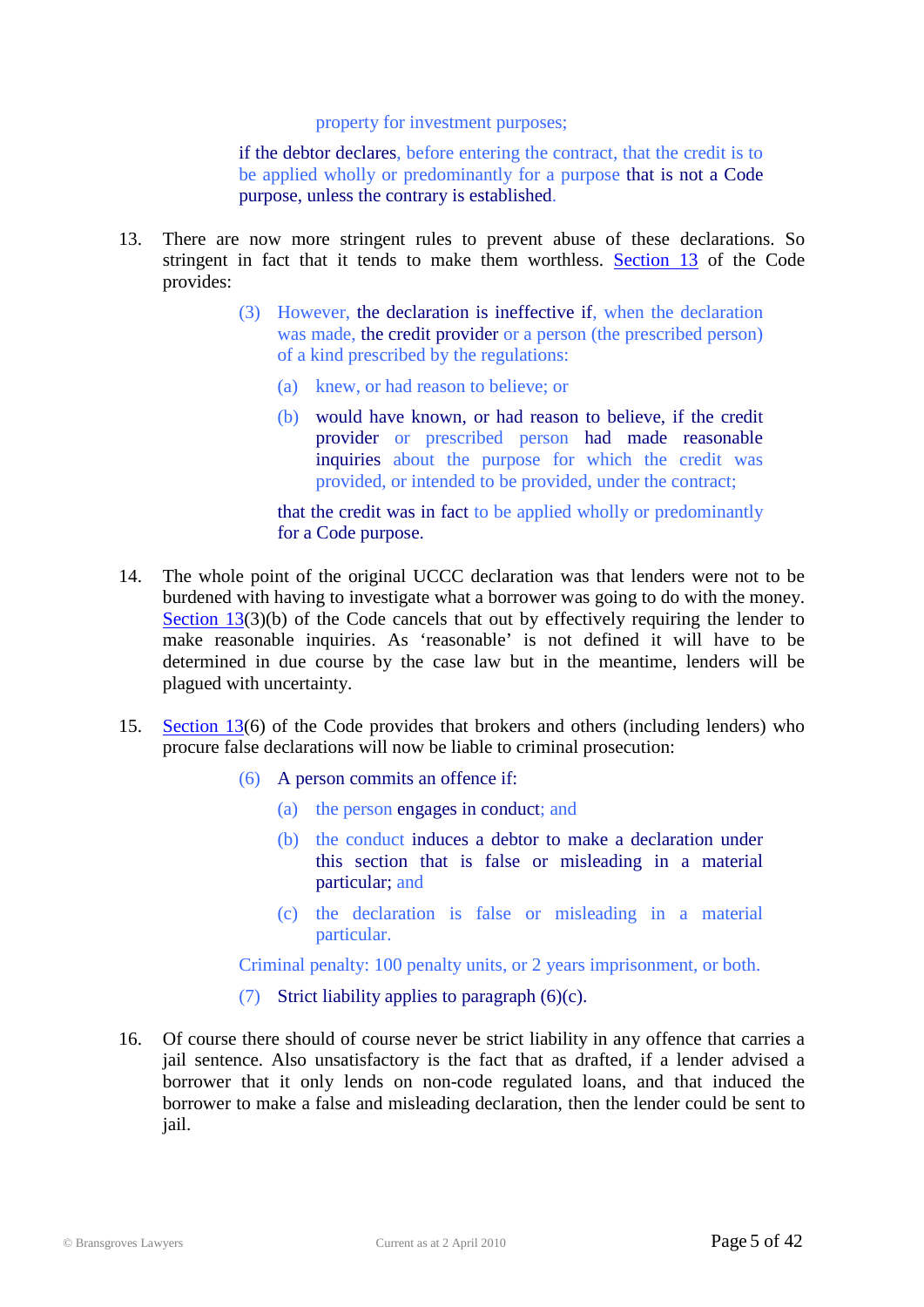property for investment purposes;

if the debtor declares, before entering the contract, that the credit is to be applied wholly or predominantly for a purpose that is not a Code purpose, unless the contrary is established.

- 13. There are now more stringent rules to prevent abuse of these declarations. So stringent in fact that it tends to make them worthless. [Section 13](http://www.austlii.edu.au/au/legis/cth/num_act/nccpa2009377/sch1.html#_Toc246930188) of the Code provides:
	- (3) However, the declaration is ineffective if, when the declaration was made, the credit provider or a person (the prescribed person) of a kind prescribed by the regulations:
		- (a) knew, or had reason to believe; or
		- (b) would have known, or had reason to believe, if the credit provider or prescribed person had made reasonable inquiries about the purpose for which the credit was provided, or intended to be provided, under the contract;

that the credit was in fact to be applied wholly or predominantly for a Code purpose.

- 14. The whole point of the original UCCC declaration was that lenders were not to be burdened with having to investigate what a borrower was going to do with the money. [Section 13\(](http://www.austlii.edu.au/au/legis/cth/num_act/nccpa2009377/sch1.html#_Toc246930188)3)(b) of the Code cancels that out by effectively requiring the lender to make reasonable inquiries. As 'reasonable' is not defined it will have to be determined in due course by the case law but in the meantime, lenders will be plagued with uncertainty.
- 15. [Section 13\(](http://www.austlii.edu.au/au/legis/cth/num_act/nccpa2009377/sch1.html#_Toc246930188)6) of the Code provides that brokers and others (including lenders) who procure false declarations will now be liable to criminal prosecution:
	- (6) A person commits an offence if:
		- (a) the person engages in conduct; and
		- (b) the conduct induces a debtor to make a declaration under this section that is false or misleading in a material particular; and
		- (c) the declaration is false or misleading in a material particular.

Criminal penalty: 100 penalty units, or 2 years imprisonment, or both.

- (7) Strict liability applies to paragraph (6)(c).
- 16. Of course there should of course never be strict liability in any offence that carries a jail sentence. Also unsatisfactory is the fact that as drafted, if a lender advised a borrower that it only lends on non-code regulated loans, and that induced the borrower to make a false and misleading declaration, then the lender could be sent to jail.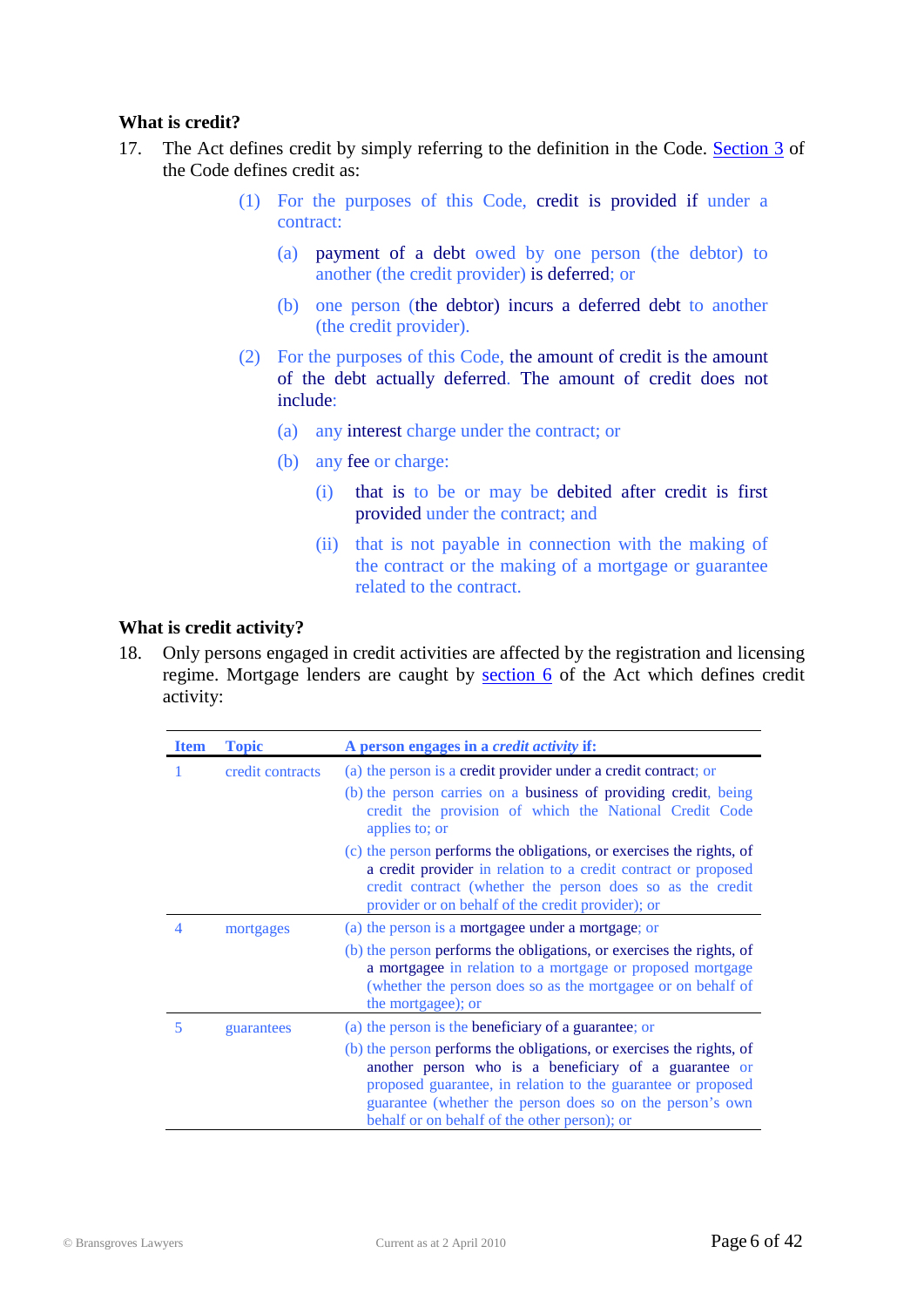#### **What is credit?**

- 17. The Act defines credit by simply referring to the definition in the Code. [Section 3](http://www.austlii.edu.au/au/legis/cth/num_act/nccpa2009377/sch1.html#_Toc246930178) of the Code defines credit as:
	- (1) For the purposes of this Code, credit is provided if under a contract:
		- (a) payment of a debt owed by one person (the debtor) to another (the credit provider) is deferred; or
		- (b) one person (the debtor) incurs a deferred debt to another (the credit provider).
	- (2) For the purposes of this Code, the amount of credit is the amount of the debt actually deferred. The amount of credit does not include:
		- (a) any interest charge under the contract; or
		- (b) any fee or charge:
			- (i) that is to be or may be debited after credit is first provided under the contract; and
			- (ii) that is not payable in connection with the making of the contract or the making of a mortgage or guarantee related to the contract.

#### **What is credit activity?**

18. Only persons engaged in credit activities are affected by the registration and licensing regime. Mortgage lenders are caught by [section](http://www.austlii.edu.au/au/legis/cth/num_act/nccpa2009377/s6.html) 6 of the Act which defines credit activity:

| <b>Item</b> | <b>Topic</b>     | A person engages in a <i>credit activity</i> if:                                                                                                                                                                                                                                                           |
|-------------|------------------|------------------------------------------------------------------------------------------------------------------------------------------------------------------------------------------------------------------------------------------------------------------------------------------------------------|
|             | credit contracts | (a) the person is a credit provider under a credit contract; or<br>(b) the person carries on a business of providing credit, being<br>credit the provision of which the National Credit Code<br>applies to; or                                                                                             |
|             |                  | (c) the person performs the obligations, or exercises the rights, of<br>a credit provider in relation to a credit contract or proposed<br>credit contract (whether the person does so as the credit<br>provider or on behalf of the credit provider); or                                                   |
| 4           | mortgages        | (a) the person is a mortgagee under a mortgage; or                                                                                                                                                                                                                                                         |
|             |                  | (b) the person performs the obligations, or exercises the rights, of<br>a mortgagee in relation to a mortgage or proposed mortgage<br>(whether the person does so as the mortgagee or on behalf of<br>the mortgagee); or                                                                                   |
| 5           | guarantees       | (a) the person is the beneficiary of a guarantee; or                                                                                                                                                                                                                                                       |
|             |                  | (b) the person performs the obligations, or exercises the rights, of<br>another person who is a beneficiary of a guarantee or<br>proposed guarantee, in relation to the guarantee or proposed<br>guarantee (whether the person does so on the person's own<br>behalf or on behalf of the other person); or |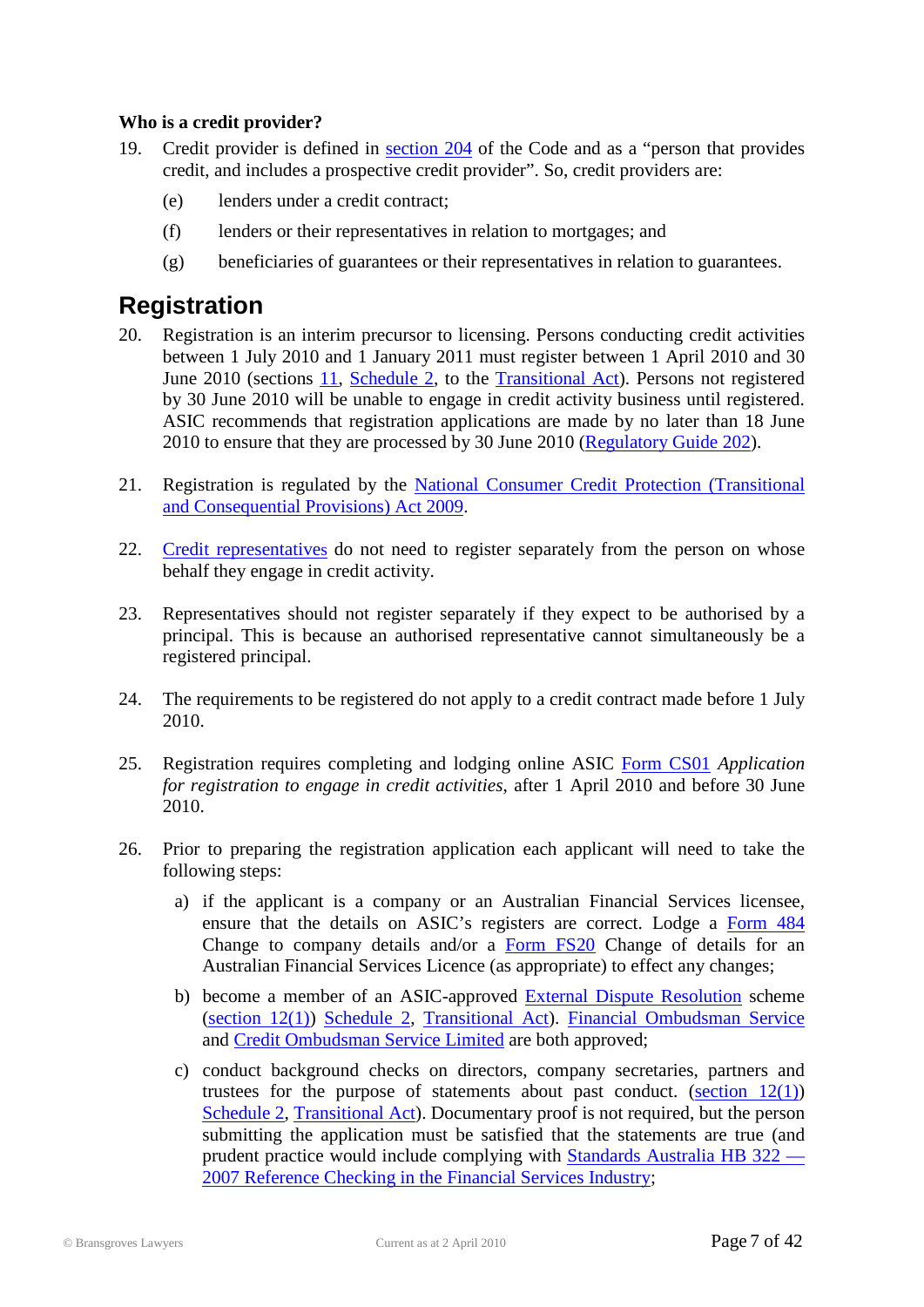#### **Who is a credit provider?**

- 19. Credit provider is defined in [section 204](http://www.austlii.edu.au/au/legis/cth/num_act/nccpa2009377/sch1.html#_Toc246930431) of the Code and as a "person that provides credit, and includes a prospective credit provider". So, credit providers are:
	- (e) lenders under a credit contract;
	- (f) lenders or their representatives in relation to mortgages; and
	- (g) beneficiaries of guarantees or their representatives in relation to guarantees.

### <span id="page-6-0"></span>**Registration**

- 20. Registration is an interim precursor to licensing. Persons conducting credit activities between 1 July 2010 and 1 January 2011 must register between 1 April 2010 and 30 June 2010 (sections [11,](http://www.austlii.edu.au/au/legis/cth/num_act/nccpacpa2009821/sch2.html#_Toc246933505) [Schedule 2,](http://www.austlii.edu.au/au/legis/cth/num_act/nccpacpa2009821/sch2.html) to the [Transitional Act\)](http://www.austlii.edu.au/au/legis/cth/num_act/nccpacpa2009821/). Persons not registered by 30 June 2010 will be unable to engage in credit activity business until registered. ASIC recommends that registration applications are made by no later than 18 June 2010 to ensure that they are processed by 30 June 2010 [\(Regulatory Guide 202\)](http://www.asic.gov.au/asic/pdflib.nsf/LookupByFileName/rg202.pdf/$file/rg202.pdf).
- 21. Registration is regulated by the [National Consumer Credit Protection \(Transitional](http://www.austlii.edu.au/au/legis/cth/num_act/nccpacpa2009821/)  [and Consequential Provisions\) Act 2009.](http://www.austlii.edu.au/au/legis/cth/num_act/nccpacpa2009821/)
- 22. [Credit representatives](http://www.austlii.edu.au/au/legis/cth/num_act/nccpa2009377/s5.html#credit_representative) do not need to register separately from the person on whose behalf they engage in credit activity.
- 23. Representatives should not register separately if they expect to be authorised by a principal. This is because an authorised representative cannot simultaneously be a registered principal.
- 24. The requirements to be registered do not apply to a credit contract made before 1 July 2010.
- 25. Registration requires completing and lodging online ASIC [Form CS01](http://www.asic.gov.au/asic/ASIC.NSF/byHeadline/Registration%20and%20transition) *Application for registration to engage in credit activities*, after 1 April 2010 and before 30 June 2010.
- 26. Prior to preparing the registration application each applicant will need to take the following steps:
	- a) if the applicant is a company or an Australian Financial Services licensee, ensure that the details on ASIC's registers are correct. Lodge a [Form 484](http://www.asic.gov.au/asic/pdflib.nsf/LookupByFileName/484_print.pdf/$file/484_print.pdf) Change to company details and/or a [Form FS20](http://www.asic.gov.au/asic/pdflib.nsf/LookupByFileName/FS20.pdf/$file/FS20.pdf) Change of details for an Australian Financial Services Licence (as appropriate) to effect any changes;
	- b) become a member of an ASIC-approved [External Dispute Resolution](http://www.asic.gov.au/asic/asic.nsf/byheadline/ASIC+approved+external+complaints+resolution+schemes?opendocument) scheme [\(section 12\(1\)\)](http://www.austlii.edu.au/au/legis/cth/num_act/nccpacpa2009821/sch2.html#_Toc246933505) [Schedule 2,](http://www.austlii.edu.au/au/legis/cth/num_act/nccpacpa2009821/sch2.html) [Transitional Act\)](http://www.austlii.edu.au/au/legis/cth/num_act/nccpacpa2009821/). [Financial Ombudsman Service](http://www.fos.org.au/centric/home_page.jsp) and [Credit Ombudsman Service Limited](http://www.creditombudsman.com.au/) are both approved;
	- c) conduct background checks on directors, company secretaries, partners and trustees for the purpose of statements about past conduct. (section  $12(1)$ ) [Schedule 2,](http://www.austlii.edu.au/au/legis/cth/num_act/nccpacpa2009821/sch2.html) [Transitional Act\)](http://www.austlii.edu.au/au/legis/cth/num_act/nccpacpa2009821/). Documentary proof is not required, but the person submitting the application must be satisfied that the statements are true (and prudent practice would include complying with [Standards Australia HB 322 —](http://www.asic.gov.au/asic/pdflib.nsf/LookupByFileName/Reference_checking_in_the_financial_services_industry_HB_322.pdf/$file/Reference_checking_in_the_financial_services_industry_HB_322.pdf) [2007 Reference Checking in the Financial Services Industry;](http://www.asic.gov.au/asic/pdflib.nsf/LookupByFileName/Reference_checking_in_the_financial_services_industry_HB_322.pdf/$file/Reference_checking_in_the_financial_services_industry_HB_322.pdf)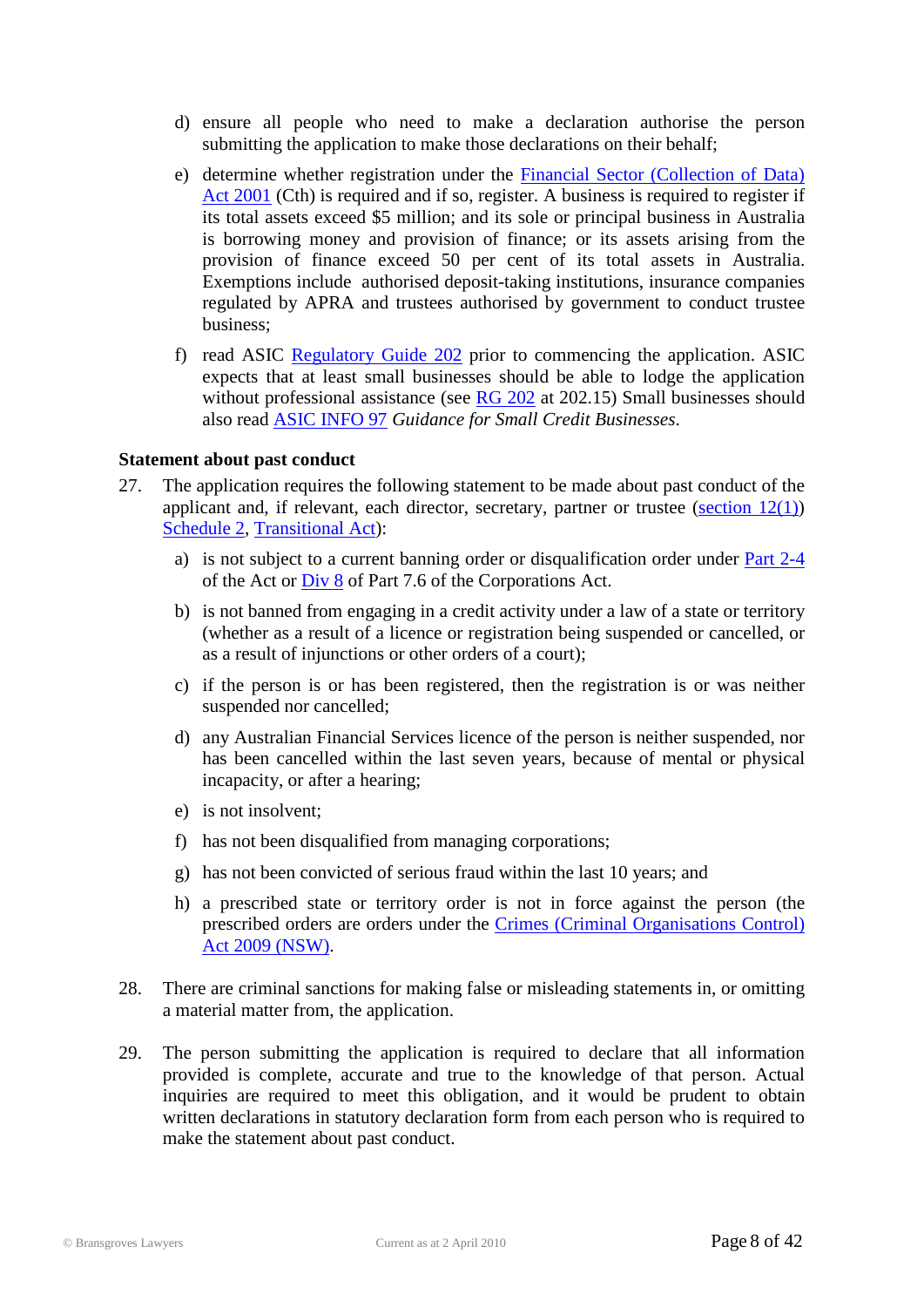- d) ensure all people who need to make a declaration authorise the person submitting the application to make those declarations on their behalf;
- e) determine whether registration under the [Financial Sector \(Collection of Data\)](http://www.austlii.edu.au/au/legis/cth/consol_act/fsoda2001294/)  [Act 2001](http://www.austlii.edu.au/au/legis/cth/consol_act/fsoda2001294/) (Cth) is required and if so, register. A business is required to register if its total assets exceed \$5 million; and its sole or principal business in Australia is borrowing money and provision of finance; or its assets arising from the provision of finance exceed 50 per cent of its total assets in Australia. Exemptions include authorised deposit-taking institutions, insurance companies regulated by APRA and trustees authorised by government to conduct trustee business;
- f) read ASIC [Regulatory Guide 202](http://www.asic.gov.au/asic/pdflib.nsf/LookupByFileName/rg202.pdf/$file/rg202.pdf) prior to commencing the application. ASIC expects that at least small businesses should be able to lodge the application without professional assistance (see  $\overline{RG}$  202 at 202.15) Small businesses should also read [ASIC INFO 97](http://www.asic.gov.au/asic/asic.nsf/byheadline/Guidance+for+small+credit+businesses?openDocument) *Guidance for Small Credit Businesses*.

#### **Statement about past conduct**

- 27. The application requires the following statement to be made about past conduct of the applicant and, if relevant, each director, secretary, partner or trustee (section  $12(1)$ ) [Schedule 2,](http://www.austlii.edu.au/au/legis/cth/num_act/nccpacpa2009821/sch2.html) [Transitional Act\)](http://www.austlii.edu.au/au/legis/cth/num_act/nccpacpa2009821/):
	- a) is not subject to a current banning order or disqualification order under [Part 2-4](http://www.austlii.edu.au/au/legis/cth/num_act/nccpa2009377/#s79) of the Act or [Div 8](http://www.austlii.edu.au/au/legis/cth/consol_act/ca2001172/#s917f) of Part 7.6 of the Corporations Act.
	- b) is not banned from engaging in a credit activity under a law of a state or territory (whether as a result of a licence or registration being suspended or cancelled, or as a result of injunctions or other orders of a court);
	- c) if the person is or has been registered, then the registration is or was neither suspended nor cancelled;
	- d) any Australian Financial Services licence of the person is neither suspended, nor has been cancelled within the last seven years, because of mental or physical incapacity, or after a hearing;
	- e) is not insolvent;
	- f) has not been disqualified from managing corporations;
	- g) has not been convicted of serious fraud within the last 10 years; and
	- h) a prescribed state or territory order is not in force against the person (the prescribed orders are orders under the [Crimes \(Criminal Organisations Control\)](http://www.austlii.edu.au/au/legis/nsw/consol_act/coca2009391/)  [Act 2009 \(NSW\).](http://www.austlii.edu.au/au/legis/nsw/consol_act/coca2009391/)
- 28. There are criminal sanctions for making false or misleading statements in, or omitting a material matter from, the application.
- 29. The person submitting the application is required to declare that all information provided is complete, accurate and true to the knowledge of that person. Actual inquiries are required to meet this obligation, and it would be prudent to obtain written declarations in statutory declaration form from each person who is required to make the statement about past conduct.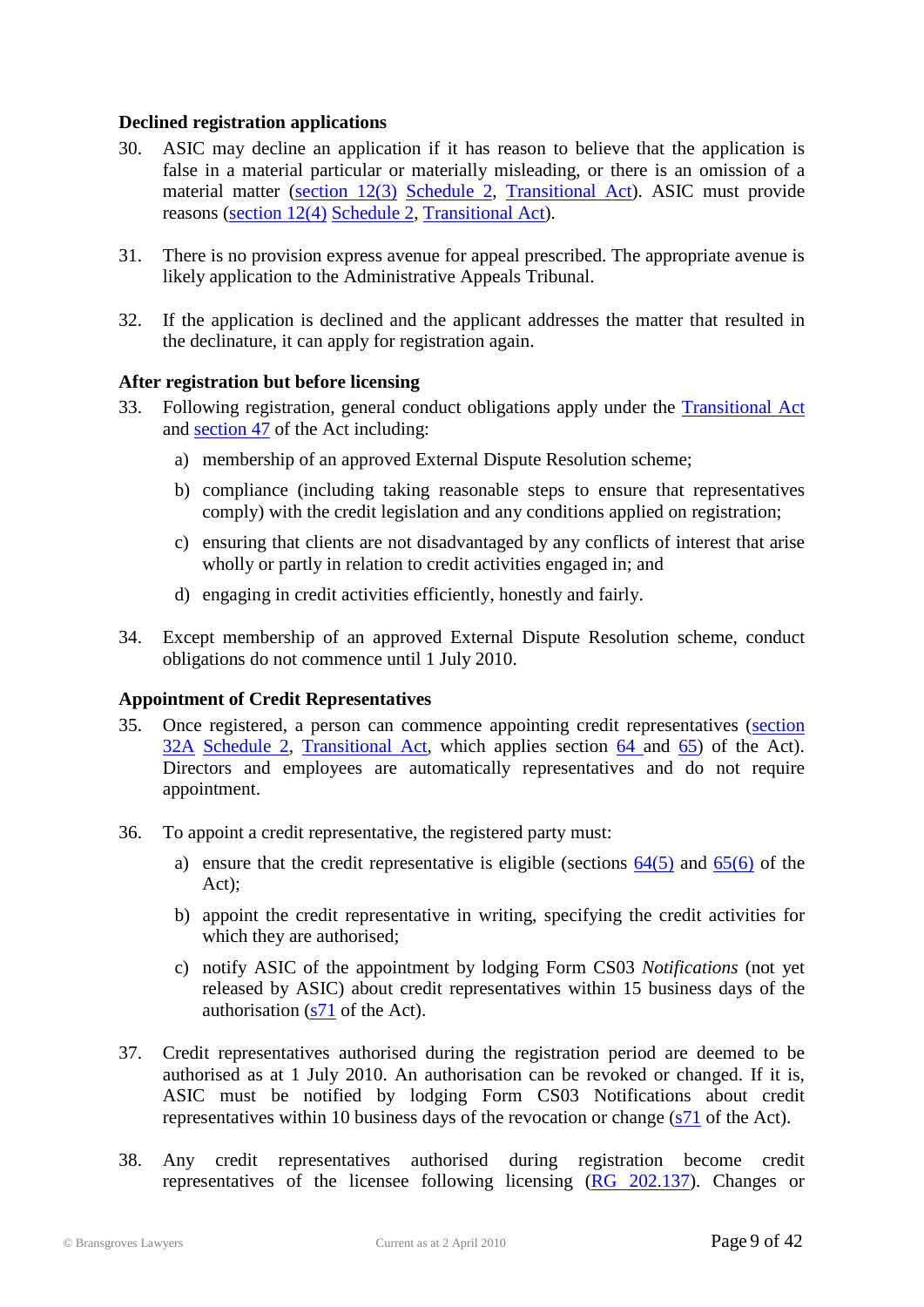#### **Declined registration applications**

- 30. ASIC may decline an application if it has reason to believe that the application is false in a material particular or materially misleading, or there is an omission of a material matter [\(section 12\(3\)](http://www.austlii.edu.au/au/legis/cth/num_act/nccpacpa2009821/sch2.html#_Toc246933505) [Schedule 2,](http://www.austlii.edu.au/au/legis/cth/num_act/nccpacpa2009821/sch2.html) [Transitional Act\)](http://www.austlii.edu.au/au/legis/cth/num_act/nccpacpa2009821/). ASIC must provide reasons [\(section 12\(4\)](http://www.austlii.edu.au/au/legis/cth/num_act/nccpacpa2009821/sch2.html#_Toc246933505) [Schedule 2,](http://www.austlii.edu.au/au/legis/cth/num_act/nccpacpa2009821/sch2.html) [Transitional Act\)](http://www.austlii.edu.au/au/legis/cth/num_act/nccpacpa2009821/).
- 31. There is no provision express avenue for appeal prescribed. The appropriate avenue is likely application to the Administrative Appeals Tribunal.
- 32. If the application is declined and the applicant addresses the matter that resulted in the declinature, it can apply for registration again.

#### **After registration but before licensing**

- 33. Following registration, general conduct obligations apply under the [Transitional](http://www.austlii.edu.au/au/legis/cth/num_act/nccpacpa2009821/) Act and [section 47](http://www.austlii.edu.au/au/legis/cth/num_act/nccpa2009377/s47.html) of the Act including:
	- a) membership of an approved External Dispute Resolution scheme;
	- b) compliance (including taking reasonable steps to ensure that representatives comply) with the credit legislation and any conditions applied on registration;
	- c) ensuring that clients are not disadvantaged by any conflicts of interest that arise wholly or partly in relation to credit activities engaged in; and
	- d) engaging in credit activities efficiently, honestly and fairly.
- 34. Except membership of an approved External Dispute Resolution scheme, conduct obligations do not commence until 1 July 2010.

#### **Appointment of Credit Representatives**

- 35. Once registered, a person can commence appointing credit representatives [\(section](http://www.austlii.edu.au/au/legis/cth/num_act/nccpacpa2009821/sch2.html#_Toc246933510)  [32A](http://www.austlii.edu.au/au/legis/cth/num_act/nccpacpa2009821/sch2.html#_Toc246933510) [Schedule 2,](http://www.austlii.edu.au/au/legis/cth/num_act/nccpacpa2009821/sch2.html) [Transitional Act,](http://www.austlii.edu.au/au/legis/cth/num_act/nccpacpa2009821/) which applies section [64 a](http://www.austlii.edu.au/au/legis/cth/num_act/nccpa2009377/s64.html)nd [65\)](http://www.austlii.edu.au/au/legis/cth/num_act/nccpa2009377/s65.html) of the Act). Directors and employees are automatically representatives and do not require appointment.
- 36. To appoint a credit representative, the registered party must:
	- a) ensure that the credit representative is eligible (sections  $64(5)$  and  $65(6)$  of the Act);
	- b) appoint the credit representative in writing, specifying the credit activities for which they are authorised;
	- c) notify ASIC of the appointment by lodging Form CS03 *Notifications* (not yet released by ASIC) about credit representatives within 15 business days of the authorisation [\(s71](http://www.austlii.edu.au/au/legis/cth/num_act/nccpa2009377/s71.html) of the Act).
- 37. Credit representatives authorised during the registration period are deemed to be authorised as at 1 July 2010. An authorisation can be revoked or changed. If it is, ASIC must be notified by lodging Form CS03 Notifications about credit representatives within 10 business days of the revocation or change [\(s71](http://www.austlii.edu.au/au/legis/cth/num_act/nccpa2009377/s71.html) of the Act).
- 38. Any credit representatives authorised during registration become credit representatives of the licensee following licensing [\(RG 202.137\)](http://www.asic.gov.au/asic/pdflib.nsf/LookupByFileName/rg202.pdf/$file/rg202.pdf). Changes or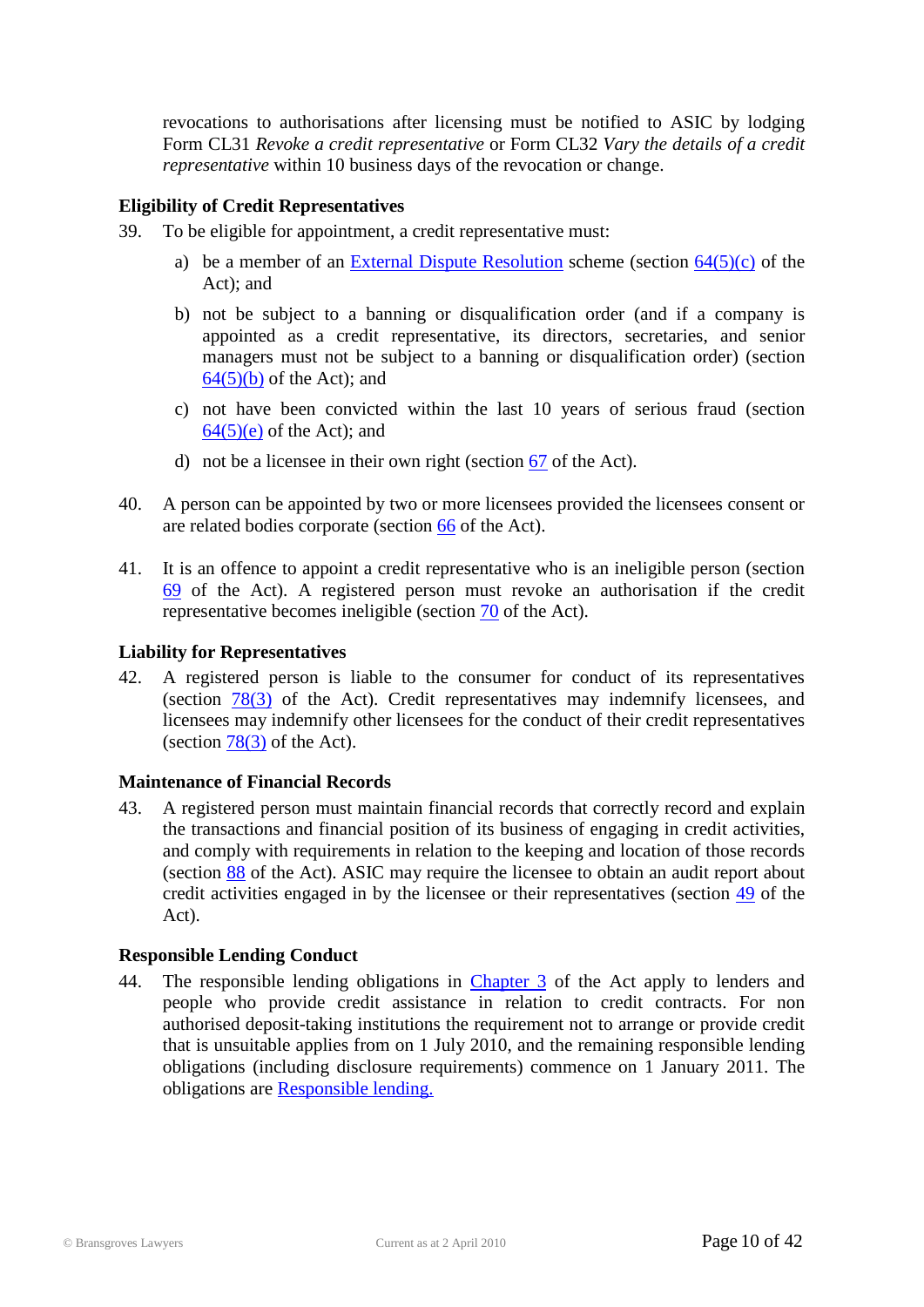revocations to authorisations after licensing must be notified to ASIC by lodging Form CL31 *Revoke a credit representative* or Form CL32 *Vary the details of a credit representative* within 10 business days of the revocation or change.

#### **Eligibility of Credit Representatives**

- 39. To be eligible for appointment, a credit representative must:
	- a) be a member of an [External Dispute Resolution](http://www.asic.gov.au/asic/asic.nsf/byheadline/ASIC+approved+external+complaints+resolution+schemes?opendocument) scheme (section  $64(5)(c)$  of the Act); and
	- b) not be subject to a banning or disqualification order (and if a company is appointed as a credit representative, its directors, secretaries, and senior managers must not be subject to a banning or disqualification order) (section  $64(5)(b)$  of the Act); and
	- c) not have been convicted within the last 10 years of serious fraud (section  $64(5)(e)$  of the Act); and
	- d) not be a licensee in their own right (section [67](http://www.austlii.edu.au/au/legis/cth/num_act/nccpa2009377/s67.html) of the Act).
- 40. A person can be appointed by two or more licensees provided the licensees consent or are related bodies corporate (section [66](http://www.austlii.edu.au/au/legis/cth/num_act/nccpa2009377/s66.html) of the Act).
- 41. It is an offence to appoint a credit representative who is an ineligible person (section [69](http://www.austlii.edu.au/au/legis/cth/num_act/nccpa2009377/s69.html) of the Act). A registered person must revoke an authorisation if the credit representative becomes ineligible (section [70](http://www.austlii.edu.au/au/legis/cth/num_act/nccpa2009377/s70.html) of the Act).

#### **Liability for Representatives**

42. A registered person is liable to the consumer for conduct of its representatives (section [78\(3\)](http://www.austlii.edu.au/au/legis/cth/num_act/nccpa2009377/s78.html) of the Act). Credit representatives may indemnify licensees, and licensees may indemnify other licensees for the conduct of their credit representatives (section  $78(3)$  of the Act).

#### **Maintenance of Financial Records**

43. A registered person must maintain financial records that correctly record and explain the transactions and financial position of its business of engaging in credit activities, and comply with requirements in relation to the keeping and location of those records (section [88](http://www.austlii.edu.au/au/legis/cth/num_act/nccpa2009377/s88.html) of the Act). ASIC may require the licensee to obtain an audit report about credit activities engaged in by the licensee or their representatives (section [49](http://www.austlii.edu.au/au/legis/cth/num_act/nccpa2009377/s49.html) of the Act).

#### **Responsible Lending Conduct**

44. The responsible lending obligations in [Chapter](http://www.austlii.edu.au/au/legis/cth/num_act/nccpa2009377/#s110) 3 of the Act apply to lenders and people who provide credit assistance in relation to credit contracts. For non authorised deposit-taking institutions the requirement not to arrange or provide credit that is unsuitable applies from on 1 July 2010, and the remaining responsible lending obligations (including disclosure requirements) commence on 1 January 2011. The obligations are [Responsible lending.](#page-23-0)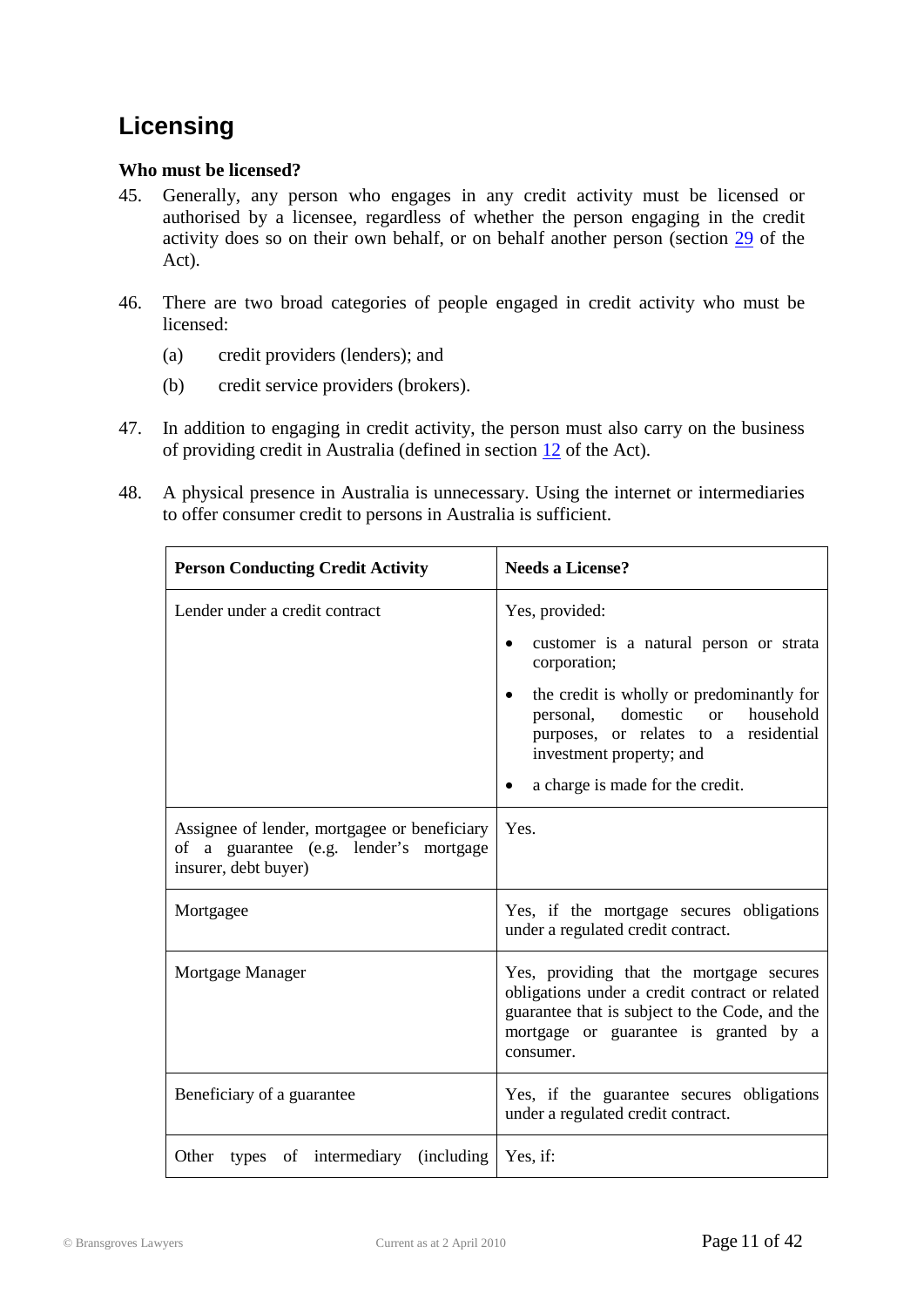### <span id="page-10-0"></span>**Licensing**

#### **Who must be licensed?**

- 45. Generally, any person who engages in any credit activity must be licensed or authorised by a licensee, regardless of whether the person engaging in the credit activity does so on their own behalf, or on behalf another person (section [29](http://www.austlii.edu.au/au/legis/cth/num_act/nccpa2009377/s29.html) of the Act).
- 46. There are two broad categories of people engaged in credit activity who must be licensed:
	- (a) credit providers (lenders); and
	- (b) credit service providers (brokers).
- 47. In addition to engaging in credit activity, the person must also carry on the business of providing credit in Australia (defined in section [12](http://www.austlii.edu.au/au/legis/cth/num_act/nccpa2009377/s12.html) of the Act).
- 48. A physical presence in Australia is unnecessary. Using the internet or intermediaries to offer consumer credit to persons in Australia is sufficient.

| <b>Person Conducting Credit Activity</b>                                                                       | <b>Needs a License?</b>                                                                                                                                                                            |  |
|----------------------------------------------------------------------------------------------------------------|----------------------------------------------------------------------------------------------------------------------------------------------------------------------------------------------------|--|
| Lender under a credit contract                                                                                 | Yes, provided:                                                                                                                                                                                     |  |
|                                                                                                                | customer is a natural person or strata<br>٠<br>corporation;                                                                                                                                        |  |
|                                                                                                                | the credit is wholly or predominantly for<br>personal, domestic or<br>household<br>purposes, or relates to a residential<br>investment property; and                                               |  |
|                                                                                                                | a charge is made for the credit.                                                                                                                                                                   |  |
| Assignee of lender, mortgagee or beneficiary<br>of a guarantee (e.g. lender's mortgage<br>insurer, debt buyer) | Yes.                                                                                                                                                                                               |  |
| Mortgagee                                                                                                      | Yes, if the mortgage secures obligations<br>under a regulated credit contract.                                                                                                                     |  |
| Mortgage Manager                                                                                               | Yes, providing that the mortgage secures<br>obligations under a credit contract or related<br>guarantee that is subject to the Code, and the<br>mortgage or guarantee is granted by a<br>consumer. |  |
| Beneficiary of a guarantee                                                                                     | Yes, if the guarantee secures obligations<br>under a regulated credit contract.                                                                                                                    |  |
| Other types of intermediary (including                                                                         | Yes, if:                                                                                                                                                                                           |  |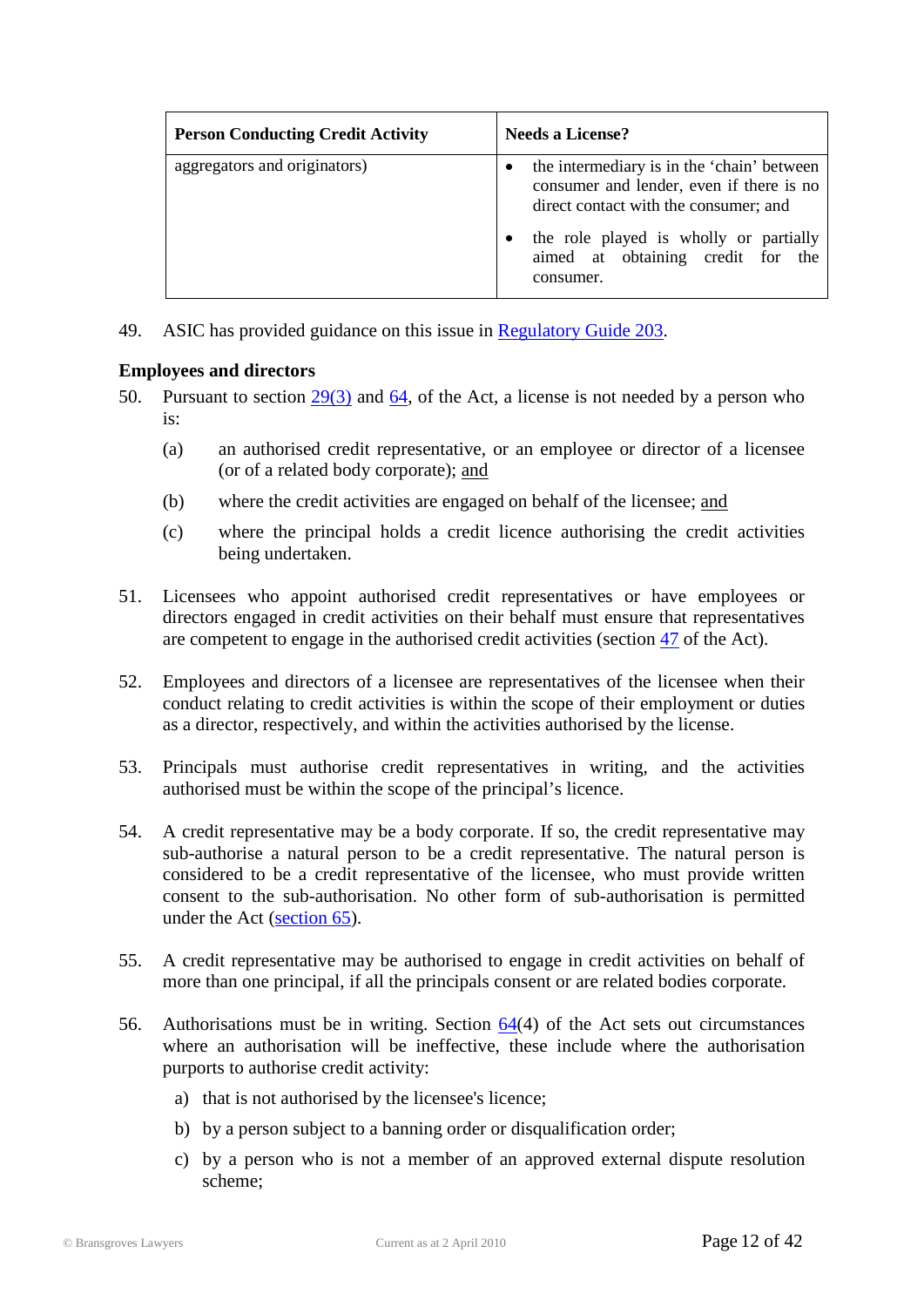| <b>Person Conducting Credit Activity</b> | <b>Needs a License?</b>                                                                                                                                                                                                     |
|------------------------------------------|-----------------------------------------------------------------------------------------------------------------------------------------------------------------------------------------------------------------------------|
| aggregators and originators)             | the intermediary is in the 'chain' between<br>consumer and lender, even if there is no<br>direct contact with the consumer; and<br>the role played is wholly or partially<br>aimed at obtaining credit for the<br>consumer. |

49. ASIC has provided guidance on this issue in [Regulatory Guide 203.](http://www.asic.gov.au/asic/pdflib.nsf/LookupByFileName/rg203.pdf/$file/rg203.pdf)

#### **Employees and directors**

- 50. Pursuant to section [29\(3\)](http://www.austlii.edu.au/au/legis/cth/num_act/nccpa2009377/s29.html) and [64,](http://www.austlii.edu.au/au/legis/cth/num_act/nccpa2009377/s64.html) of the Act, a license is not needed by a person who is:
	- (a) an authorised credit representative, or an employee or director of a licensee (or of a related body corporate); and
	- (b) where the credit activities are engaged on behalf of the licensee; and
	- (c) where the principal holds a credit licence authorising the credit activities being undertaken.
- 51. Licensees who appoint authorised credit representatives or have employees or directors engaged in credit activities on their behalf must ensure that representatives are competent to engage in the authorised credit activities (section [47](http://www.austlii.edu.au/au/legis/cth/num_act/nccpa2009377/s47.html) of the Act).
- 52. Employees and directors of a licensee are representatives of the licensee when their conduct relating to credit activities is within the scope of their employment or duties as a director, respectively, and within the activities authorised by the license.
- 53. Principals must authorise credit representatives in writing, and the activities authorised must be within the scope of the principal's licence.
- 54. A credit representative may be a body corporate. If so, the credit representative may sub-authorise a natural person to be a credit representative. The natural person is considered to be a credit representative of the licensee, who must provide written consent to the sub-authorisation. No other form of sub-authorisation is permitted under the Act [\(section 65\)](http://www.austlii.edu.au/au/legis/cth/num_act/nccpa2009377/s65.html).
- 55. A credit representative may be authorised to engage in credit activities on behalf of more than one principal, if all the principals consent or are related bodies corporate.
- 56. Authorisations must be in writing. Section  $64(4)$  of the Act sets out circumstances where an authorisation will be ineffective, these include where the authorisation purports to authorise credit activity:
	- a) that is not authorised by the licensee's licence;
	- b) by a person subject to a banning order or disqualification order;
	- c) by a person who is not a member of an approved external dispute resolution scheme;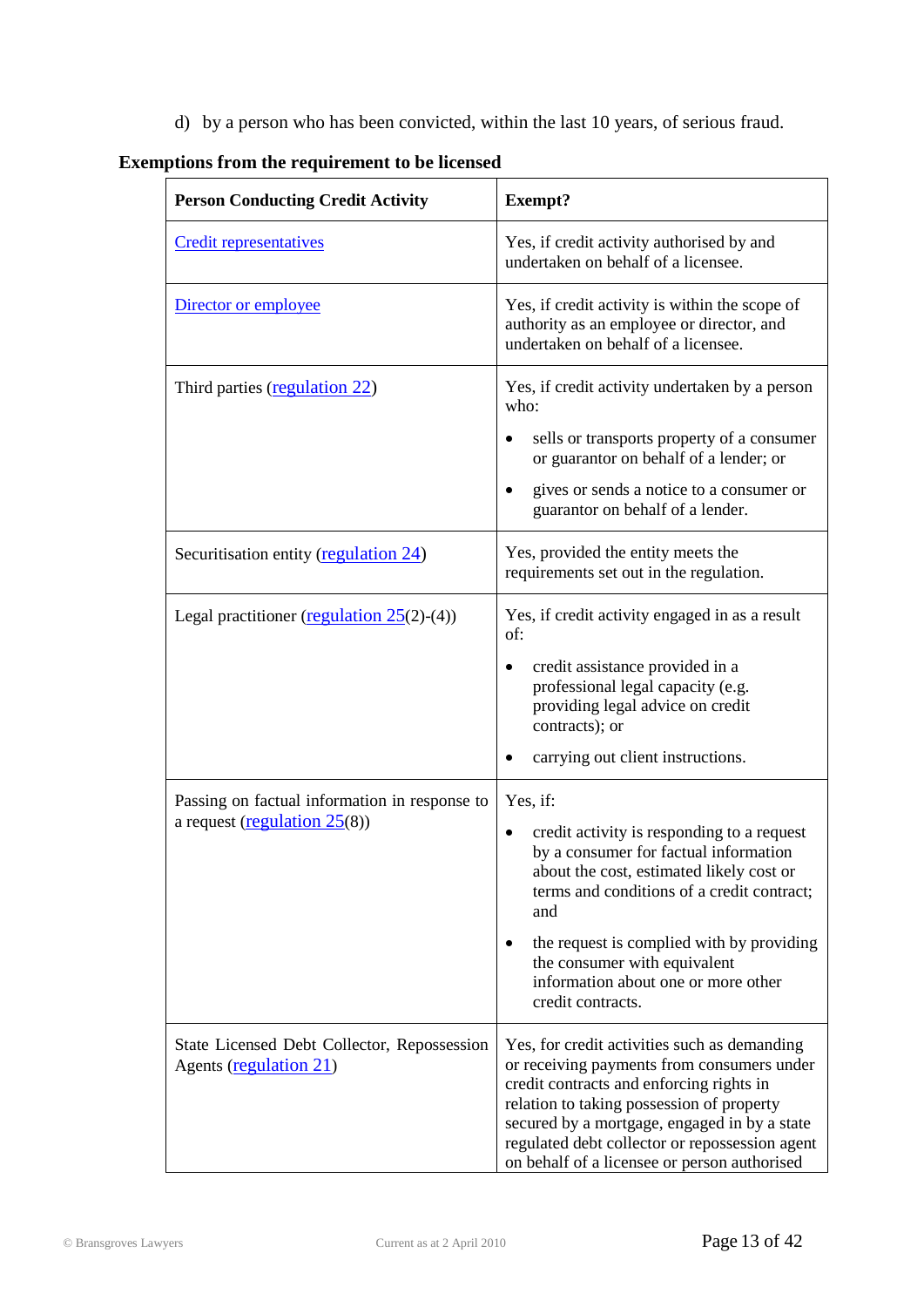d) by a person who has been convicted, within the last 10 years, of serious fraud.

| <b>Person Conducting Credit Activity</b>                                         | <b>Exempt?</b>                                                                                                                                                                                                                                                                                                                        |  |
|----------------------------------------------------------------------------------|---------------------------------------------------------------------------------------------------------------------------------------------------------------------------------------------------------------------------------------------------------------------------------------------------------------------------------------|--|
| <b>Credit representatives</b>                                                    | Yes, if credit activity authorised by and<br>undertaken on behalf of a licensee.                                                                                                                                                                                                                                                      |  |
| Director or employee                                                             | Yes, if credit activity is within the scope of<br>authority as an employee or director, and<br>undertaken on behalf of a licensee.                                                                                                                                                                                                    |  |
| Third parties (regulation 22)                                                    | Yes, if credit activity undertaken by a person<br>who:                                                                                                                                                                                                                                                                                |  |
|                                                                                  | sells or transports property of a consumer<br>or guarantor on behalf of a lender; or                                                                                                                                                                                                                                                  |  |
|                                                                                  | gives or sends a notice to a consumer or<br>guarantor on behalf of a lender.                                                                                                                                                                                                                                                          |  |
| Securitisation entity (regulation 24)                                            | Yes, provided the entity meets the<br>requirements set out in the regulation.                                                                                                                                                                                                                                                         |  |
| Legal practitioner (regulation $25(2)-(4)$ )                                     | Yes, if credit activity engaged in as a result<br>of:                                                                                                                                                                                                                                                                                 |  |
|                                                                                  | credit assistance provided in a<br>professional legal capacity (e.g.<br>providing legal advice on credit<br>contracts); or                                                                                                                                                                                                            |  |
|                                                                                  | carrying out client instructions.                                                                                                                                                                                                                                                                                                     |  |
| Passing on factual information in response to<br>a request (regulation $25(8)$ ) | Yes, if:                                                                                                                                                                                                                                                                                                                              |  |
|                                                                                  | credit activity is responding to a request<br>$\bullet$<br>by a consumer for factual information<br>about the cost, estimated likely cost or<br>terms and conditions of a credit contract;<br>and                                                                                                                                     |  |
|                                                                                  | the request is complied with by providing<br>the consumer with equivalent<br>information about one or more other<br>credit contracts.                                                                                                                                                                                                 |  |
| State Licensed Debt Collector, Repossession<br>Agents (regulation 21)            | Yes, for credit activities such as demanding<br>or receiving payments from consumers under<br>credit contracts and enforcing rights in<br>relation to taking possession of property<br>secured by a mortgage, engaged in by a state<br>regulated debt collector or repossession agent<br>on behalf of a licensee or person authorised |  |

#### **Exemptions from the requirement to be licensed**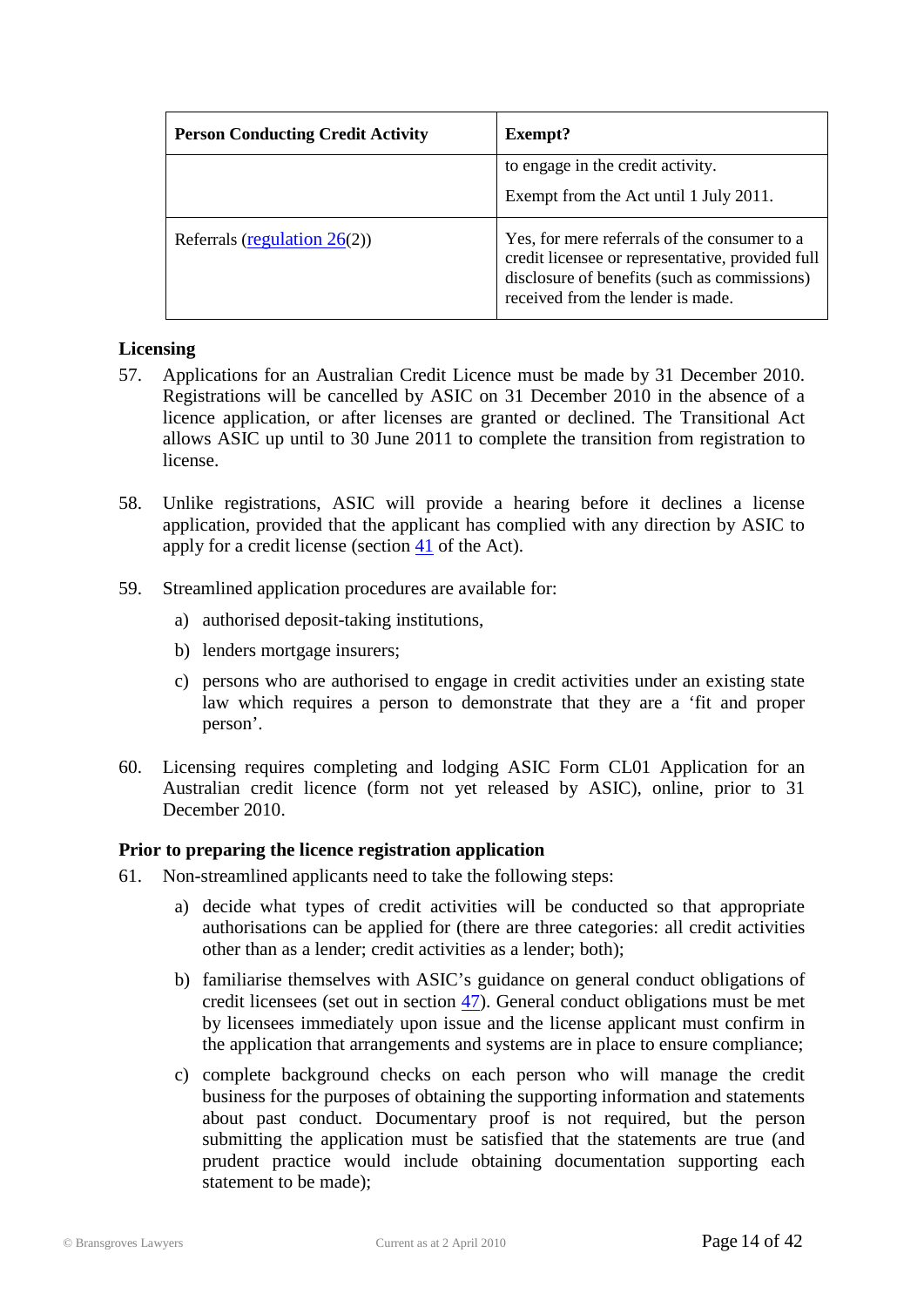| <b>Person Conducting Credit Activity</b> | Exempt?                                                                                                                                                                               |
|------------------------------------------|---------------------------------------------------------------------------------------------------------------------------------------------------------------------------------------|
|                                          | to engage in the credit activity.                                                                                                                                                     |
|                                          | Exempt from the Act until 1 July 2011.                                                                                                                                                |
| Referrals (regulation $26(2)$ )          | Yes, for mere referrals of the consumer to a<br>credit licensee or representative, provided full<br>disclosure of benefits (such as commissions)<br>received from the lender is made. |

#### **Licensing**

- 57. Applications for an Australian Credit Licence must be made by 31 December 2010. Registrations will be cancelled by ASIC on 31 December 2010 in the absence of a licence application, or after licenses are granted or declined. The Transitional Act allows ASIC up until to 30 June 2011 to complete the transition from registration to license.
- 58. Unlike registrations, ASIC will provide a hearing before it declines a license application, provided that the applicant has complied with any direction by ASIC to apply for a credit license (section [41](http://www.austlii.edu.au/au/legis/cth/num_act/nccpa2009377/s41.html) of the Act).
- 59. Streamlined application procedures are available for:
	- a) authorised deposit-taking institutions,
	- b) lenders mortgage insurers;
	- c) persons who are authorised to engage in credit activities under an existing state law which requires a person to demonstrate that they are a 'fit and proper person'.
- 60. Licensing requires completing and lodging ASIC Form CL01 Application for an Australian credit licence (form not yet released by ASIC), online, prior to 31 December 2010.

#### **Prior to preparing the licence registration application**

- 61. Non-streamlined applicants need to take the following steps:
	- a) decide what types of credit activities will be conducted so that appropriate authorisations can be applied for (there are three categories: all credit activities other than as a lender; credit activities as a lender; both);
	- b) familiarise themselves with ASIC's guidance on general conduct obligations of credit licensees (set out in section [47\)](http://www.austlii.edu.au/au/legis/cth/num_act/nccpa2009377/s47.html). General conduct obligations must be met by licensees immediately upon issue and the license applicant must confirm in the application that arrangements and systems are in place to ensure compliance;
	- c) complete background checks on each person who will manage the credit business for the purposes of obtaining the supporting information and statements about past conduct. Documentary proof is not required, but the person submitting the application must be satisfied that the statements are true (and prudent practice would include obtaining documentation supporting each statement to be made);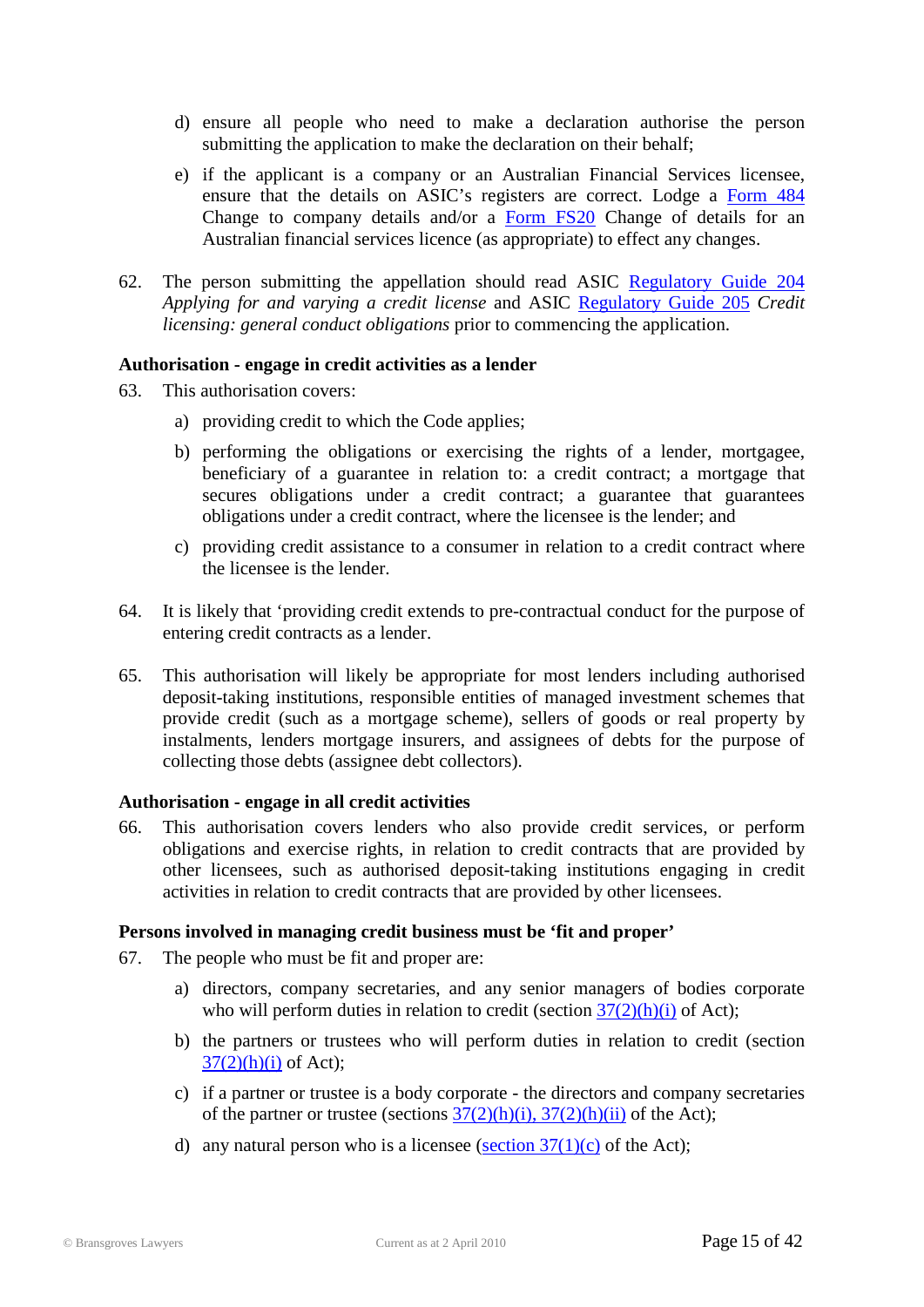- d) ensure all people who need to make a declaration authorise the person submitting the application to make the declaration on their behalf;
- e) if the applicant is a company or an Australian Financial Services licensee, ensure that the details on ASIC's registers are correct. Lodge a [Form 484](http://www.asic.gov.au/asic/pdflib.nsf/LookupByFileName/484_print.pdf/$file/484_print.pdf) Change to company details and/or a [Form FS20](http://www.asic.gov.au/asic/pdflib.nsf/LookupByFileName/FS20.pdf/$file/FS20.pdf) Change of details for an Australian financial services licence (as appropriate) to effect any changes.
- 62. The person submitting the appellation should read ASIC [Regulatory Guide 204](http://www.asic.gov.au/asic/pdflib.nsf/LookupByFileName/rg204.pdf/$file/rg204.pdf) *Applying for and varying a credit license* and ASIC [Regulatory Guide 205](http://www.asic.gov.au/asic/pdflib.nsf/LookupByFileName/rg205.pdf/$file/rg205.pdf) *Credit licensing: general conduct obligations* prior to commencing the application.

#### **Authorisation - engage in credit activities as a lender**

- 63. This authorisation covers:
	- a) providing credit to which the Code applies;
	- b) performing the obligations or exercising the rights of a lender, mortgagee, beneficiary of a guarantee in relation to: a credit contract; a mortgage that secures obligations under a credit contract; a guarantee that guarantees obligations under a credit contract, where the licensee is the lender; and
	- c) providing credit assistance to a consumer in relation to a credit contract where the licensee is the lender.
- 64. It is likely that 'providing credit extends to pre-contractual conduct for the purpose of entering credit contracts as a lender.
- 65. This authorisation will likely be appropriate for most lenders including authorised deposit-taking institutions, responsible entities of managed investment schemes that provide credit (such as a mortgage scheme), sellers of goods or real property by instalments, lenders mortgage insurers, and assignees of debts for the purpose of collecting those debts (assignee debt collectors).

#### **Authorisation - engage in all credit activities**

66. This authorisation covers lenders who also provide credit services, or perform obligations and exercise rights, in relation to credit contracts that are provided by other licensees, such as authorised deposit-taking institutions engaging in credit activities in relation to credit contracts that are provided by other licensees.

#### **Persons involved in managing credit business must be 'fit and proper'**

- 67. The people who must be fit and proper are:
	- a) directors, company secretaries, and any senior managers of bodies corporate who will perform duties in relation to credit (section  $37(2)(h)(i)$  of Act);
	- b) the partners or trustees who will perform duties in relation to credit (section  $37(2)(h)(i)$  of Act);
	- c) if a partner or trustee is a body corporate the directors and company secretaries of the partner or trustee (sections  $37(2)(h)(i)$ ,  $37(2)(h)(ii)$  of the Act);
	- d) any natural person who is a licensee (section  $37(1)(c)$  of the Act);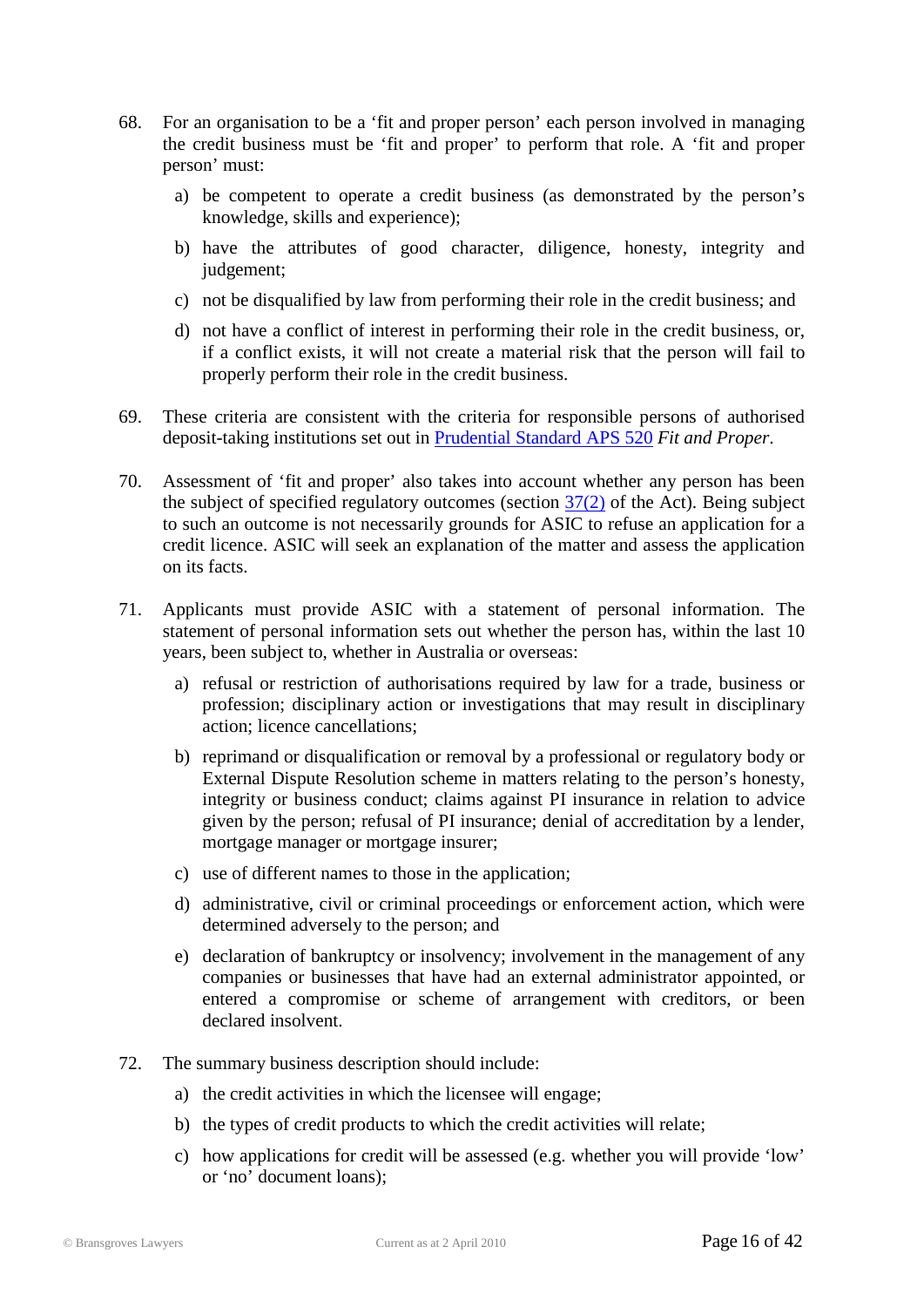- 68. For an organisation to be a 'fit and proper person' each person involved in managing the credit business must be 'fit and proper' to perform that role. A 'fit and proper person' must:
	- a) be competent to operate a credit business (as demonstrated by the person's knowledge, skills and experience);
	- b) have the attributes of good character, diligence, honesty, integrity and judgement;
	- c) not be disqualified by law from performing their role in the credit business; and
	- d) not have a conflict of interest in performing their role in the credit business, or, if a conflict exists, it will not create a material risk that the person will fail to properly perform their role in the credit business.
- 69. These criteria are consistent with the criteria for responsible persons of authorised deposit-taking institutions set out in [Prudential Standard APS 520](http://www.apra.gov.au/Policy/loader.cfm?url=/commonspot/security/getfile.cfm&PageID=10325) *Fit and Proper*.
- 70. Assessment of 'fit and proper' also takes into account whether any person has been the subject of specified regulatory outcomes (section  $37(2)$  of the Act). Being subject to such an outcome is not necessarily grounds for ASIC to refuse an application for a credit licence. ASIC will seek an explanation of the matter and assess the application on its facts.
- 71. Applicants must provide ASIC with a statement of personal information. The statement of personal information sets out whether the person has, within the last 10 years, been subject to, whether in Australia or overseas:
	- a) refusal or restriction of authorisations required by law for a trade, business or profession; disciplinary action or investigations that may result in disciplinary action; licence cancellations;
	- b) reprimand or disqualification or removal by a professional or regulatory body or External Dispute Resolution scheme in matters relating to the person's honesty, integrity or business conduct; claims against PI insurance in relation to advice given by the person; refusal of PI insurance; denial of accreditation by a lender, mortgage manager or mortgage insurer;
	- c) use of different names to those in the application;
	- d) administrative, civil or criminal proceedings or enforcement action, which were determined adversely to the person; and
	- e) declaration of bankruptcy or insolvency; involvement in the management of any companies or businesses that have had an external administrator appointed, or entered a compromise or scheme of arrangement with creditors, or been declared insolvent.
- 72. The summary business description should include:
	- a) the credit activities in which the licensee will engage;
	- b) the types of credit products to which the credit activities will relate;
	- c) how applications for credit will be assessed (e.g. whether you will provide 'low' or 'no' document loans);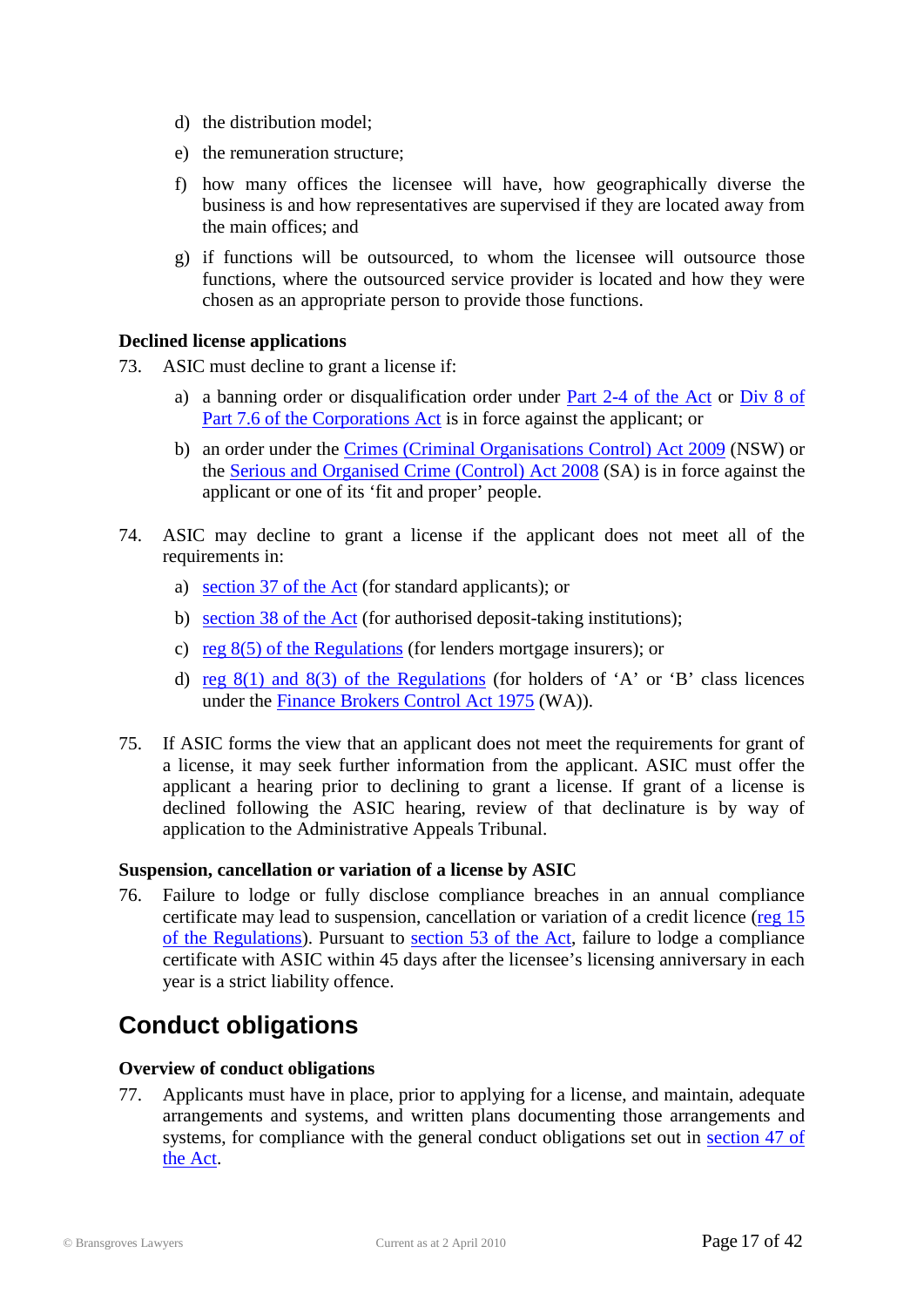- d) the distribution model;
- e) the remuneration structure;
- f) how many offices the licensee will have, how geographically diverse the business is and how representatives are supervised if they are located away from the main offices; and
- g) if functions will be outsourced, to whom the licensee will outsource those functions, where the outsourced service provider is located and how they were chosen as an appropriate person to provide those functions.

#### **Declined license applications**

- 73. ASIC must decline to grant a license if:
	- a) a banning order or disqualification order under [Part 2-4 of](http://www.austlii.edu.au/au/legis/cth/num_act/nccpa2009377/#s79) the Act or [Div 8 of](http://www.austlii.edu.au/au/legis/cth/consol_act/ca2001172/#s917f)  [Part 7.6 of the Corporations Act](http://www.austlii.edu.au/au/legis/cth/consol_act/ca2001172/#s917f) is in force against the applicant; or
	- b) an order under the [Crimes \(Criminal Organisations Control\) Act 2009](http://www.austlii.edu.au/au/legis/nsw/consol_act/coca2009391/) (NSW) or the [Serious and Organised Crime \(Control\) Act 2008](http://www.austlii.edu.au/au/legis/sa/consol_act/saoca2008352/) (SA) is in force against the applicant or one of its 'fit and proper' people.
- 74. ASIC may decline to grant a license if the applicant does not meet all of the requirements in:
	- a) [section 37 of the Act](http://www.austlii.edu.au/au/legis/cth/num_act/nccpa2009377/s37.html) (for standard applicants); or
	- b) [section 38 of the Act](http://www.austlii.edu.au/au/legis/cth/num_act/nccpa2009377/s38.html) (for authorised deposit-taking institutions);
	- c) reg [8\(5\) of the Regulations](http://www.treasury.gov.au/documents/1597/PDF/ED_1_National_Consumer_Credit_Protection_Regulations_2009.pdf) (for lenders mortgage insurers); or
	- d) reg  $8(1)$  and  $8(3)$  of the Regulations (for holders of 'A' or 'B' class licences under the [Finance Brokers Control Act 1975](http://www.austlii.edu.au/au/legis/wa/consol_act/fbca1975237/) (WA)).
- 75. If ASIC forms the view that an applicant does not meet the requirements for grant of a license, it may seek further information from the applicant. ASIC must offer the applicant a hearing prior to declining to grant a license. If grant of a license is declined following the ASIC hearing, review of that declinature is by way of application to the Administrative Appeals Tribunal.

#### **Suspension, cancellation or variation of a license by ASIC**

76. Failure to lodge or fully disclose compliance breaches in an annual compliance certificate may lead to suspension, cancellation or variation of a credit licence [\(reg](http://www.treasury.gov.au/documents/1597/PDF/ED_1_National_Consumer_Credit_Protection_Regulations_2009.pdf) 15 [of the Regulations\)](http://www.treasury.gov.au/documents/1597/PDF/ED_1_National_Consumer_Credit_Protection_Regulations_2009.pdf). Pursuant to [section 53 of the Act,](http://www.austlii.edu.au/au/legis/cth/num_act/nccpa2009377/s53.html) failure to lodge a compliance certificate with ASIC within 45 days after the licensee's licensing anniversary in each year is a strict liability offence.

### <span id="page-16-0"></span>**Conduct obligations**

#### **Overview of conduct obligations**

77. Applicants must have in place, prior to applying for a license, and maintain, adequate arrangements and systems, and written plans documenting those arrangements and systems, for compliance with the general conduct obligations set out in [section 47 of](http://www.austlii.edu.au/au/legis/cth/num_act/nccpa2009377/s47.html)  [the Act.](http://www.austlii.edu.au/au/legis/cth/num_act/nccpa2009377/s47.html)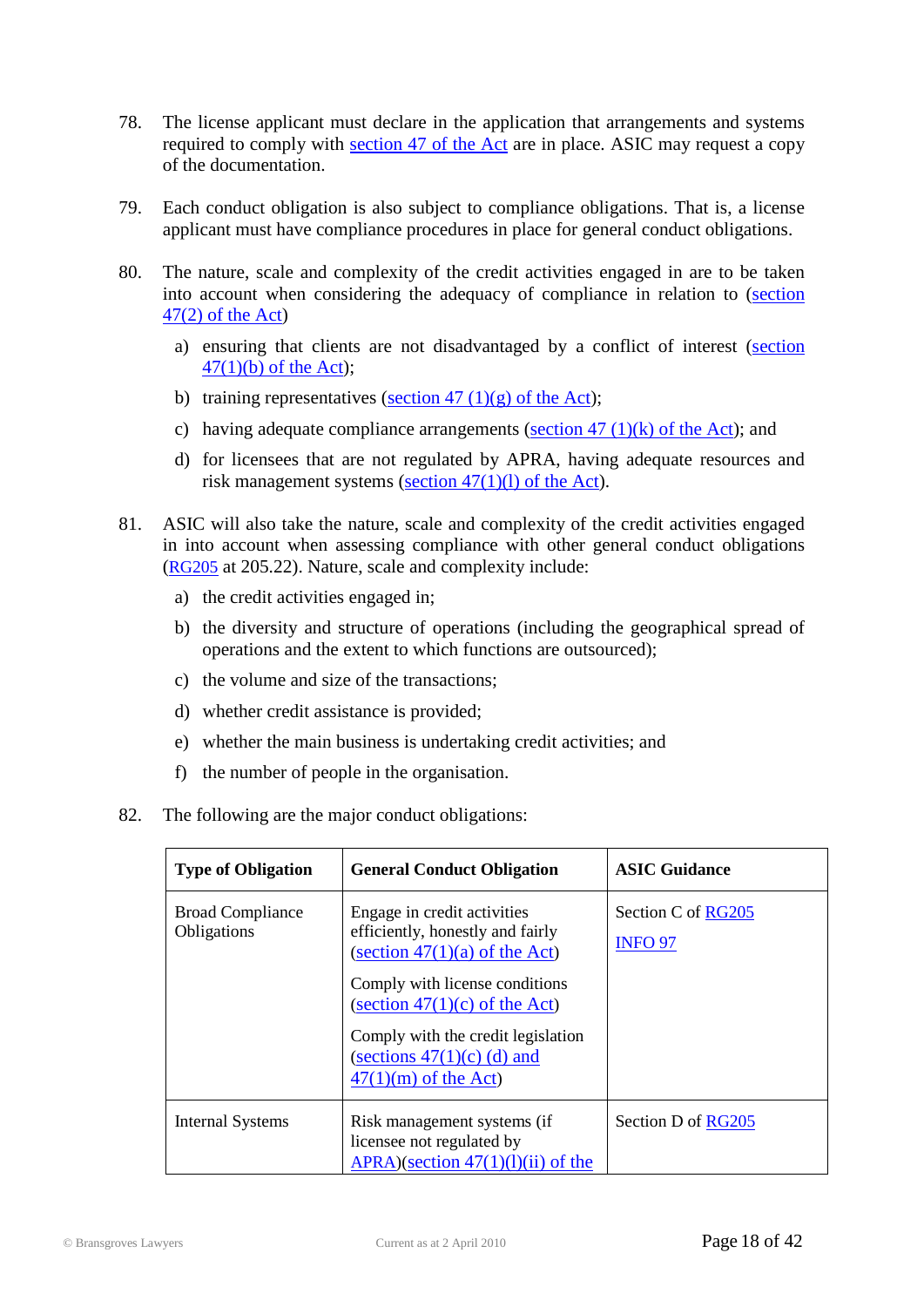- 78. The license applicant must declare in the application that arrangements and systems required to comply with [section 47 of the Act](http://www.austlii.edu.au/au/legis/cth/num_act/nccpa2009377/s47.html) are in place. ASIC may request a copy of the documentation.
- 79. Each conduct obligation is also subject to compliance obligations. That is, a license applicant must have compliance procedures in place for general conduct obligations.
- 80. The nature, scale and complexity of the credit activities engaged in are to be taken into account when considering the adequacy of compliance in relation to [\(section](http://www.austlii.edu.au/au/legis/cth/num_act/nccpa2009377/s47.html)   $47(2)$  of the Act)
	- a) ensuring that clients are not disadvantaged by a conflict of interest [\(section](http://www.austlii.edu.au/au/legis/cth/num_act/nccpa2009377/s47.html)   $47(1)(b)$  of the Act);
	- b) training representatives (section 47  $(1)(g)$  of the Act);
	- c) having adequate compliance arrangements (section  $47 \frac{(1)}{(k)}$  of the Act); and
	- d) for licensees that are not regulated by APRA, having adequate resources and risk management systems [\(section 47\(1\)\(l\) of the Act\)](http://www.austlii.edu.au/au/legis/cth/num_act/nccpa2009377/s47.html).
- 81. ASIC will also take the nature, scale and complexity of the credit activities engaged in into account when assessing compliance with other general conduct obligations [\(RG205](http://www.asic.gov.au/asic/pdflib.nsf/LookupByFileName/rg205.pdf/$file/rg205.pdf) at 205.22). Nature, scale and complexity include:
	- a) the credit activities engaged in;
	- b) the diversity and structure of operations (including the geographical spread of operations and the extent to which functions are outsourced);
	- c) the volume and size of the transactions;
	- d) whether credit assistance is provided;
	- e) whether the main business is undertaking credit activities; and
	- f) the number of people in the organisation.

#### 82. The following are the major conduct obligations:

| <b>Type of Obligation</b>                     | <b>General Conduct Obligation</b>                                                                      | <b>ASIC Guidance</b>                 |
|-----------------------------------------------|--------------------------------------------------------------------------------------------------------|--------------------------------------|
| <b>Broad Compliance</b><br><b>Obligations</b> | Engage in credit activities<br>efficiently, honestly and fairly<br>(section $47(1)(a)$ of the Act)     | Section C of RG205<br><b>INFO 97</b> |
|                                               | Comply with license conditions<br>(section $47(1)(c)$ of the Act)                                      |                                      |
|                                               | Comply with the credit legislation<br>(sections $47(1)(c)$ (d) and<br>$\frac{47(1)(m)}{2}$ of the Act) |                                      |
| <b>Internal Systems</b>                       | Risk management systems (if<br>licensee not regulated by<br>APRA)(section $47(1)(1)(ii)$ of the        | Section D of RG205                   |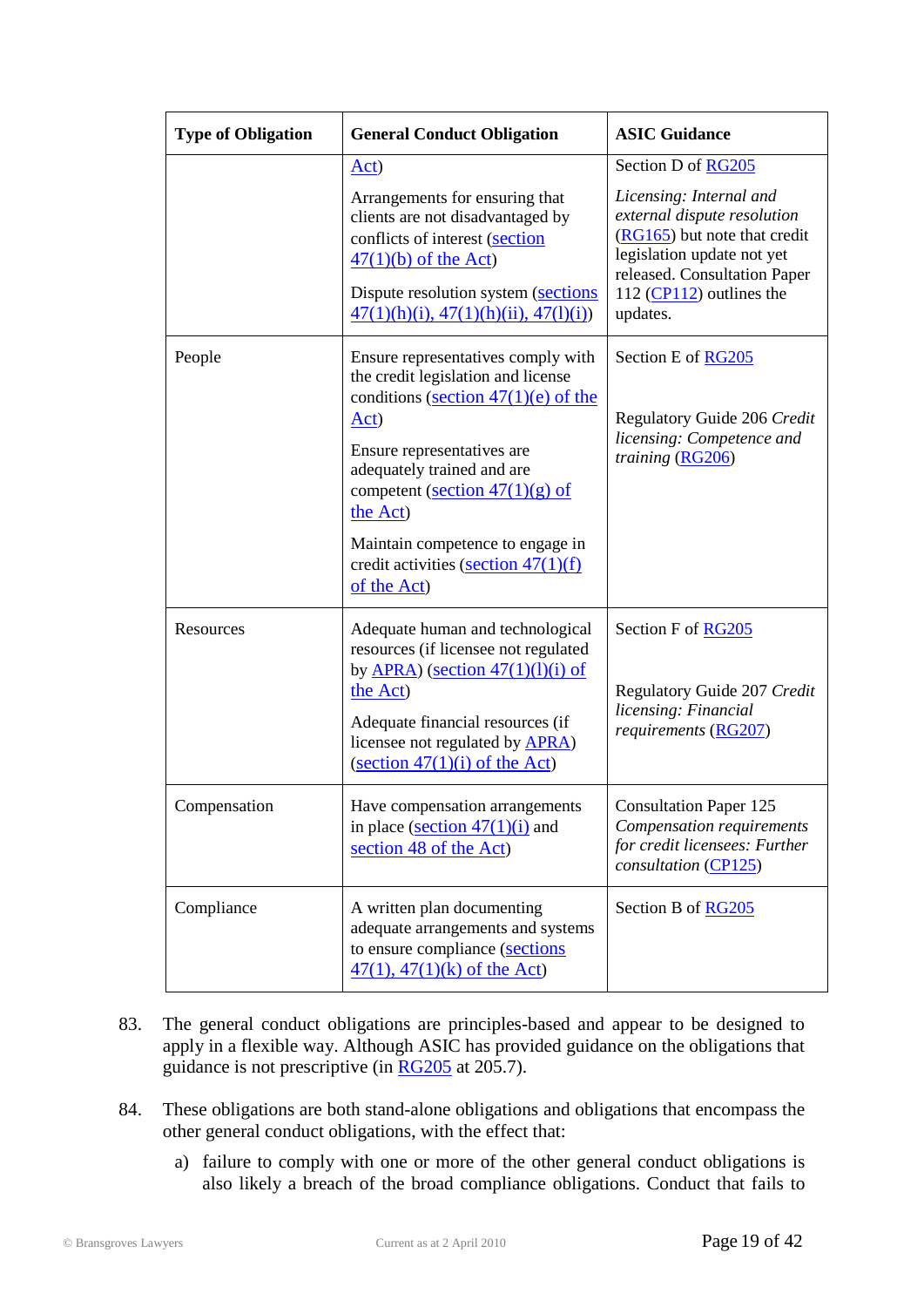| <b>Type of Obligation</b> | <b>General Conduct Obligation</b>                                                                                                                                                                                                                                                                                                   | <b>ASIC Guidance</b>                                                                                                                                                                                                 |  |
|---------------------------|-------------------------------------------------------------------------------------------------------------------------------------------------------------------------------------------------------------------------------------------------------------------------------------------------------------------------------------|----------------------------------------------------------------------------------------------------------------------------------------------------------------------------------------------------------------------|--|
|                           | Act)<br>Arrangements for ensuring that<br>clients are not disadvantaged by<br>conflicts of interest (section<br>$47(1)(b)$ of the Act)<br>Dispute resolution system (sections)<br>$47(1)(h)(i)$ , $47(1)(h)(ii)$ , $47(l)(i)$                                                                                                       | Section D of RG205<br>Licensing: Internal and<br>external dispute resolution<br>(RG165) but note that credit<br>legislation update not yet<br>released. Consultation Paper<br>112 $(CP112)$ outlines the<br>updates. |  |
| People                    | Ensure representatives comply with<br>the credit legislation and license<br>conditions (section $47(1)(e)$ of the<br>Act)<br>Ensure representatives are<br>adequately trained and are<br>competent (section $47(1)(g)$ of<br>the Act)<br>Maintain competence to engage in<br>credit activities (section $47(1)(f)$ )<br>of the Act) | Section E of RG205<br>Regulatory Guide 206 Credit<br>licensing: Competence and<br>training (RG206)                                                                                                                   |  |
| Resources                 | Adequate human and technological<br>resources (if licensee not regulated<br>by $\overline{APRA}$ ) (section 47(1)(1)(i) of<br>the Act)<br>Adequate financial resources (if<br>licensee not regulated by <b>APRA</b> )<br>$\frac{1}{2}$ (section 47(1)(i) of the Act)                                                                | Section F of RG205<br>Regulatory Guide 207 Credit<br>licensing: Financial<br>requirements (RG207)                                                                                                                    |  |
| Compensation              | Have compensation arrangements<br>in place (section $47(1)(i)$ ) and<br>section 48 of the Act)                                                                                                                                                                                                                                      | <b>Consultation Paper 125</b><br>Compensation requirements<br>for credit licensees: Further<br>consultation (CP125)                                                                                                  |  |
| Compliance                | A written plan documenting<br>adequate arrangements and systems<br>to ensure compliance (sections<br>$47(1)$ , $47(1)(k)$ of the Act)                                                                                                                                                                                               | Section B of RG205                                                                                                                                                                                                   |  |

- 83. The general conduct obligations are principles-based and appear to be designed to apply in a flexible way. Although ASIC has provided guidance on the obligations that guidance is not prescriptive (in  $\overline{RG205}$  at 205.7).
- 84. These obligations are both stand-alone obligations and obligations that encompass the other general conduct obligations, with the effect that:
	- a) failure to comply with one or more of the other general conduct obligations is also likely a breach of the broad compliance obligations. Conduct that fails to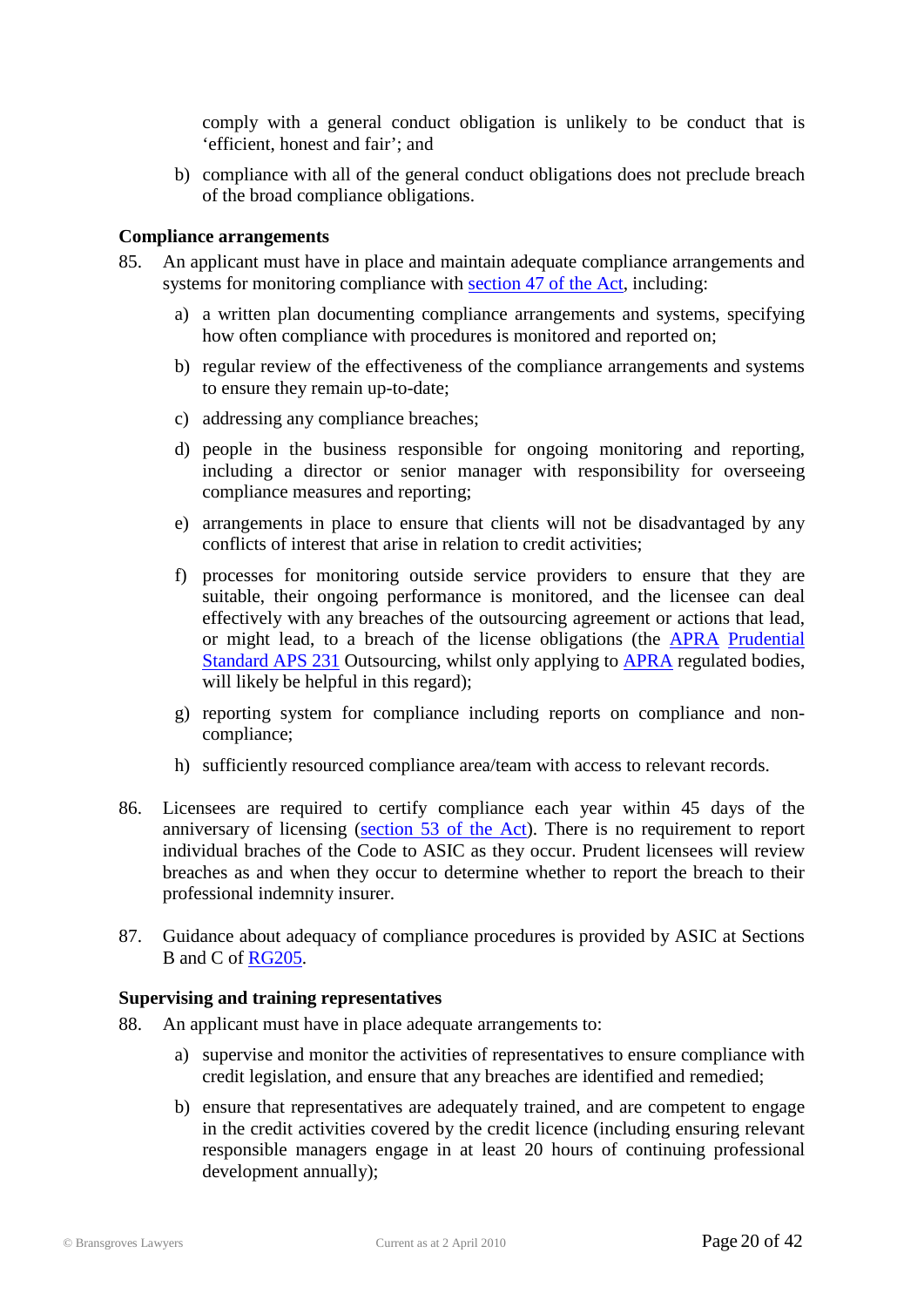comply with a general conduct obligation is unlikely to be conduct that is 'efficient, honest and fair'; and

b) compliance with all of the general conduct obligations does not preclude breach of the broad compliance obligations.

#### **Compliance arrangements**

- 85. An applicant must have in place and maintain adequate compliance arrangements and systems for monitoring compliance with [section 47 of the Act,](http://www.austlii.edu.au/au/legis/cth/num_act/nccpa2009377/s47.html) including:
	- a) a written plan documenting compliance arrangements and systems, specifying how often compliance with procedures is monitored and reported on;
	- b) regular review of the effectiveness of the compliance arrangements and systems to ensure they remain up-to-date;
	- c) addressing any compliance breaches;
	- d) people in the business responsible for ongoing monitoring and reporting, including a director or senior manager with responsibility for overseeing compliance measures and reporting;
	- e) arrangements in place to ensure that clients will not be disadvantaged by any conflicts of interest that arise in relation to credit activities;
	- f) processes for monitoring outside service providers to ensure that they are suitable, their ongoing performance is monitored, and the licensee can deal effectively with any breaches of the outsourcing agreement or actions that lead, or might lead, to a breach of the license obligations (the [APRA](http://www.apra.gov.au/) [Prudential](http://www.apra.gov.au/ADI/upload/APS-231-Outsourcing-Oct-06-1.pdf)  [Standard APS 231](http://www.apra.gov.au/ADI/upload/APS-231-Outsourcing-Oct-06-1.pdf) Outsourcing, whilst only applying to [APRA](http://www.apra.gov.au/) regulated bodies, will likely be helpful in this regard);
	- g) reporting system for compliance including reports on compliance and noncompliance;
	- h) sufficiently resourced compliance area/team with access to relevant records.
- 86. Licensees are required to certify compliance each year within 45 days of the anniversary of licensing [\(section 53 of the Act\)](http://www.austlii.edu.au/au/legis/cth/num_act/nccpa2009377/s53.html). There is no requirement to report individual braches of the Code to ASIC as they occur. Prudent licensees will review breaches as and when they occur to determine whether to report the breach to their professional indemnity insurer.
- 87. Guidance about adequacy of compliance procedures is provided by ASIC at Sections B and C of [RG205.](http://www.asic.gov.au/asic/pdflib.nsf/LookupByFileName/rg205.pdf/$file/rg205.pdf)

#### **Supervising and training representatives**

- 88. An applicant must have in place adequate arrangements to:
	- a) supervise and monitor the activities of representatives to ensure compliance with credit legislation, and ensure that any breaches are identified and remedied;
	- b) ensure that representatives are adequately trained, and are competent to engage in the credit activities covered by the credit licence (including ensuring relevant responsible managers engage in at least 20 hours of continuing professional development annually);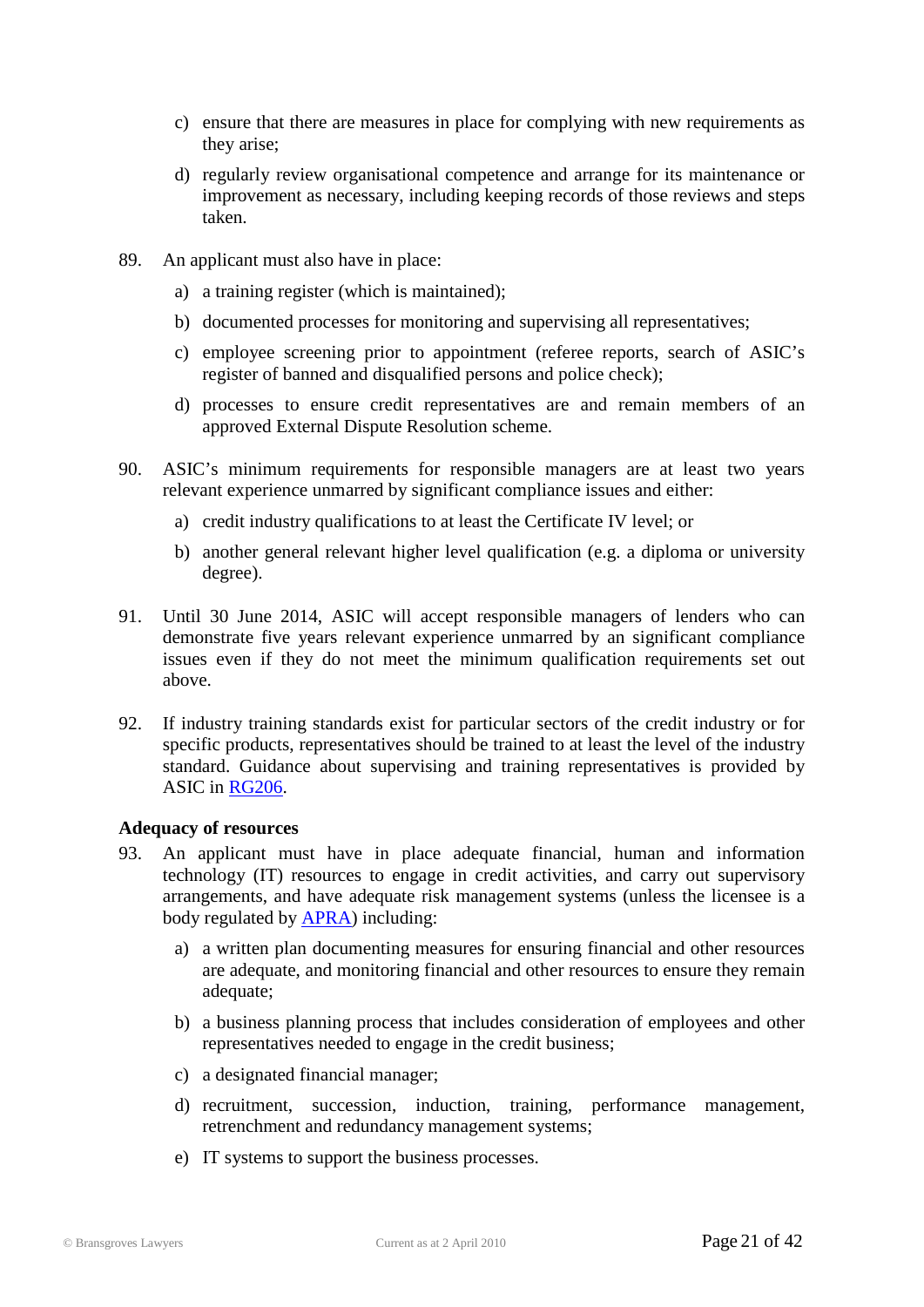- c) ensure that there are measures in place for complying with new requirements as they arise;
- d) regularly review organisational competence and arrange for its maintenance or improvement as necessary, including keeping records of those reviews and steps taken.
- 89. An applicant must also have in place:
	- a) a training register (which is maintained);
	- b) documented processes for monitoring and supervising all representatives;
	- c) employee screening prior to appointment (referee reports, search of ASIC's register of banned and disqualified persons and police check);
	- d) processes to ensure credit representatives are and remain members of an approved External Dispute Resolution scheme.
- 90. ASIC's minimum requirements for responsible managers are at least two years relevant experience unmarred by significant compliance issues and either:
	- a) credit industry qualifications to at least the Certificate IV level; or
	- b) another general relevant higher level qualification (e.g. a diploma or university degree).
- 91. Until 30 June 2014, ASIC will accept responsible managers of lenders who can demonstrate five years relevant experience unmarred by an significant compliance issues even if they do not meet the minimum qualification requirements set out above.
- 92. If industry training standards exist for particular sectors of the credit industry or for specific products, representatives should be trained to at least the level of the industry standard. Guidance about supervising and training representatives is provided by ASIC in [RG206.](http://www.asic.gov.au/asic/pdflib.nsf/LookupByFileName/rg206.pdf/$file/rg206.pdf)

#### **Adequacy of resources**

- 93. An applicant must have in place adequate financial, human and information technology (IT) resources to engage in credit activities, and carry out supervisory arrangements, and have adequate risk management systems (unless the licensee is a body regulated by [APRA\)](http://www.apra.gov.au/) including:
	- a) a written plan documenting measures for ensuring financial and other resources are adequate, and monitoring financial and other resources to ensure they remain adequate;
	- b) a business planning process that includes consideration of employees and other representatives needed to engage in the credit business;
	- c) a designated financial manager;
	- d) recruitment, succession, induction, training, performance management, retrenchment and redundancy management systems;
	- e) IT systems to support the business processes.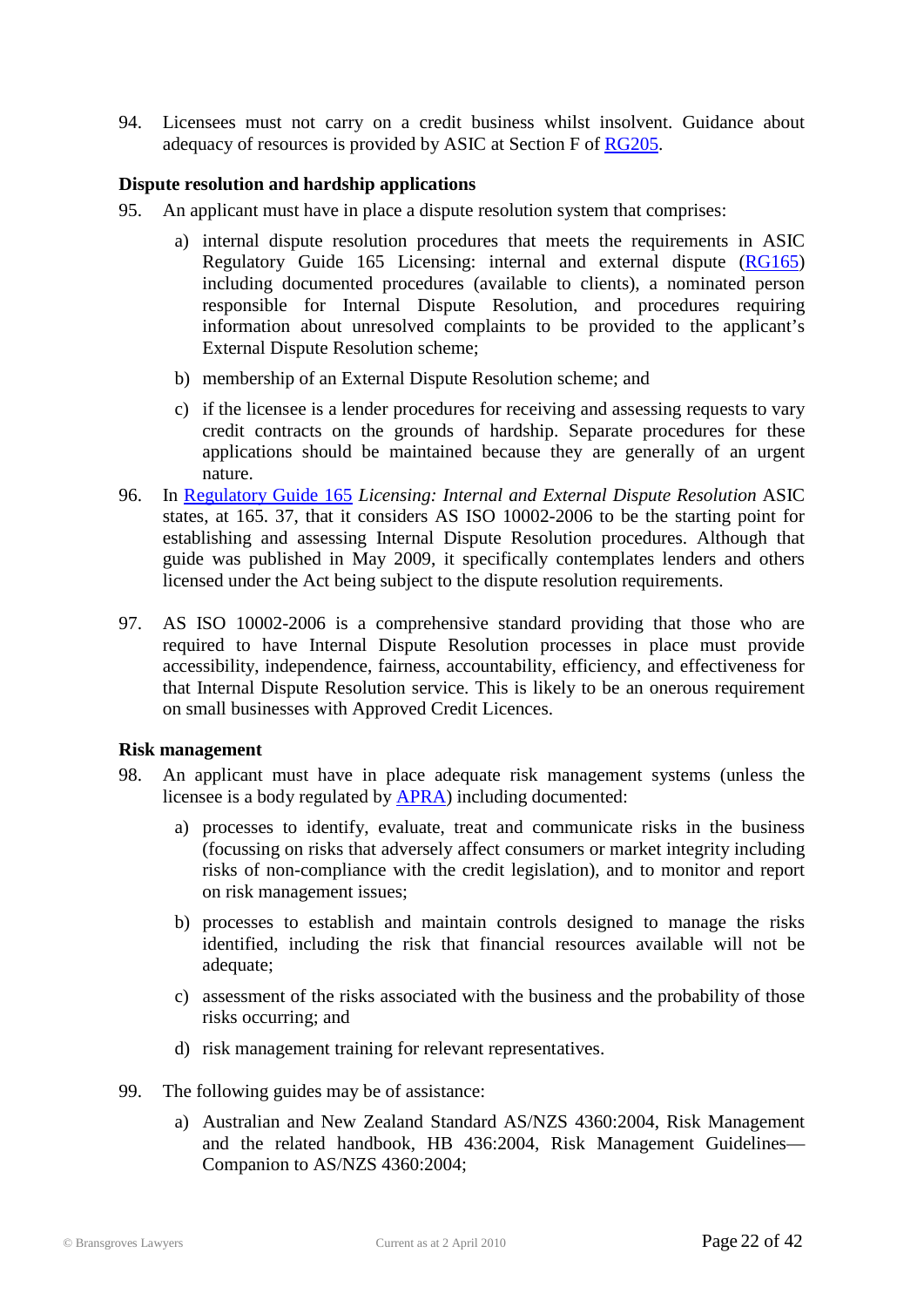94. Licensees must not carry on a credit business whilst insolvent. Guidance about adequacy of resources is provided by ASIC at Section F of [RG205.](http://www.asic.gov.au/asic/pdflib.nsf/LookupByFileName/rg205.pdf/$file/rg205.pdf)

#### **Dispute resolution and hardship applications**

- 95. An applicant must have in place a dispute resolution system that comprises:
	- a) internal dispute resolution procedures that meets the requirements in ASIC Regulatory Guide 165 Licensing: internal and external dispute [\(RG165\)](http://www.asic.gov.au/asic/pdflib.nsf/LookupByFileName/rg165.pdf/$file/rg165.pdf) including documented procedures (available to clients), a nominated person responsible for Internal Dispute Resolution, and procedures requiring information about unresolved complaints to be provided to the applicant's External Dispute Resolution scheme;
	- b) membership of an External Dispute Resolution scheme; and
	- c) if the licensee is a lender procedures for receiving and assessing requests to vary credit contracts on the grounds of hardship. Separate procedures for these applications should be maintained because they are generally of an urgent nature.
- 96. In [Regulatory Guide 165](http://www.asic.gov.au/asic/pdflib.nsf/LookupByFileName/rg165.pdf/$file/rg165.pdf) *Licensing: Internal and External Dispute Resolution* ASIC states, at 165. 37, that it considers AS ISO 10002-2006 to be the starting point for establishing and assessing Internal Dispute Resolution procedures. Although that guide was published in May 2009, it specifically contemplates lenders and others licensed under the Act being subject to the dispute resolution requirements.
- 97. AS ISO 10002-2006 is a comprehensive standard providing that those who are required to have Internal Dispute Resolution processes in place must provide accessibility, independence, fairness, accountability, efficiency, and effectiveness for that Internal Dispute Resolution service. This is likely to be an onerous requirement on small businesses with Approved Credit Licences.

#### **Risk management**

- 98. An applicant must have in place adequate risk management systems (unless the licensee is a body regulated by [APRA\)](http://www.apra.gov.au/) including documented:
	- a) processes to identify, evaluate, treat and communicate risks in the business (focussing on risks that adversely affect consumers or market integrity including risks of non-compliance with the credit legislation), and to monitor and report on risk management issues;
	- b) processes to establish and maintain controls designed to manage the risks identified, including the risk that financial resources available will not be adequate;
	- c) assessment of the risks associated with the business and the probability of those risks occurring; and
	- d) risk management training for relevant representatives.
- 99. The following guides may be of assistance:
	- a) Australian and New Zealand Standard AS/NZS 4360:2004, Risk Management and the related handbook, HB 436:2004, Risk Management Guidelines— Companion to AS/NZS 4360:2004;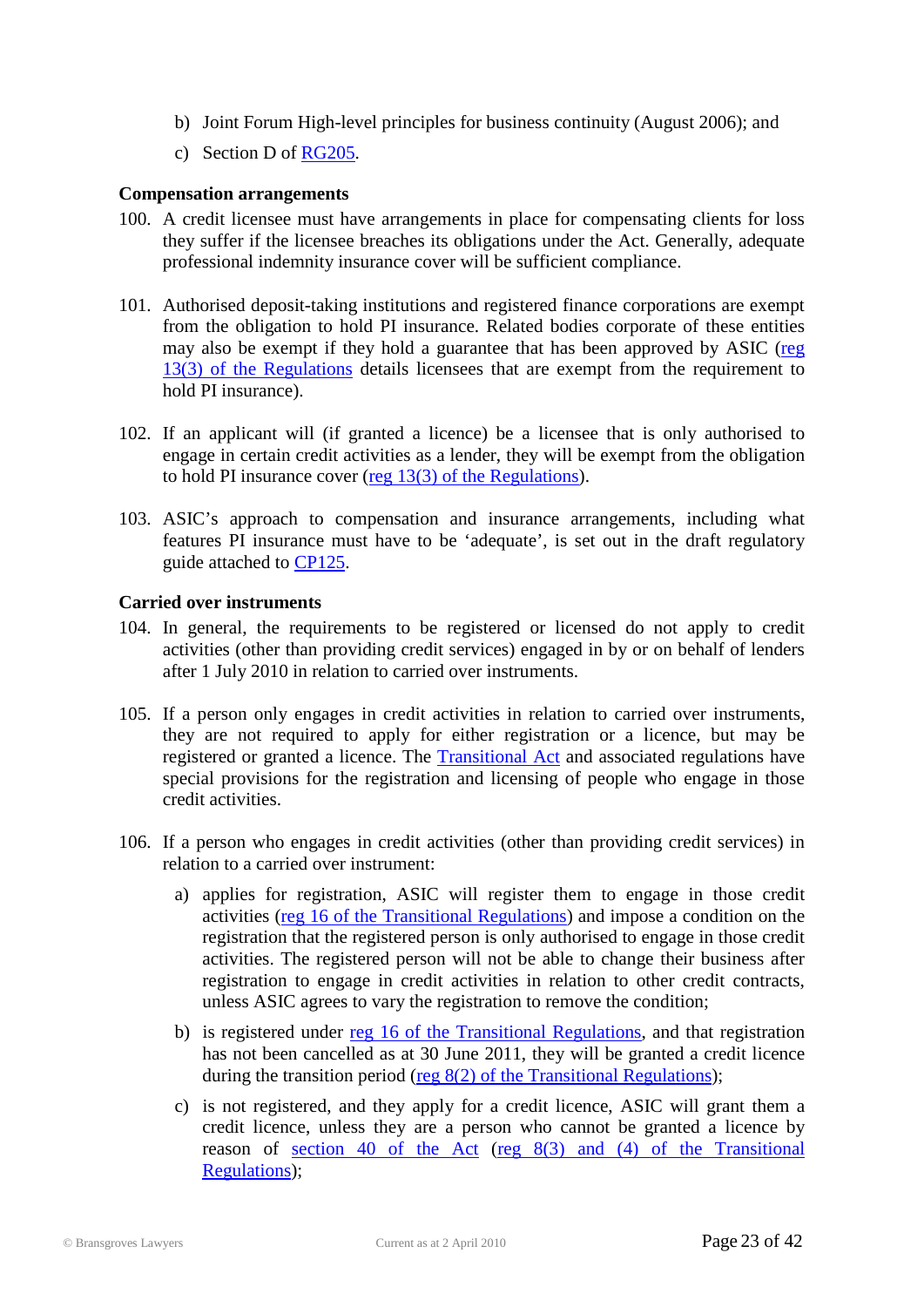- b) Joint Forum High-level principles for business continuity (August 2006); and
- c) Section D of [RG205.](http://www.asic.gov.au/asic/pdflib.nsf/LookupByFileName/rg205.pdf/$file/rg205.pdf)

#### **Compensation arrangements**

- 100. A credit licensee must have arrangements in place for compensating clients for loss they suffer if the licensee breaches its obligations under the Act. Generally, adequate professional indemnity insurance cover will be sufficient compliance.
- 101. Authorised deposit-taking institutions and registered finance corporations are exempt from the obligation to hold PI insurance. Related bodies corporate of these entities may also be exempt if they hold a guarantee that has been approved by ASIC [\(reg](http://www.treasury.gov.au/documents/1597/PDF/ED_1_National_Consumer_Credit_Protection_Regulations_2009.pdf)  [13\(3\) of the Regulations](http://www.treasury.gov.au/documents/1597/PDF/ED_1_National_Consumer_Credit_Protection_Regulations_2009.pdf) details licensees that are exempt from the requirement to hold PI insurance).
- 102. If an applicant will (if granted a licence) be a licensee that is only authorised to engage in certain credit activities as a lender, they will be exempt from the obligation to hold PI insurance cover  $(\text{reg } 13(3))$  of the Regulations).
- 103. ASIC's approach to compensation and insurance arrangements, including what features PI insurance must have to be 'adequate', is set out in the draft regulatory guide attached to [CP125.](http://www.asic.gov.au/asic/pdflib.nsf/LookupByFileName/CP125.pdf/$file/CP125.pdf)

#### **Carried over instruments**

- 104. In general, the requirements to be registered or licensed do not apply to credit activities (other than providing credit services) engaged in by or on behalf of lenders after 1 July 2010 in relation to carried over instruments.
- 105. If a person only engages in credit activities in relation to carried over instruments, they are not required to apply for either registration or a licence, but may be registered or granted a licence. The [Transitional](http://www.austlii.edu.au/au/legis/cth/num_act/nccpacpa2009821/) Act and associated regulations have special provisions for the registration and licensing of people who engage in those credit activities.
- 106. If a person who engages in credit activities (other than providing credit services) in relation to a carried over instrument:
	- a) applies for registration, ASIC will register them to engage in those credit activities [\(reg 16 of the Transitional Regulations\)](http://www.treasury.gov.au/documents/1670/PDF/NCC_Protection_(Transitional_and_Consequential_Provisions)_Reg_2009.pdf) and impose a condition on the registration that the registered person is only authorised to engage in those credit activities. The registered person will not be able to change their business after registration to engage in credit activities in relation to other credit contracts, unless ASIC agrees to vary the registration to remove the condition;
	- b) is registered under [reg 16 of the Transitional Regulations,](http://www.treasury.gov.au/documents/1670/PDF/NCC_Protection_(Transitional_and_Consequential_Provisions)_Reg_2009.pdf) and that registration has not been cancelled as at 30 June 2011, they will be granted a credit licence during the transition period (reg 8(2) [of the Transitional Regulations\)](http://www.treasury.gov.au/documents/1670/PDF/NCC_Protection_(Transitional_and_Consequential_Provisions)_Reg_2009.pdf);
	- c) is not registered, and they apply for a credit licence, ASIC will grant them a credit licence, unless they are a person who cannot be granted a licence by reason of [section 40 of the Act](http://www.austlii.edu.au/au/legis/cth/num_act/nccpa2009377/s40.html) (reg 8(3) and (4) [of the Transitional](http://www.treasury.gov.au/documents/1670/PDF/NCC_Protection_(Transitional_and_Consequential_Provisions)_Reg_2009.pdf)  [Regulations\)](http://www.treasury.gov.au/documents/1670/PDF/NCC_Protection_(Transitional_and_Consequential_Provisions)_Reg_2009.pdf);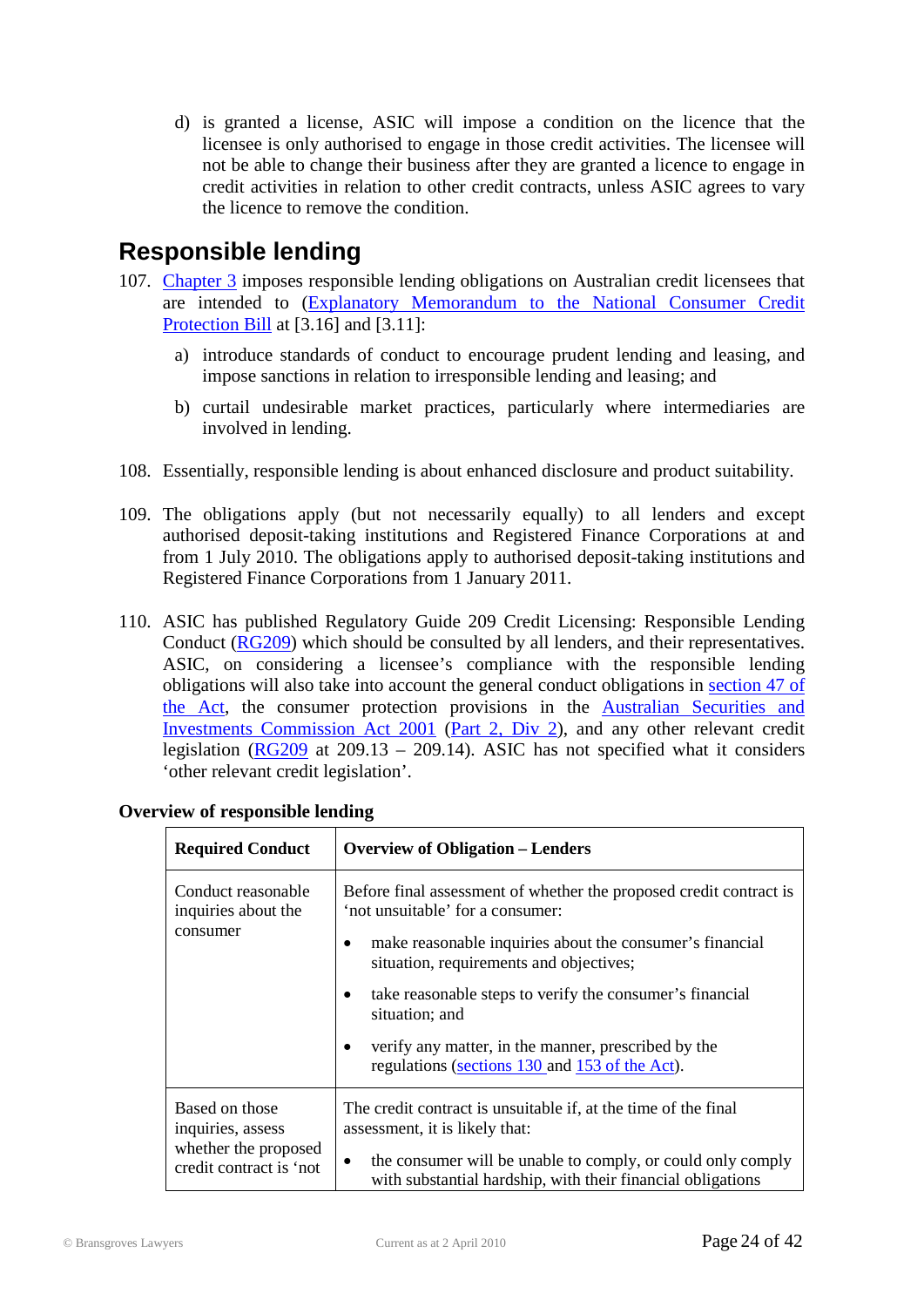d) is granted a license, ASIC will impose a condition on the licence that the licensee is only authorised to engage in those credit activities. The licensee will not be able to change their business after they are granted a licence to engage in credit activities in relation to other credit contracts, unless ASIC agrees to vary the licence to remove the condition.

### <span id="page-23-0"></span>**Responsible lending**

- 107. [Chapter 3](http://www.austlii.edu.au/au/legis/cth/num_act/nccpa2009377/#s110) imposes responsible lending obligations on Australian credit licensees that are intended to [\(Explanatory Memorandum to the National Consumer Credit](http://www.comlaw.gov.au/ComLaw/Legislation/Bills1.nsf/framelodgmentattachments/16650DEA7F1CCFEECA2575E1002075A5)  [Protection Bill](http://www.comlaw.gov.au/ComLaw/Legislation/Bills1.nsf/framelodgmentattachments/16650DEA7F1CCFEECA2575E1002075A5) at [3.16] and [3.11]:
	- a) introduce standards of conduct to encourage prudent lending and leasing, and impose sanctions in relation to irresponsible lending and leasing; and
	- b) curtail undesirable market practices, particularly where intermediaries are involved in lending.
- 108. Essentially, responsible lending is about enhanced disclosure and product suitability.
- 109. The obligations apply (but not necessarily equally) to all lenders and except authorised deposit-taking institutions and Registered Finance Corporations at and from 1 July 2010. The obligations apply to authorised deposit-taking institutions and Registered Finance Corporations from 1 January 2011.
- 110. ASIC has published Regulatory Guide 209 Credit Licensing: Responsible Lending Conduct [\(RG209\)](http://www.asic.gov.au/asic/pdflib.nsf/LookupByFileName/rg209a.pdf/$file/rg209a.pdf) which should be consulted by all lenders, and their representatives. ASIC, on considering a licensee's compliance with the responsible lending obligations will also take into account the general conduct obligations in [section 47 of](http://www.austlii.edu.au/au/legis/cth/num_act/nccpa2009377/s47.html)  [the Act,](http://www.austlii.edu.au/au/legis/cth/num_act/nccpa2009377/s47.html) the consumer protection provisions in the [Australian Securities and](http://www.austlii.edu.au/au/legis/cth/consol_act/asaica2001529/)  [Investments Commission Act 2001](http://www.austlii.edu.au/au/legis/cth/consol_act/asaica2001529/) [\(Part 2, Div 2\)](http://www.austlii.edu.au/au/legis/cth/consol_act/asaica2001529/#s12a), and any other relevant credit legislation ( $\overline{RG209}$  at  $209.13 - 209.14$ ). ASIC has not specified what it considers 'other relevant credit legislation'.

| <b>Required Conduct</b>                                                                | <b>Overview of Obligation – Lenders</b>                                                                                                 |  |
|----------------------------------------------------------------------------------------|-----------------------------------------------------------------------------------------------------------------------------------------|--|
| Conduct reasonable<br>inquiries about the<br>consumer                                  | Before final assessment of whether the proposed credit contract is<br>'not unsuitable' for a consumer:                                  |  |
|                                                                                        | make reasonable inquiries about the consumer's financial<br>situation, requirements and objectives;                                     |  |
|                                                                                        | take reasonable steps to verify the consumer's financial<br>situation; and                                                              |  |
|                                                                                        | verify any matter, in the manner, prescribed by the<br>regulations (sections 130 and 153 of the Act).                                   |  |
| Based on those<br>inquiries, assess<br>whether the proposed<br>credit contract is 'not | The credit contract is unsuitable if, at the time of the final<br>assessment, it is likely that:                                        |  |
|                                                                                        | the consumer will be unable to comply, or could only comply<br>$\bullet$<br>with substantial hardship, with their financial obligations |  |

|  |  | <b>Overview of responsible lending</b> |  |
|--|--|----------------------------------------|--|
|--|--|----------------------------------------|--|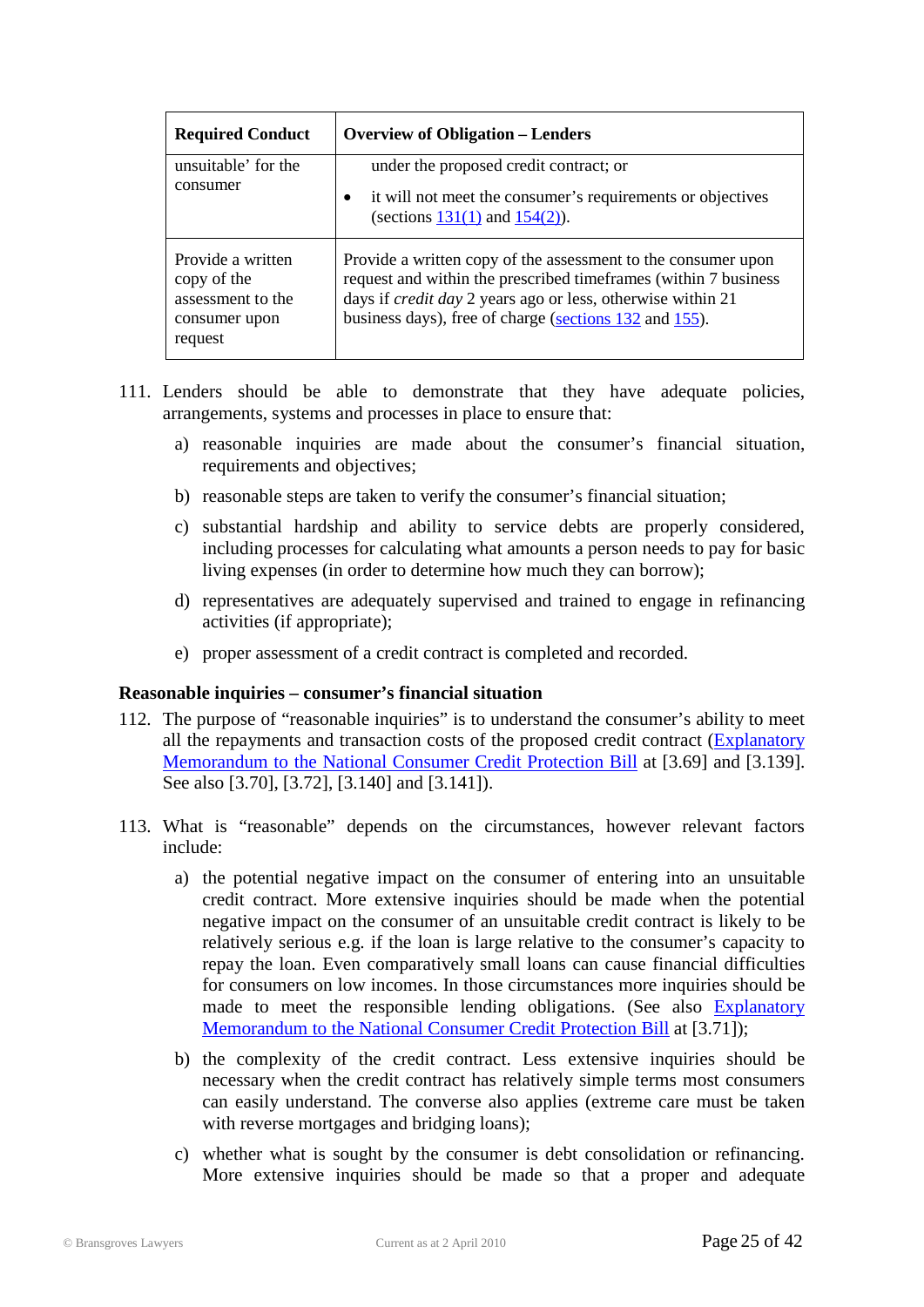| <b>Required Conduct</b>                                                           | <b>Overview of Obligation – Lenders</b>                                                                                                                                                                                                                          |
|-----------------------------------------------------------------------------------|------------------------------------------------------------------------------------------------------------------------------------------------------------------------------------------------------------------------------------------------------------------|
| unsuitable' for the<br>consumer                                                   | under the proposed credit contract; or<br>it will not meet the consumer's requirements or objectives<br>(sections $131(1)$ and $154(2)$ ).                                                                                                                       |
| Provide a written<br>copy of the<br>assessment to the<br>consumer upon<br>request | Provide a written copy of the assessment to the consumer upon<br>request and within the prescribed timeframes (within 7 business<br>days if <i>credit day</i> 2 years ago or less, otherwise within 21<br>business days), free of charge (sections 132 and 155). |

- 111. Lenders should be able to demonstrate that they have adequate policies, arrangements, systems and processes in place to ensure that:
	- a) reasonable inquiries are made about the consumer's financial situation, requirements and objectives;
	- b) reasonable steps are taken to verify the consumer's financial situation;
	- c) substantial hardship and ability to service debts are properly considered, including processes for calculating what amounts a person needs to pay for basic living expenses (in order to determine how much they can borrow);
	- d) representatives are adequately supervised and trained to engage in refinancing activities (if appropriate);
	- e) proper assessment of a credit contract is completed and recorded.

#### **Reasonable inquiries – consumer's financial situation**

- 112. The purpose of "reasonable inquiries" is to understand the consumer's ability to meet all the repayments and transaction costs of the proposed credit contract [\(Explanatory](http://www.comlaw.gov.au/ComLaw/Legislation/Bills1.nsf/framelodgmentattachments/16650DEA7F1CCFEECA2575E1002075A5)  [Memorandum to the National Consumer Credit Protection](http://www.comlaw.gov.au/ComLaw/Legislation/Bills1.nsf/framelodgmentattachments/16650DEA7F1CCFEECA2575E1002075A5) Bill at [3.69] and [3.139]. See also [3.70], [3.72], [3.140] and [3.141]).
- 113. What is "reasonable" depends on the circumstances, however relevant factors include:
	- a) the potential negative impact on the consumer of entering into an unsuitable credit contract. More extensive inquiries should be made when the potential negative impact on the consumer of an unsuitable credit contract is likely to be relatively serious e.g. if the loan is large relative to the consumer's capacity to repay the loan. Even comparatively small loans can cause financial difficulties for consumers on low incomes. In those circumstances more inquiries should be made to meet the responsible lending obligations. (See also Explanatory [Memorandum to the National Consumer Credit Protection Bill](http://www.comlaw.gov.au/ComLaw/Legislation/Bills1.nsf/framelodgmentattachments/16650DEA7F1CCFEECA2575E1002075A5) at [3.71]);
	- b) the complexity of the credit contract. Less extensive inquiries should be necessary when the credit contract has relatively simple terms most consumers can easily understand. The converse also applies (extreme care must be taken with reverse mortgages and bridging loans);
	- c) whether what is sought by the consumer is debt consolidation or refinancing. More extensive inquiries should be made so that a proper and adequate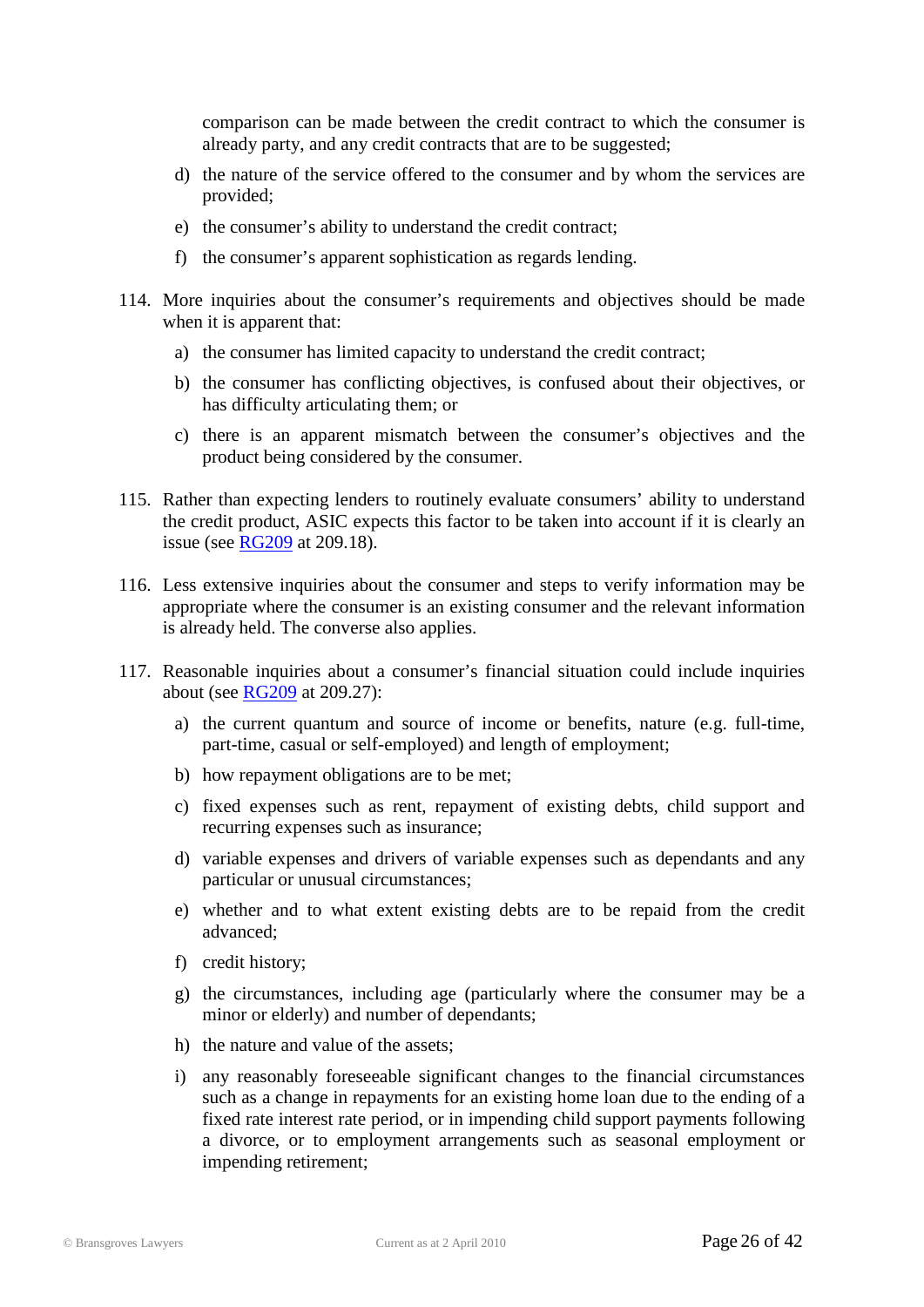comparison can be made between the credit contract to which the consumer is already party, and any credit contracts that are to be suggested;

- d) the nature of the service offered to the consumer and by whom the services are provided;
- e) the consumer's ability to understand the credit contract;
- f) the consumer's apparent sophistication as regards lending.
- 114. More inquiries about the consumer's requirements and objectives should be made when it is apparent that:
	- a) the consumer has limited capacity to understand the credit contract;
	- b) the consumer has conflicting objectives, is confused about their objectives, or has difficulty articulating them; or
	- c) there is an apparent mismatch between the consumer's objectives and the product being considered by the consumer.
- 115. Rather than expecting lenders to routinely evaluate consumers' ability to understand the credit product, ASIC expects this factor to be taken into account if it is clearly an issue (see [RG209](http://www.asic.gov.au/asic/pdflib.nsf/LookupByFileName/rg209a.pdf/$file/rg209a.pdf) at 209.18).
- 116. Less extensive inquiries about the consumer and steps to verify information may be appropriate where the consumer is an existing consumer and the relevant information is already held. The converse also applies.
- 117. Reasonable inquiries about a consumer's financial situation could include inquiries about (see [RG209](http://www.asic.gov.au/asic/pdflib.nsf/LookupByFileName/rg209a.pdf/$file/rg209a.pdf) at 209.27):
	- a) the current quantum and source of income or benefits, nature (e.g. full-time, part-time, casual or self-employed) and length of employment;
	- b) how repayment obligations are to be met;
	- c) fixed expenses such as rent, repayment of existing debts, child support and recurring expenses such as insurance;
	- d) variable expenses and drivers of variable expenses such as dependants and any particular or unusual circumstances;
	- e) whether and to what extent existing debts are to be repaid from the credit advanced;
	- f) credit history;
	- g) the circumstances, including age (particularly where the consumer may be a minor or elderly) and number of dependants;
	- h) the nature and value of the assets;
	- i) any reasonably foreseeable significant changes to the financial circumstances such as a change in repayments for an existing home loan due to the ending of a fixed rate interest rate period, or in impending child support payments following a divorce, or to employment arrangements such as seasonal employment or impending retirement;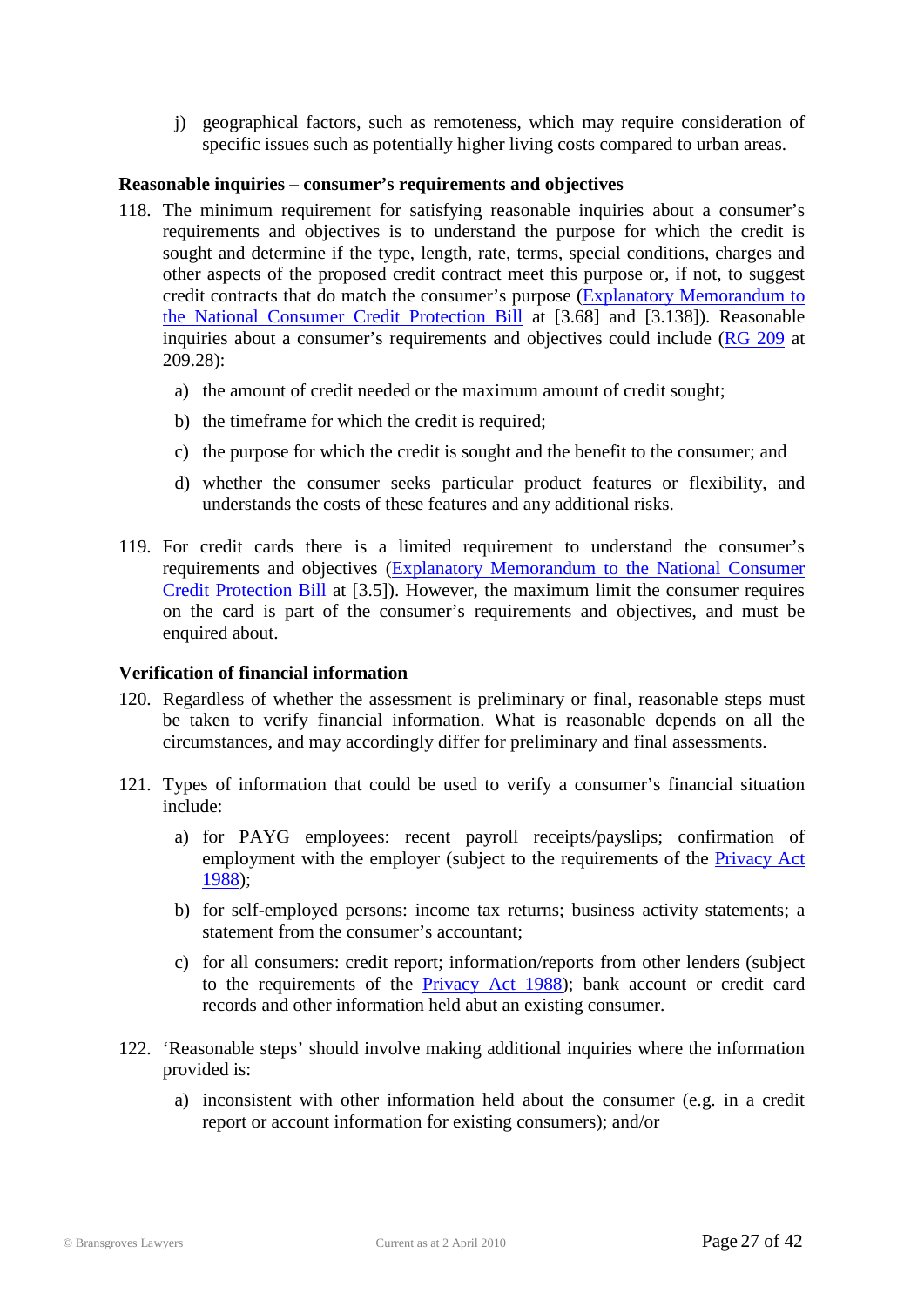j) geographical factors, such as remoteness, which may require consideration of specific issues such as potentially higher living costs compared to urban areas.

#### **Reasonable inquiries – consumer's requirements and objectives**

- 118. The minimum requirement for satisfying reasonable inquiries about a consumer's requirements and objectives is to understand the purpose for which the credit is sought and determine if the type, length, rate, terms, special conditions, charges and other aspects of the proposed credit contract meet this purpose or, if not, to suggest credit contracts that do match the consumer's purpose [\(Explanatory Memorandum to](http://www.comlaw.gov.au/ComLaw/Legislation/Bills1.nsf/framelodgmentattachments/16650DEA7F1CCFEECA2575E1002075A5)  [the National Consumer Credit Protection Bill](http://www.comlaw.gov.au/ComLaw/Legislation/Bills1.nsf/framelodgmentattachments/16650DEA7F1CCFEECA2575E1002075A5) at [3.68] and [3.138]). Reasonable inquiries about a consumer's requirements and objectives could include [\(RG 209](http://www.asic.gov.au/asic/pdflib.nsf/LookupByFileName/rg209a.pdf/$file/rg209a.pdf) at 209.28):
	- a) the amount of credit needed or the maximum amount of credit sought;
	- b) the timeframe for which the credit is required;
	- c) the purpose for which the credit is sought and the benefit to the consumer; and
	- d) whether the consumer seeks particular product features or flexibility, and understands the costs of these features and any additional risks.
- 119. For credit cards there is a limited requirement to understand the consumer's requirements and objectives [\(Explanatory Memorandum to the National Consumer](http://www.comlaw.gov.au/ComLaw/Legislation/Bills1.nsf/framelodgmentattachments/16650DEA7F1CCFEECA2575E1002075A5)  [Credit Protection Bill](http://www.comlaw.gov.au/ComLaw/Legislation/Bills1.nsf/framelodgmentattachments/16650DEA7F1CCFEECA2575E1002075A5) at [3.5]). However, the maximum limit the consumer requires on the card is part of the consumer's requirements and objectives, and must be enquired about.

#### **Verification of financial information**

- 120. Regardless of whether the assessment is preliminary or final, reasonable steps must be taken to verify financial information. What is reasonable depends on all the circumstances, and may accordingly differ for preliminary and final assessments.
- 121. Types of information that could be used to verify a consumer's financial situation include:
	- a) for PAYG employees: recent payroll receipts/payslips; confirmation of employment with the employer (subject to the requirements of the [Privacy Act](http://www.austlii.edu.au/au/legis/cth/consol_act/pa1988108/)  [1988\)](http://www.austlii.edu.au/au/legis/cth/consol_act/pa1988108/);
	- b) for self-employed persons: income tax returns; business activity statements; a statement from the consumer's accountant;
	- c) for all consumers: credit report; information/reports from other lenders (subject to the requirements of the [Privacy Act 1988\)](http://www.austlii.edu.au/au/legis/cth/consol_act/pa1988108/); bank account or credit card records and other information held abut an existing consumer.
- 122. 'Reasonable steps' should involve making additional inquiries where the information provided is:
	- a) inconsistent with other information held about the consumer (e.g. in a credit report or account information for existing consumers); and/or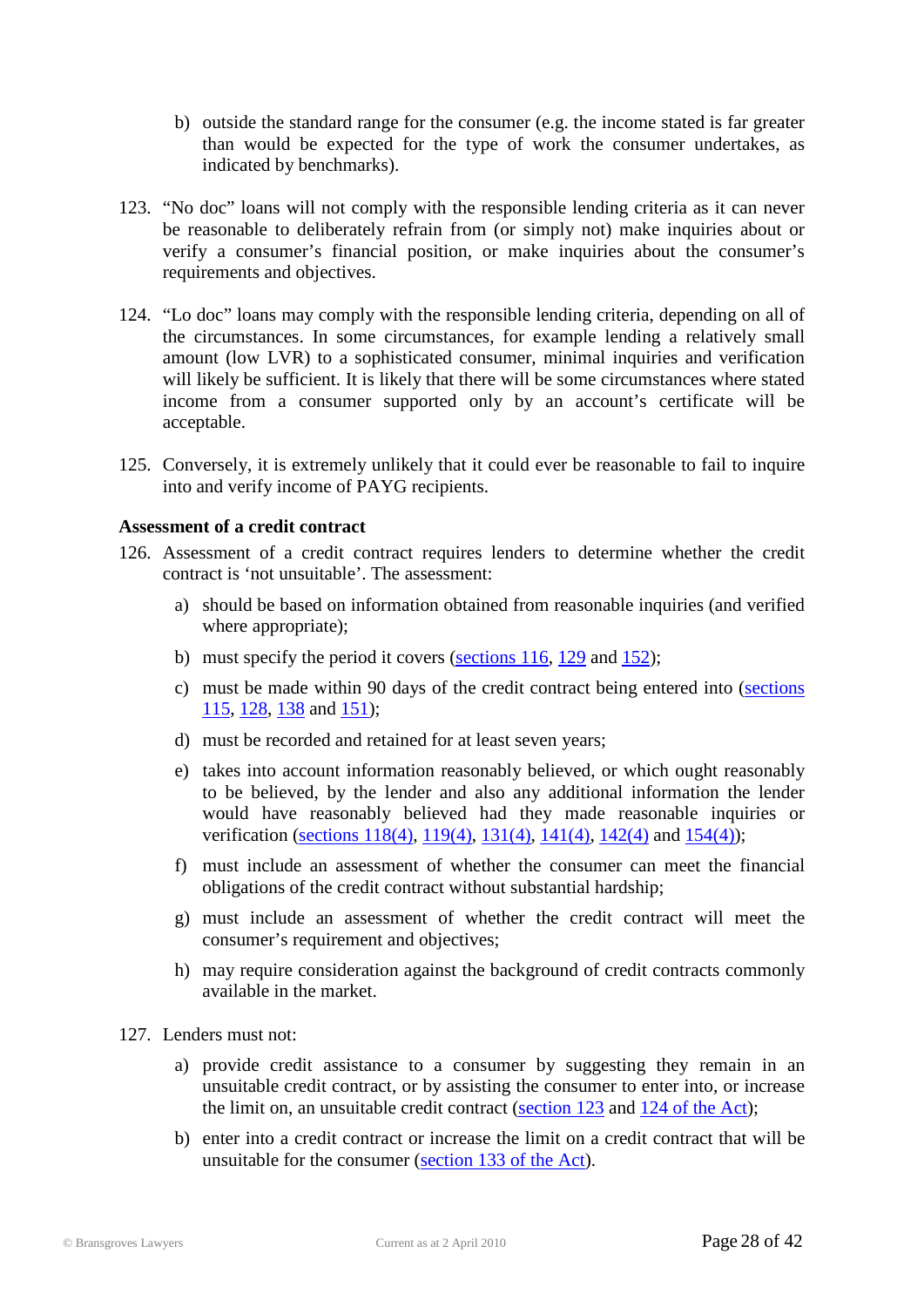- b) outside the standard range for the consumer (e.g. the income stated is far greater than would be expected for the type of work the consumer undertakes, as indicated by benchmarks).
- 123. "No doc" loans will not comply with the responsible lending criteria as it can never be reasonable to deliberately refrain from (or simply not) make inquiries about or verify a consumer's financial position, or make inquiries about the consumer's requirements and objectives.
- 124. "Lo doc" loans may comply with the responsible lending criteria, depending on all of the circumstances. In some circumstances, for example lending a relatively small amount (low LVR) to a sophisticated consumer, minimal inquiries and verification will likely be sufficient. It is likely that there will be some circumstances where stated income from a consumer supported only by an account's certificate will be acceptable.
- 125. Conversely, it is extremely unlikely that it could ever be reasonable to fail to inquire into and verify income of PAYG recipients.

#### **Assessment of a credit contract**

- 126. Assessment of a credit contract requires lenders to determine whether the credit contract is 'not unsuitable'. The assessment:
	- a) should be based on information obtained from reasonable inquiries (and verified where appropriate);
	- b) must specify the period it covers [\(sections 116,](http://www.austlii.edu.au/au/legis/cth/num_act/nccpa2009377/s116.html) [129](http://www.austlii.edu.au/au/legis/cth/num_act/nccpa2009377/s129.html) and [152\)](http://www.austlii.edu.au/au/legis/cth/num_act/nccpa2009377/s152.html);
	- c) must be made within 90 days of the credit contract being entered into [\(sections](http://www.austlii.edu.au/au/legis/cth/num_act/nccpa2009377/s115.html)  [115,](http://www.austlii.edu.au/au/legis/cth/num_act/nccpa2009377/s115.html) [128,](http://www.austlii.edu.au/au/legis/cth/num_act/nccpa2009377/s128.html) [138](http://www.austlii.edu.au/au/legis/cth/num_act/nccpa2009377/s138.html) and [151\)](http://www.austlii.edu.au/au/legis/cth/num_act/nccpa2009377/s151.html);
	- d) must be recorded and retained for at least seven years;
	- e) takes into account information reasonably believed, or which ought reasonably to be believed, by the lender and also any additional information the lender would have reasonably believed had they made reasonable inquiries or verification [\(sections 118\(4\),](http://www.austlii.edu.au/au/legis/cth/num_act/nccpa2009377/s118.html) [119\(4\),](http://www.austlii.edu.au/au/legis/cth/num_act/nccpa2009377/s119.html) [131\(4\),](http://www.austlii.edu.au/au/legis/cth/num_act/nccpa2009377/s131.html) [141\(4\),](http://www.austlii.edu.au/au/legis/cth/num_act/nccpa2009377/s141.html) [142\(4\)](http://www.austlii.edu.au/au/legis/cth/num_act/nccpa2009377/s142.html) and [154\(4\)\)](http://www.austlii.edu.au/au/legis/cth/num_act/nccpa2009377/s154.html);
	- f) must include an assessment of whether the consumer can meet the financial obligations of the credit contract without substantial hardship;
	- g) must include an assessment of whether the credit contract will meet the consumer's requirement and objectives;
	- h) may require consideration against the background of credit contracts commonly available in the market.
- 127. Lenders must not:
	- a) provide credit assistance to a consumer by suggesting they remain in an unsuitable credit contract, or by assisting the consumer to enter into, or increase the limit on, an unsuitable credit contract [\(section 123](http://www.austlii.edu.au/au/legis/cth/num_act/nccpa2009377/s123.html) and [124 of the Act\)](http://www.austlii.edu.au/au/legis/cth/num_act/nccpa2009377/s124.html);
	- b) enter into a credit contract or increase the limit on a credit contract that will be unsuitable for the consumer [\(section 133 of the Act\)](http://www.austlii.edu.au/au/legis/cth/num_act/nccpa2009377/s133.html).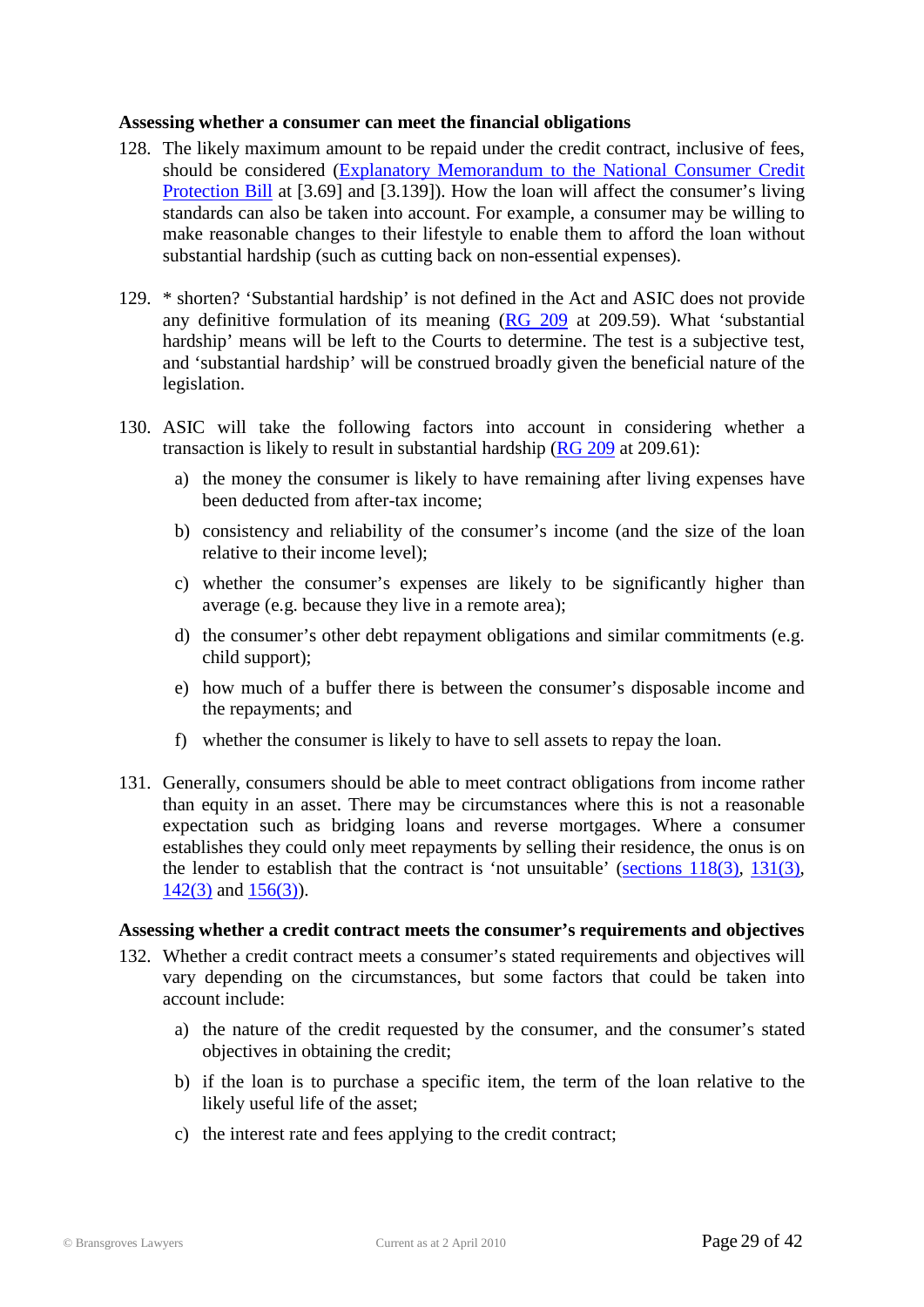#### **Assessing whether a consumer can meet the financial obligations**

- 128. The likely maximum amount to be repaid under the credit contract, inclusive of fees, should be considered [\(Explanatory Memorandum to the National Consumer Credit](http://www.comlaw.gov.au/ComLaw/Legislation/Bills1.nsf/framelodgmentattachments/16650DEA7F1CCFEECA2575E1002075A5)  [Protection Bill](http://www.comlaw.gov.au/ComLaw/Legislation/Bills1.nsf/framelodgmentattachments/16650DEA7F1CCFEECA2575E1002075A5) at [3.69] and [3.139]). How the loan will affect the consumer's living standards can also be taken into account. For example, a consumer may be willing to make reasonable changes to their lifestyle to enable them to afford the loan without substantial hardship (such as cutting back on non-essential expenses).
- 129. \* shorten? 'Substantial hardship' is not defined in the Act and ASIC does not provide any definitive formulation of its meaning [\(RG 209](http://www.asic.gov.au/asic/pdflib.nsf/LookupByFileName/rg209a.pdf/$file/rg209a.pdf) at 209.59). What 'substantial hardship' means will be left to the Courts to determine. The test is a subjective test, and 'substantial hardship' will be construed broadly given the beneficial nature of the legislation.
- 130. ASIC will take the following factors into account in considering whether a transaction is likely to result in substantial hardship  $(RG 209$  at 209.61):
	- a) the money the consumer is likely to have remaining after living expenses have been deducted from after-tax income;
	- b) consistency and reliability of the consumer's income (and the size of the loan relative to their income level);
	- c) whether the consumer's expenses are likely to be significantly higher than average (e.g. because they live in a remote area);
	- d) the consumer's other debt repayment obligations and similar commitments (e.g. child support);
	- e) how much of a buffer there is between the consumer's disposable income and the repayments; and
	- f) whether the consumer is likely to have to sell assets to repay the loan.
- 131. Generally, consumers should be able to meet contract obligations from income rather than equity in an asset. There may be circumstances where this is not a reasonable expectation such as bridging loans and reverse mortgages. Where a consumer establishes they could only meet repayments by selling their residence, the onus is on the lender to establish that the contract is 'not unsuitable' [\(sections 118\(3\),](http://www.austlii.edu.au/au/legis/cth/num_act/nccpa2009377/s118.html) [131\(3\),](http://www.austlii.edu.au/au/legis/cth/num_act/nccpa2009377/s131.html)  $142(3)$  and  $156(3)$ ).

#### **Assessing whether a credit contract meets the consumer's requirements and objectives**

- 132. Whether a credit contract meets a consumer's stated requirements and objectives will vary depending on the circumstances, but some factors that could be taken into account include:
	- a) the nature of the credit requested by the consumer, and the consumer's stated objectives in obtaining the credit;
	- b) if the loan is to purchase a specific item, the term of the loan relative to the likely useful life of the asset;
	- c) the interest rate and fees applying to the credit contract;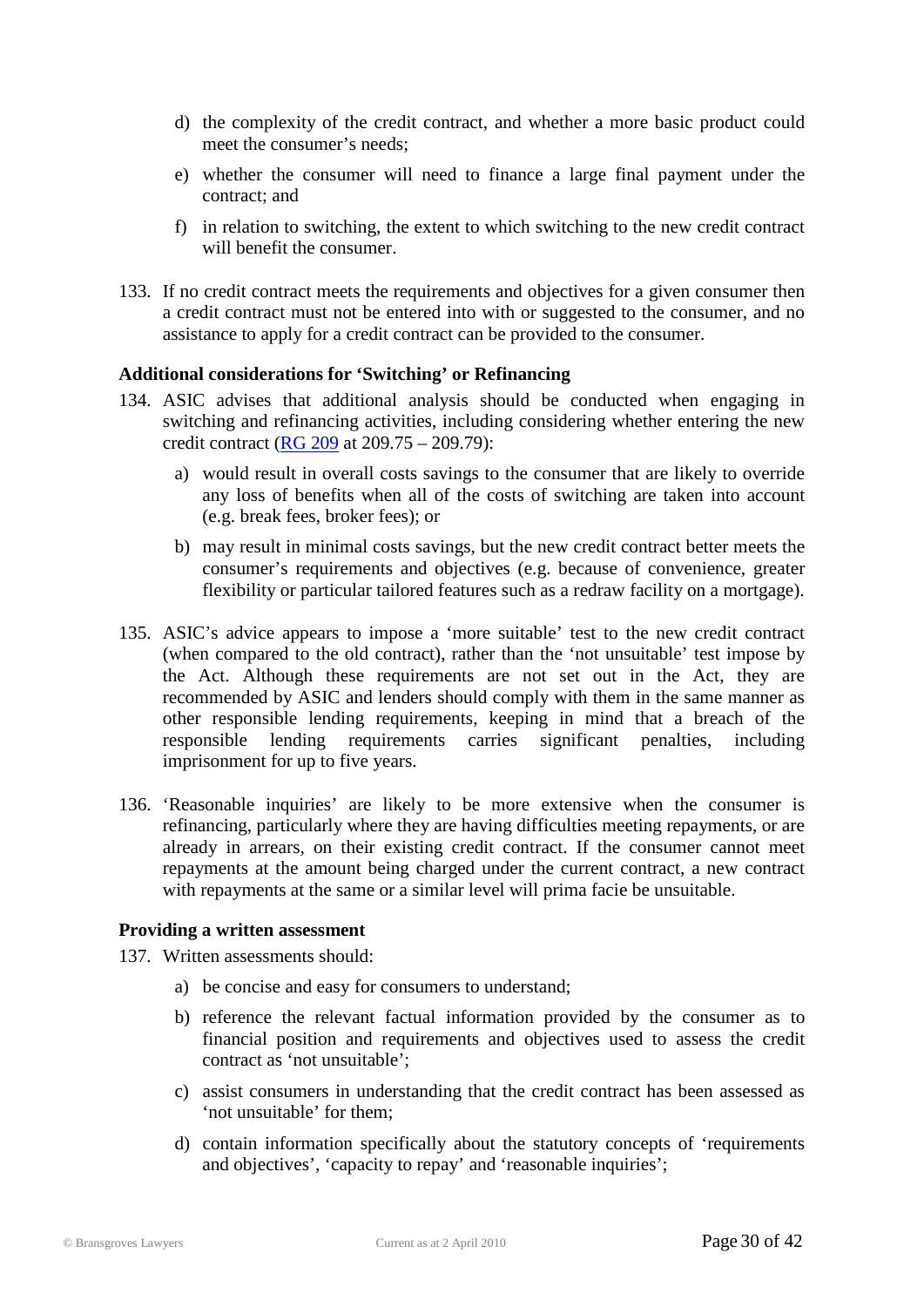- d) the complexity of the credit contract, and whether a more basic product could meet the consumer's needs;
- e) whether the consumer will need to finance a large final payment under the contract; and
- f) in relation to switching, the extent to which switching to the new credit contract will benefit the consumer.
- 133. If no credit contract meets the requirements and objectives for a given consumer then a credit contract must not be entered into with or suggested to the consumer, and no assistance to apply for a credit contract can be provided to the consumer.

#### **Additional considerations for 'Switching' or Refinancing**

- 134. ASIC advises that additional analysis should be conducted when engaging in switching and refinancing activities, including considering whether entering the new credit contract [\(RG 209](http://www.asic.gov.au/asic/pdflib.nsf/LookupByFileName/rg209a.pdf/$file/rg209a.pdf) at 209.75 – 209.79):
	- a) would result in overall costs savings to the consumer that are likely to override any loss of benefits when all of the costs of switching are taken into account (e.g. break fees, broker fees); or
	- b) may result in minimal costs savings, but the new credit contract better meets the consumer's requirements and objectives (e.g. because of convenience, greater flexibility or particular tailored features such as a redraw facility on a mortgage).
- 135. ASIC's advice appears to impose a 'more suitable' test to the new credit contract (when compared to the old contract), rather than the 'not unsuitable' test impose by the Act. Although these requirements are not set out in the Act, they are recommended by ASIC and lenders should comply with them in the same manner as other responsible lending requirements, keeping in mind that a breach of the responsible lending requirements carries significant penalties, including imprisonment for up to five years.
- 136. 'Reasonable inquiries' are likely to be more extensive when the consumer is refinancing, particularly where they are having difficulties meeting repayments, or are already in arrears, on their existing credit contract. If the consumer cannot meet repayments at the amount being charged under the current contract, a new contract with repayments at the same or a similar level will prima facie be unsuitable.

#### **Providing a written assessment**

137. Written assessments should:

- a) be concise and easy for consumers to understand;
- b) reference the relevant factual information provided by the consumer as to financial position and requirements and objectives used to assess the credit contract as 'not unsuitable';
- c) assist consumers in understanding that the credit contract has been assessed as 'not unsuitable' for them;
- d) contain information specifically about the statutory concepts of 'requirements and objectives', 'capacity to repay' and 'reasonable inquiries';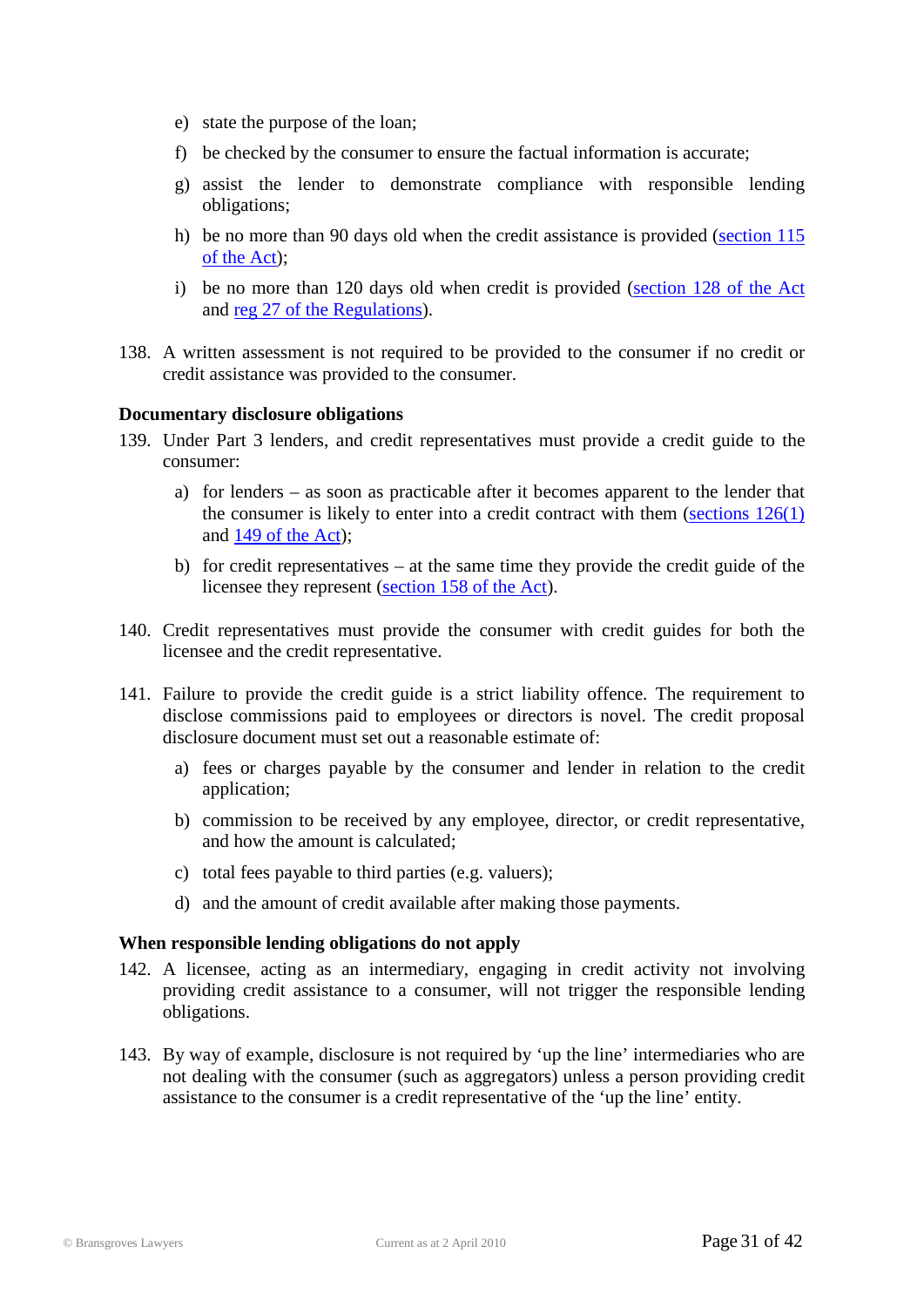- e) state the purpose of the loan;
- f) be checked by the consumer to ensure the factual information is accurate;
- g) assist the lender to demonstrate compliance with responsible lending obligations;
- h) be no more than 90 days old when the credit assistance is provided [\(section 115](http://www.austlii.edu.au/au/legis/cth/num_act/nccpa2009377/s115.html)  [of the Act\)](http://www.austlii.edu.au/au/legis/cth/num_act/nccpa2009377/s115.html);
- i) be no more than 120 days old when credit is provided [\(section 128 of the Act](http://www.austlii.edu.au/au/legis/cth/num_act/nccpa2009377/s128.html) and [reg 27 of the Regulations\)](http://www.treasury.gov.au/documents/1597/PDF/ED_1_National_Consumer_Credit_Protection_Regulations_2009.pdf).
- 138. A written assessment is not required to be provided to the consumer if no credit or credit assistance was provided to the consumer.

#### **Documentary disclosure obligations**

- 139. Under Part 3 lenders, and credit representatives must provide a credit guide to the consumer:
	- a) for lenders as soon as practicable after it becomes apparent to the lender that the consumer is likely to enter into a credit contract with them [\(sections](http://www.austlii.edu.au/au/legis/cth/num_act/nccpa2009377/s126.html)  $126(1)$ ) and 149 [of the Act\)](http://www.austlii.edu.au/au/legis/cth/num_act/nccpa2009377/s149.html);
	- b) for credit representatives at the same time they provide the credit guide of the licensee they represent [\(section 158 of the Act\)](http://www.austlii.edu.au/au/legis/cth/num_act/nccpa2009377/s6.html).
- 140. Credit representatives must provide the consumer with credit guides for both the licensee and the credit representative.
- 141. Failure to provide the credit guide is a strict liability offence. The requirement to disclose commissions paid to employees or directors is novel. The credit proposal disclosure document must set out a reasonable estimate of:
	- a) fees or charges payable by the consumer and lender in relation to the credit application;
	- b) commission to be received by any employee, director, or credit representative, and how the amount is calculated;
	- c) total fees payable to third parties (e.g. valuers);
	- d) and the amount of credit available after making those payments.

#### **When responsible lending obligations do not apply**

- 142. A licensee, acting as an intermediary, engaging in credit activity not involving providing credit assistance to a consumer, will not trigger the responsible lending obligations.
- 143. By way of example, disclosure is not required by 'up the line' intermediaries who are not dealing with the consumer (such as aggregators) unless a person providing credit assistance to the consumer is a credit representative of the 'up the line' entity.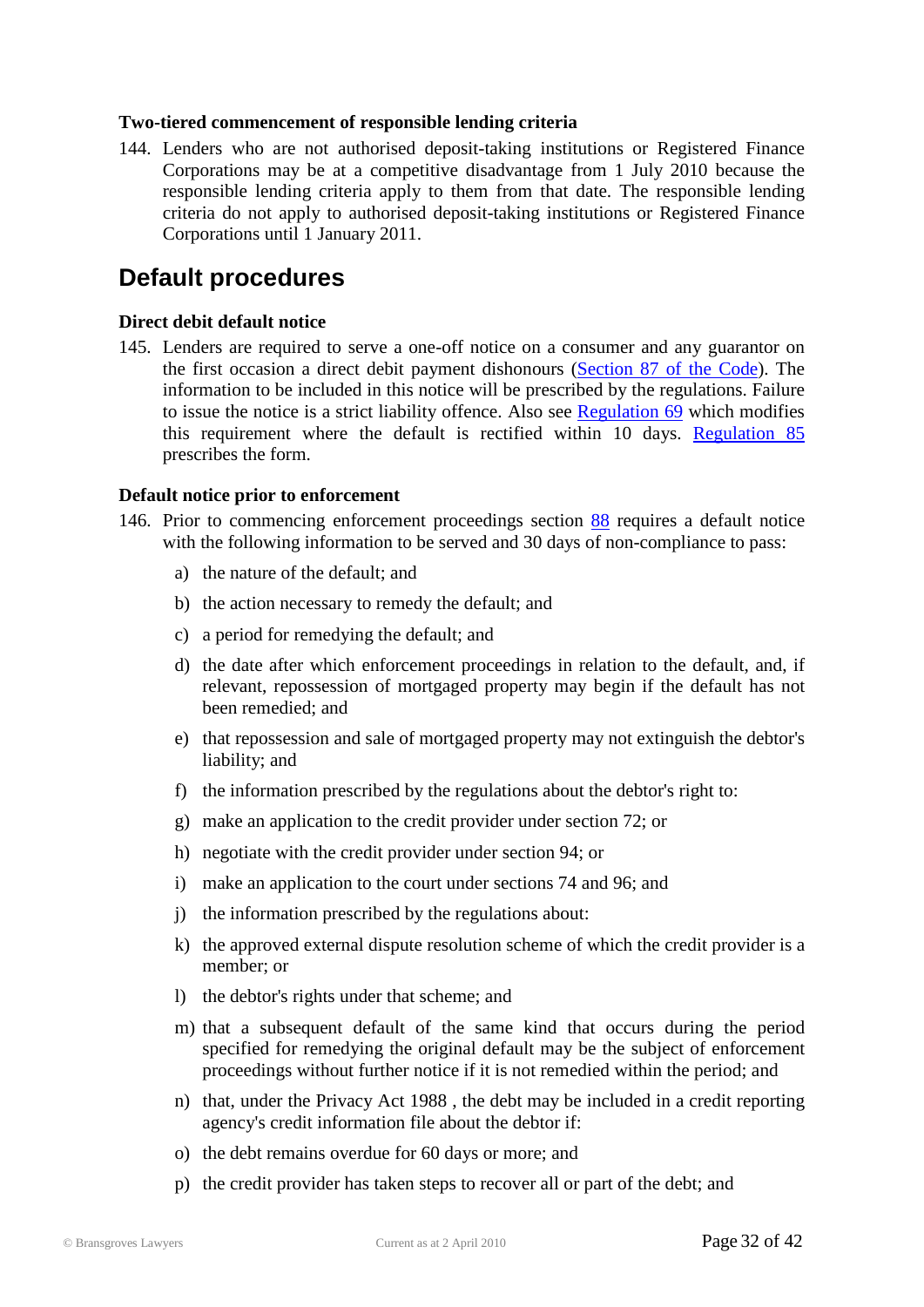#### **Two-tiered commencement of responsible lending criteria**

144. Lenders who are not authorised deposit-taking institutions or Registered Finance Corporations may be at a competitive disadvantage from 1 July 2010 because the responsible lending criteria apply to them from that date. The responsible lending criteria do not apply to authorised deposit-taking institutions or Registered Finance Corporations until 1 January 2011.

### <span id="page-31-0"></span>**Default procedures**

#### **Direct debit default notice**

145. Lenders are required to serve a one-off notice on a consumer and any guarantor on the first occasion a direct debit payment dishonours [\(Section 87 of the Code\)](http://www.austlii.edu.au/au/legis/cth/num_act/nccpa2009377/sch1.html#_Toc246930280). The information to be included in this notice will be prescribed by the regulations. Failure to issue the notice is a strict liability offence. Also see [Regulation 69](http://www.austlii.edu.au/au/legis/cth/num_reg/nccpr2010n44o2010569/s69.html) which modifies this requirement where the default is rectified within 10 days. [Regulation 85](http://www.austlii.edu.au/au/legis/cth/num_reg/nccpr2010n44o2010569/s85.html) prescribes the form.

#### **Default notice prior to enforcement**

- 146. Prior to commencing enforcement proceedings section [88](http://www.austlii.edu.au/au/legis/cth/num_act/nccpa2009377/sch1.html#_Toc246930282) requires a default notice with the following information to be served and 30 days of non-compliance to pass:
	- a) the nature of the default; and
	- b) the action necessary to remedy the default; and
	- c) a period for remedying the default; and
	- d) the date after which enforcement proceedings in relation to the default, and, if relevant, repossession of mortgaged property may begin if the default has not been remedied; and
	- e) that repossession and sale of mortgaged property may not extinguish the debtor's liability; and
	- f) the information prescribed by the regulations about the debtor's right to:
	- g) make an application to the credit provider under section 72; or
	- h) negotiate with the credit provider under section 94; or
	- i) make an application to the court under sections 74 and 96; and
	- j) the information prescribed by the regulations about:
	- k) the approved external dispute resolution scheme of which the credit provider is a member; or
	- l) the debtor's rights under that scheme; and
	- m) that a subsequent default of the same kind that occurs during the period specified for remedying the original default may be the subject of enforcement proceedings without further notice if it is not remedied within the period; and
	- n) that, under the Privacy Act 1988 , the debt may be included in a credit reporting agency's credit information file about the debtor if:
	- o) the debt remains overdue for 60 days or more; and
	- p) the credit provider has taken steps to recover all or part of the debt; and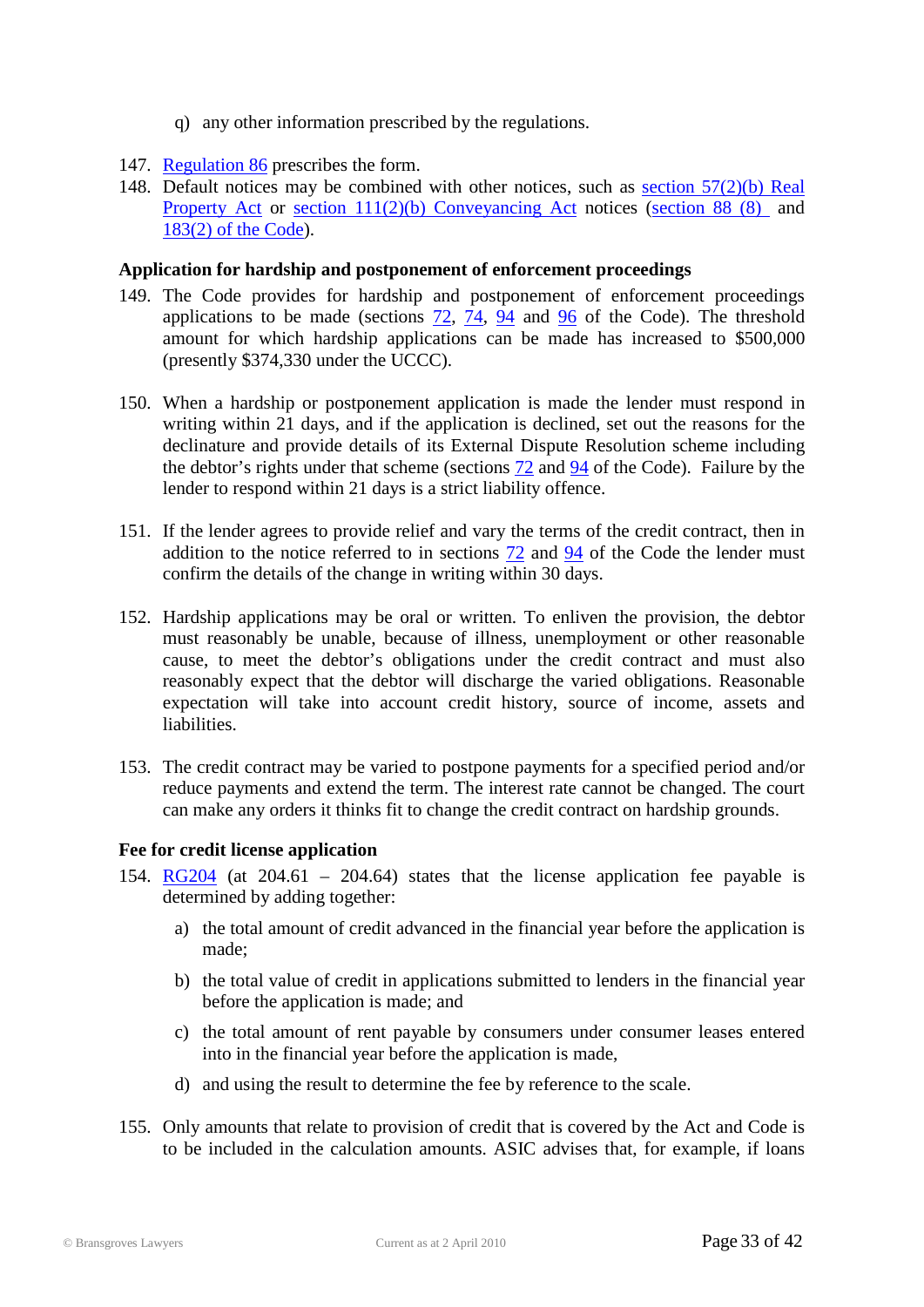- q) any other information prescribed by the regulations.
- 147. [Regulation 86](http://www.austlii.edu.au/au/legis/cth/num_reg/nccpr2010n44o2010569/s86.html) prescribes the form.
- 148. Default notices may be combined with other notices, such as [section 57\(2\)\(b\) Real](http://www.austlii.edu.au/au/legis/nsw/consol_act/rpa1900178/s57.html)  [Property Act](http://www.austlii.edu.au/au/legis/nsw/consol_act/rpa1900178/s57.html) or [section 111\(2\)\(b\) Conveyancing Act](http://www.austlii.edu.au/au/legis/nsw/consol_act/ca1919141/s111.html) notices (section [88 \(8\)](http://www.austlii.edu.au/au/legis/cth/num_act/nccpa2009377/sch1.html#_Toc246930282) and [183\(2\) of the Code\)](http://www.austlii.edu.au/au/legis/cth/num_act/nccpa2009377/sch1.html#_Toc246930404).

#### **Application for hardship and postponement of enforcement proceedings**

- 149. The Code provides for hardship and postponement of enforcement proceedings applications to be made (sections [72,](http://www.austlii.edu.au/au/legis/cth/num_act/nccpa2009377/sch1.html#_Toc246930263) [74,](http://www.austlii.edu.au/au/legis/cth/num_act/nccpa2009377/sch1.html#_Toc246930265) [94](http://www.austlii.edu.au/au/legis/cth/num_act/nccpa2009377/sch1.html#_Toc246930289) and [96](http://www.austlii.edu.au/au/legis/cth/num_act/nccpa2009377/sch1.html#_Toc246930291) of the Code). The threshold amount for which hardship applications can be made has increased to \$500,000 (presently \$374,330 under the UCCC).
- 150. When a hardship or postponement application is made the lender must respond in writing within 21 days, and if the application is declined, set out the reasons for the declinature and provide details of its External Dispute Resolution scheme including the debtor's rights under that scheme (sections [72](http://www.austlii.edu.au/au/legis/cth/num_act/nccpa2009377/sch1.html#_Toc246930263) and [94](http://www.austlii.edu.au/au/legis/cth/num_act/nccpa2009377/sch1.html#_Toc246930289) of the Code). Failure by the lender to respond within 21 days is a strict liability offence.
- 151. If the lender agrees to provide relief and vary the terms of the credit contract, then in addition to the notice referred to in sections [72](http://www.austlii.edu.au/au/legis/cth/num_act/nccpa2009377/sch1.html#_Toc246930263) and [94](http://www.austlii.edu.au/au/legis/cth/num_act/nccpa2009377/sch1.html#_Toc246930289) of the Code the lender must confirm the details of the change in writing within 30 days.
- 152. Hardship applications may be oral or written. To enliven the provision, the debtor must reasonably be unable, because of illness, unemployment or other reasonable cause, to meet the debtor's obligations under the credit contract and must also reasonably expect that the debtor will discharge the varied obligations. Reasonable expectation will take into account credit history, source of income, assets and liabilities.
- 153. The credit contract may be varied to postpone payments for a specified period and/or reduce payments and extend the term. The interest rate cannot be changed. The court can make any orders it thinks fit to change the credit contract on hardship grounds.

#### **Fee for credit license application**

- 154. [RG204](http://www.asic.gov.au/asic/pdflib.nsf/LookupByFileName/rg204.pdf/$file/rg204.pdf) (at  $204.61 204.64$ ) states that the license application fee payable is determined by adding together:
	- a) the total amount of credit advanced in the financial year before the application is made;
	- b) the total value of credit in applications submitted to lenders in the financial year before the application is made; and
	- c) the total amount of rent payable by consumers under consumer leases entered into in the financial year before the application is made,
	- d) and using the result to determine the fee by reference to the scale.
- 155. Only amounts that relate to provision of credit that is covered by the Act and Code is to be included in the calculation amounts. ASIC advises that, for example, if loans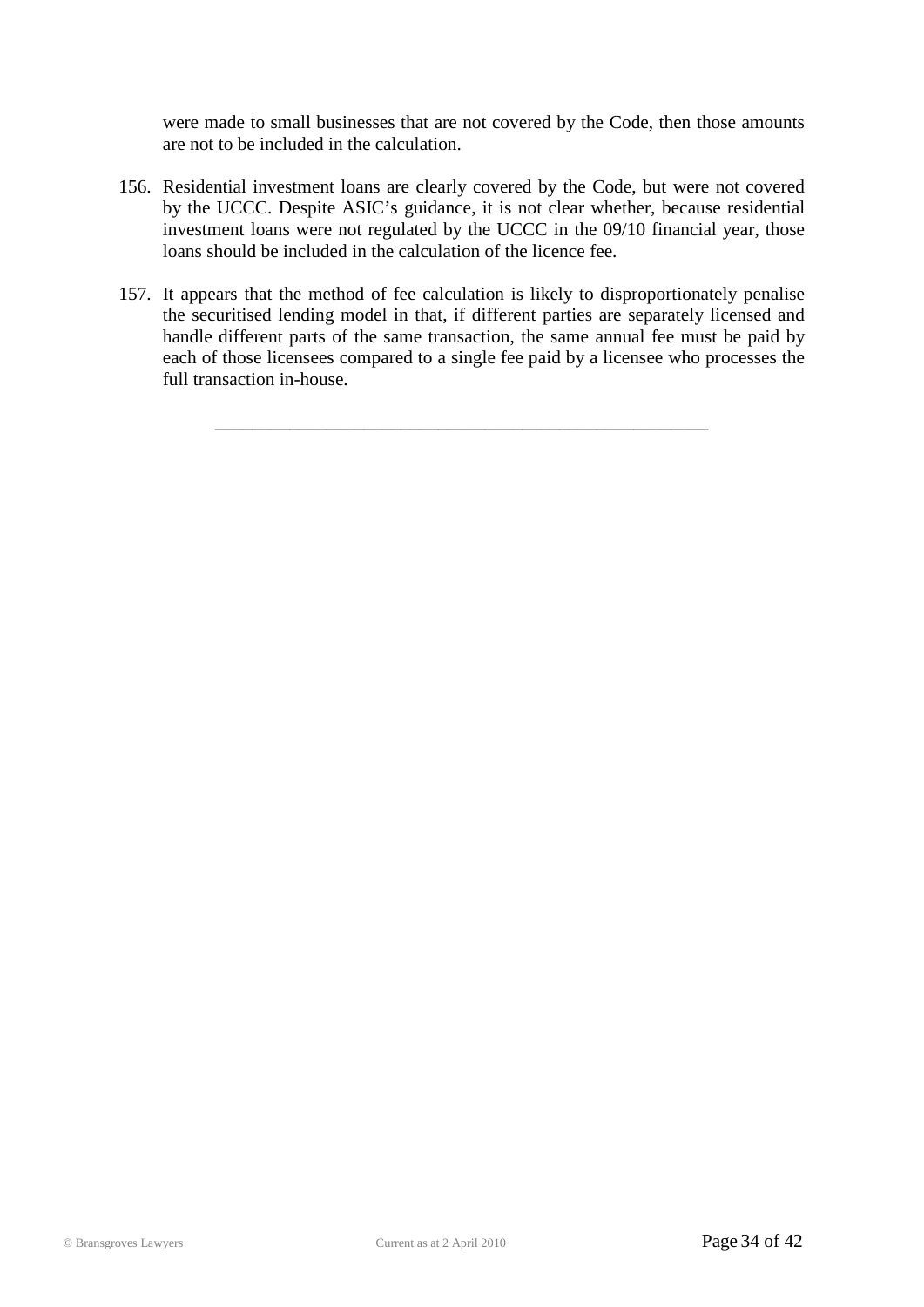were made to small businesses that are not covered by the Code, then those amounts are not to be included in the calculation.

- 156. Residential investment loans are clearly covered by the Code, but were not covered by the UCCC. Despite ASIC's guidance, it is not clear whether, because residential investment loans were not regulated by the UCCC in the 09/10 financial year, those loans should be included in the calculation of the licence fee.
- 157. It appears that the method of fee calculation is likely to disproportionately penalise the securitised lending model in that, if different parties are separately licensed and handle different parts of the same transaction, the same annual fee must be paid by each of those licensees compared to a single fee paid by a licensee who processes the full transaction in-house.

\_\_\_\_\_\_\_\_\_\_\_\_\_\_\_\_\_\_\_\_\_\_\_\_\_\_\_\_\_\_\_\_\_\_\_\_\_\_\_\_\_\_\_\_\_\_\_\_\_\_\_\_\_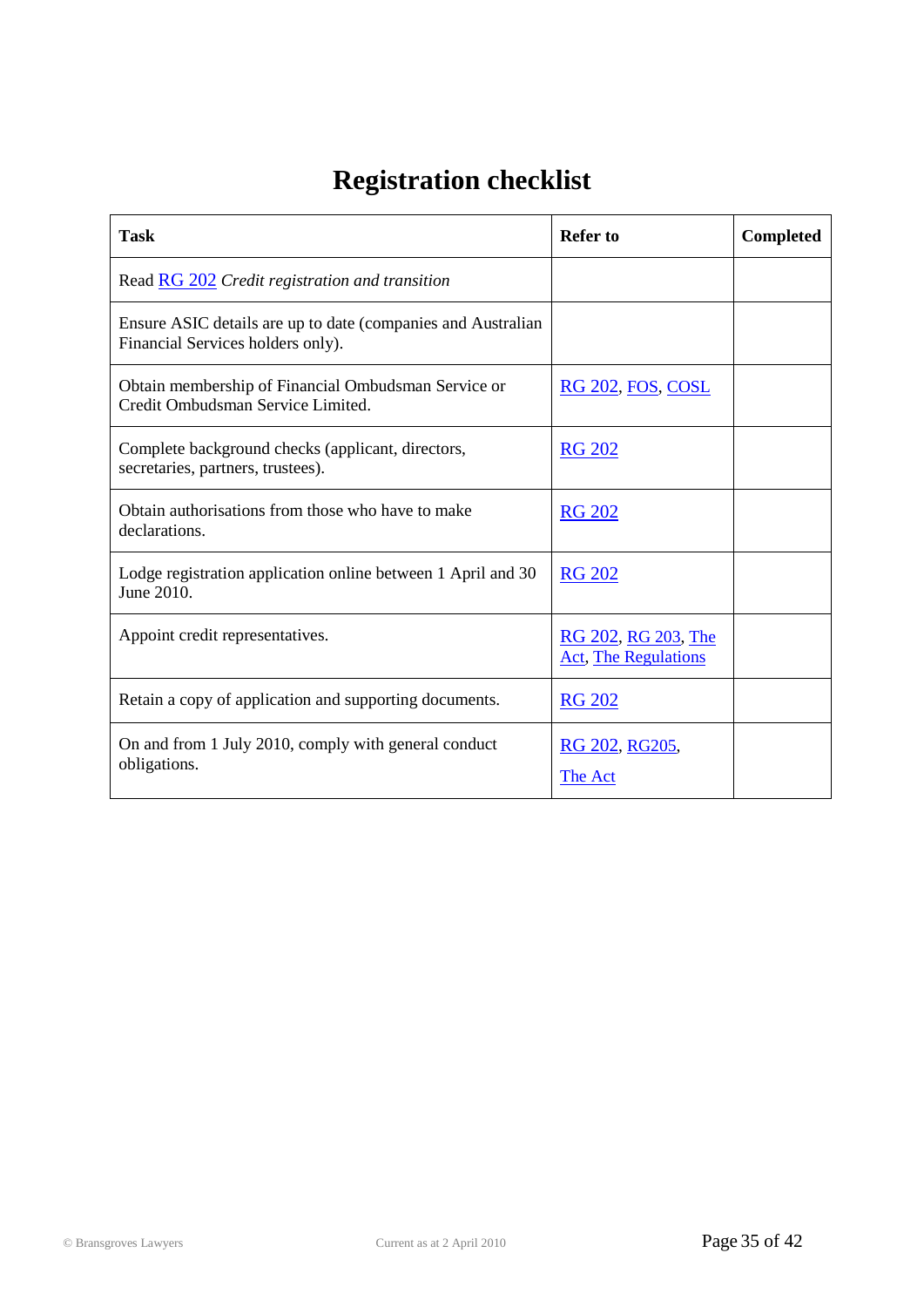# **Registration checklist**

<span id="page-34-0"></span>

| <b>Task</b>                                                                                       | <b>Refer to</b>                                    | <b>Completed</b> |
|---------------------------------------------------------------------------------------------------|----------------------------------------------------|------------------|
| Read RG 202 Credit registration and transition                                                    |                                                    |                  |
| Ensure ASIC details are up to date (companies and Australian<br>Financial Services holders only). |                                                    |                  |
| Obtain membership of Financial Ombudsman Service or<br>Credit Ombudsman Service Limited.          | <b>RG 202, FOS, COSL</b>                           |                  |
| Complete background checks (applicant, directors,<br>secretaries, partners, trustees).            | <b>RG 202</b>                                      |                  |
| Obtain authorisations from those who have to make<br>declarations.                                | <b>RG 202</b>                                      |                  |
| Lodge registration application online between 1 April and 30<br>June 2010.                        | <b>RG 202</b>                                      |                  |
| Appoint credit representatives.                                                                   | RG 202, RG 203, The<br><b>Act, The Regulations</b> |                  |
| Retain a copy of application and supporting documents.                                            | <b>RG 202</b>                                      |                  |
| On and from 1 July 2010, comply with general conduct<br>obligations.                              | RG 202, RG205,<br>The Act                          |                  |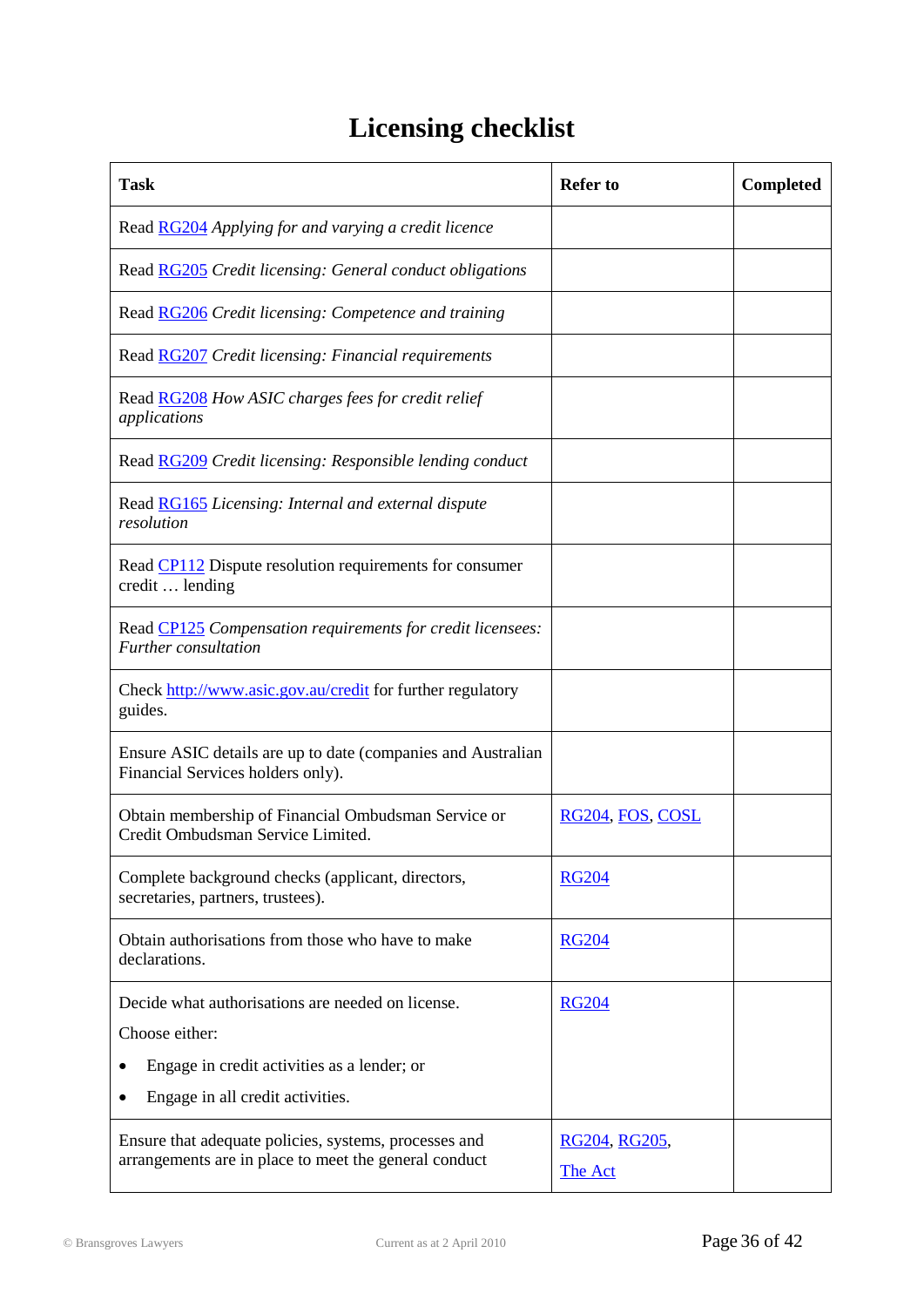# **Licensing checklist**

| <b>Task</b>                                                                                                    | <b>Refer to</b>  | <b>Completed</b> |
|----------------------------------------------------------------------------------------------------------------|------------------|------------------|
| Read RG204 Applying for and varying a credit licence                                                           |                  |                  |
| Read <b>RG205</b> Credit licensing: General conduct obligations                                                |                  |                  |
| Read RG206 Credit licensing: Competence and training                                                           |                  |                  |
| Read RG207 Credit licensing: Financial requirements                                                            |                  |                  |
| Read <b>RG208</b> How ASIC charges fees for credit relief<br>applications                                      |                  |                  |
| Read RG209 Credit licensing: Responsible lending conduct                                                       |                  |                  |
| Read <b>RG165</b> Licensing: Internal and external dispute<br>resolution                                       |                  |                  |
| Read CP112 Dispute resolution requirements for consumer<br>credit  lending                                     |                  |                  |
| Read CP125 Compensation requirements for credit licensees:<br>Further consultation                             |                  |                  |
| Check http://www.asic.gov.au/credit for further regulatory<br>guides.                                          |                  |                  |
| Ensure ASIC details are up to date (companies and Australian<br>Financial Services holders only).              |                  |                  |
| Obtain membership of Financial Ombudsman Service or<br>Credit Ombudsman Service Limited.                       | RG204, FOS, COSL |                  |
| Complete background checks (applicant, directors,<br>secretaries, partners, trustees).                         | <b>RG204</b>     |                  |
| Obtain authorisations from those who have to make<br>declarations.                                             | <b>RG204</b>     |                  |
| Decide what authorisations are needed on license.                                                              | <b>RG204</b>     |                  |
| Choose either:                                                                                                 |                  |                  |
| Engage in credit activities as a lender; or                                                                    |                  |                  |
| Engage in all credit activities.                                                                               |                  |                  |
| Ensure that adequate policies, systems, processes and<br>arrangements are in place to meet the general conduct | RG204, RG205,    |                  |
|                                                                                                                | The Act          |                  |
|                                                                                                                |                  |                  |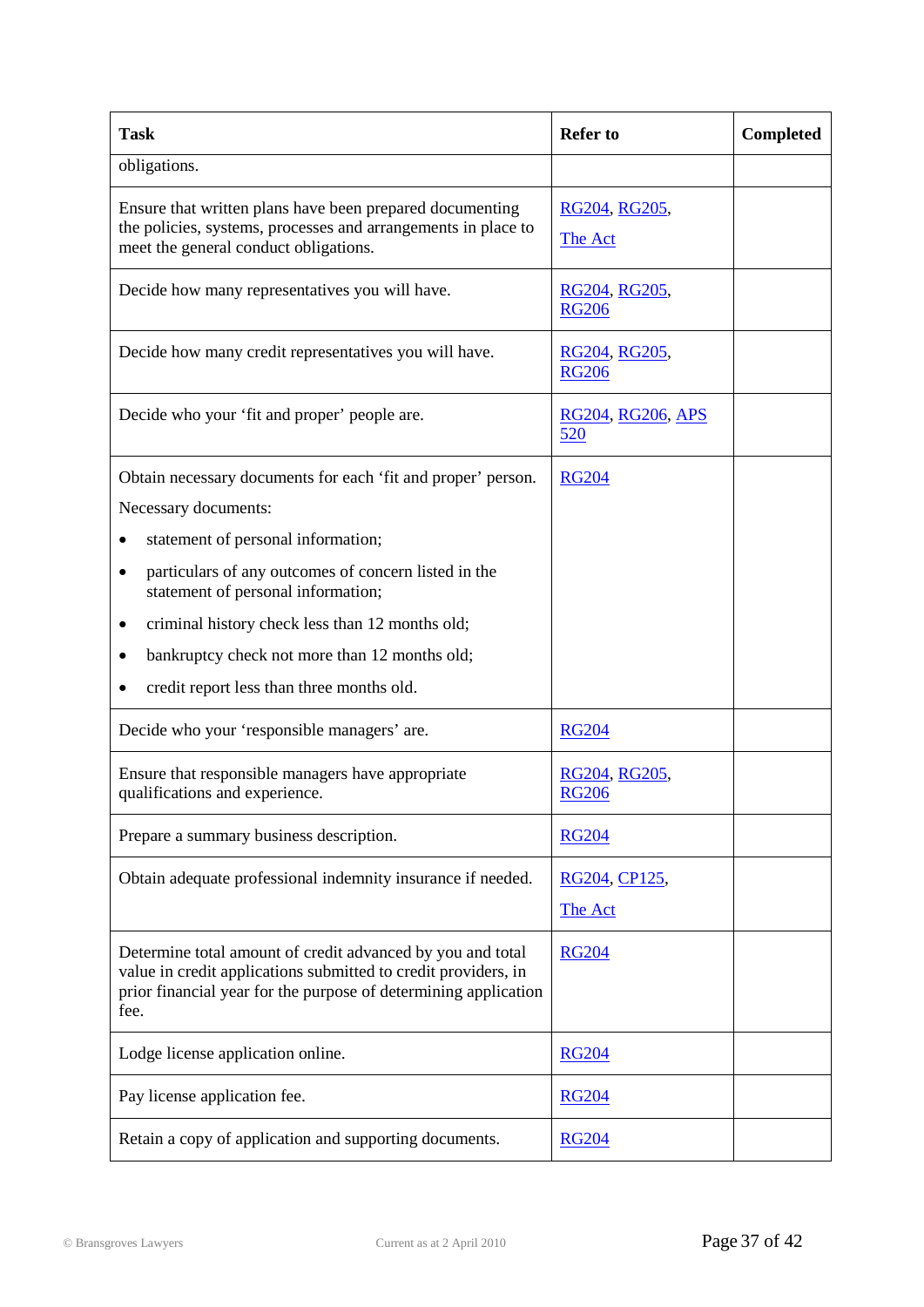| <b>Task</b>                                                                                                                                                                                             | <b>Refer to</b>                 | Completed |
|---------------------------------------------------------------------------------------------------------------------------------------------------------------------------------------------------------|---------------------------------|-----------|
| obligations.                                                                                                                                                                                            |                                 |           |
| Ensure that written plans have been prepared documenting<br>the policies, systems, processes and arrangements in place to<br>meet the general conduct obligations.                                      | RG204, RG205,<br>The Act        |           |
| Decide how many representatives you will have.                                                                                                                                                          | RG204, RG205,<br><b>RG206</b>   |           |
| Decide how many credit representatives you will have.                                                                                                                                                   | RG204, RG205,<br><b>RG206</b>   |           |
| Decide who your 'fit and proper' people are.                                                                                                                                                            | RG204, RG206, APS<br>520        |           |
| Obtain necessary documents for each 'fit and proper' person.<br>Necessary documents:                                                                                                                    | <b>RG204</b>                    |           |
| statement of personal information;                                                                                                                                                                      |                                 |           |
| particulars of any outcomes of concern listed in the<br>$\bullet$<br>statement of personal information;                                                                                                 |                                 |           |
| criminal history check less than 12 months old;<br>٠                                                                                                                                                    |                                 |           |
| bankruptcy check not more than 12 months old;                                                                                                                                                           |                                 |           |
| credit report less than three months old.                                                                                                                                                               |                                 |           |
| Decide who your 'responsible managers' are.                                                                                                                                                             | <b>RG204</b>                    |           |
| Ensure that responsible managers have appropriate<br>qualifications and experience.                                                                                                                     | RG204, RG205,<br><b>RG206</b>   |           |
| Prepare a summary business description.                                                                                                                                                                 | <b>RG204</b>                    |           |
| Obtain adequate professional indemnity insurance if needed.                                                                                                                                             | RG204, CP125,<br><b>The Act</b> |           |
| Determine total amount of credit advanced by you and total<br>value in credit applications submitted to credit providers, in<br>prior financial year for the purpose of determining application<br>fee. | <b>RG204</b>                    |           |
| Lodge license application online.                                                                                                                                                                       | <b>RG204</b>                    |           |
| Pay license application fee.                                                                                                                                                                            | <b>RG204</b>                    |           |
| Retain a copy of application and supporting documents.                                                                                                                                                  | <b>RG204</b>                    |           |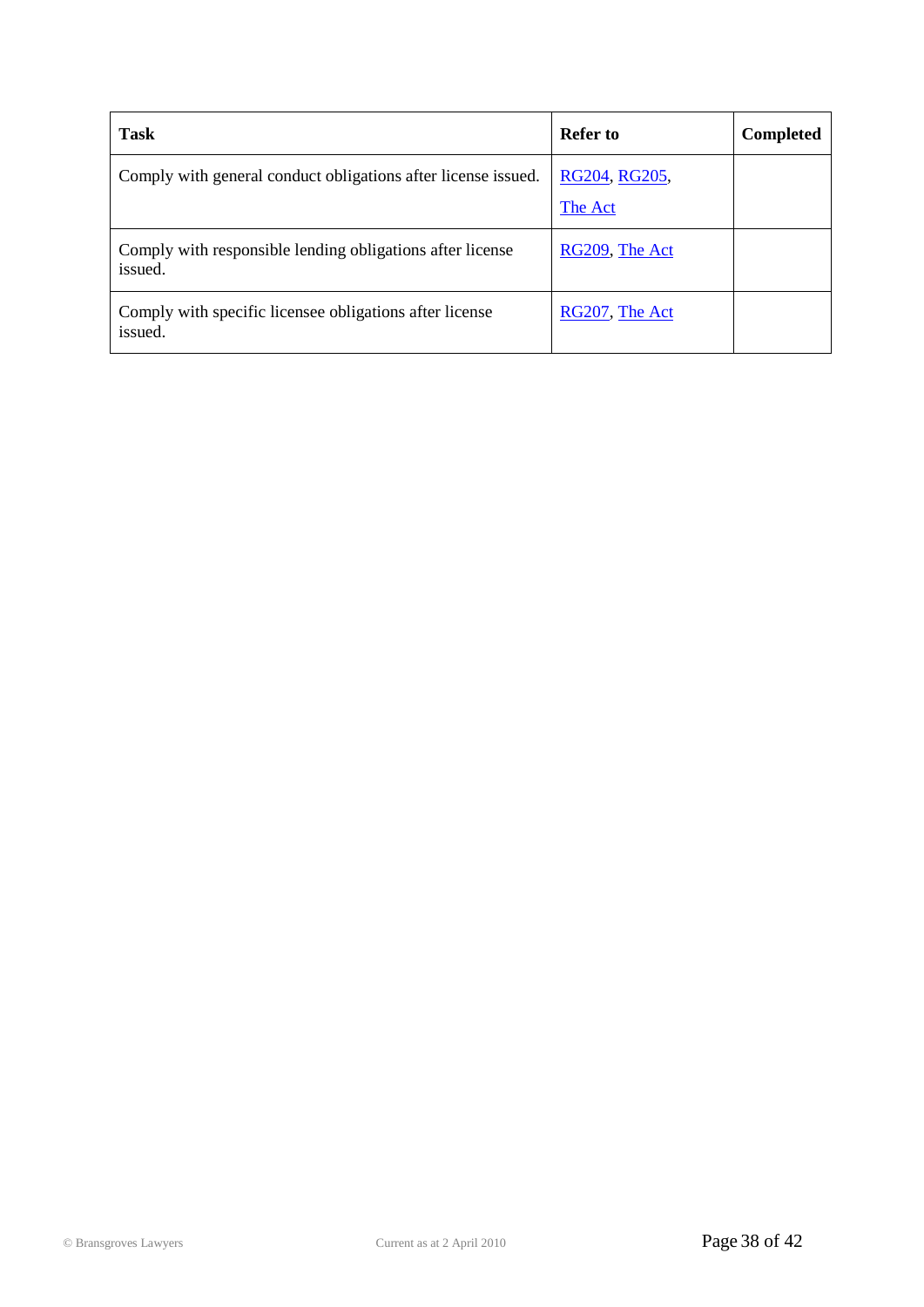| <b>Task</b>                                                          | <b>Refer to</b>          | <b>Completed</b> |
|----------------------------------------------------------------------|--------------------------|------------------|
| Comply with general conduct obligations after license issued.        | RG204, RG205,<br>The Act |                  |
| Comply with responsible lending obligations after license<br>issued. | RG209, The Act           |                  |
| Comply with specific licensee obligations after license<br>issued.   | RG207, The Act           |                  |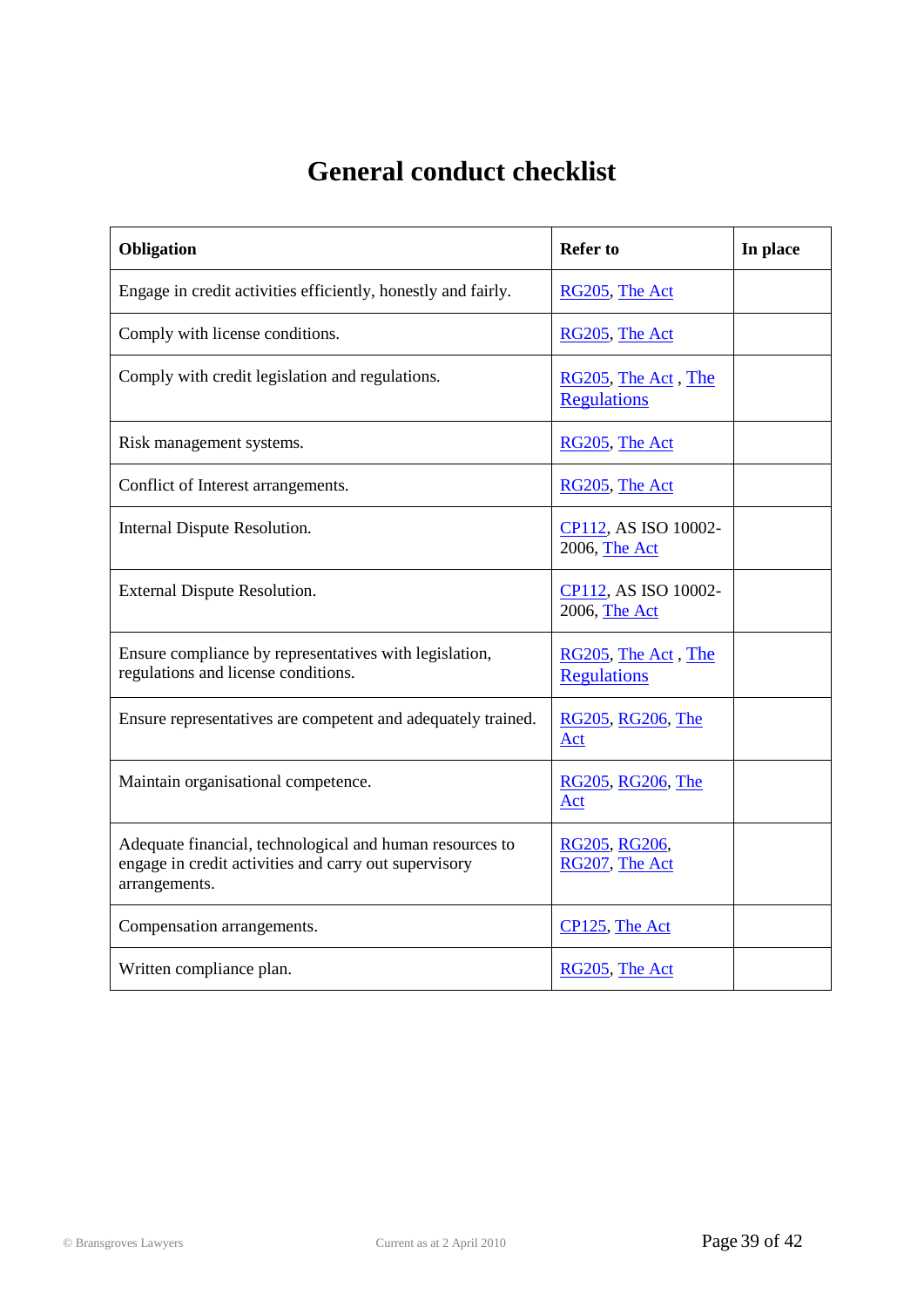## **General conduct checklist**

| Obligation                                                                                                                         | <b>Refer to</b>                           | In place |
|------------------------------------------------------------------------------------------------------------------------------------|-------------------------------------------|----------|
| Engage in credit activities efficiently, honestly and fairly.                                                                      | RG205, The Act                            |          |
| Comply with license conditions.                                                                                                    | RG205, The Act                            |          |
| Comply with credit legislation and regulations.                                                                                    | RG205, The Act, The<br><b>Regulations</b> |          |
| Risk management systems.                                                                                                           | RG205, The Act                            |          |
| Conflict of Interest arrangements.                                                                                                 | RG205, The Act                            |          |
| Internal Dispute Resolution.                                                                                                       | CP112, AS ISO 10002-<br>2006, The Act     |          |
| <b>External Dispute Resolution.</b>                                                                                                | CP112, AS ISO 10002-<br>2006, The Act     |          |
| Ensure compliance by representatives with legislation,<br>regulations and license conditions.                                      | RG205, The Act, The<br><b>Regulations</b> |          |
| Ensure representatives are competent and adequately trained.                                                                       | RG205, RG206, The<br>Act                  |          |
| Maintain organisational competence.                                                                                                | RG205, RG206, The<br>Act                  |          |
| Adequate financial, technological and human resources to<br>engage in credit activities and carry out supervisory<br>arrangements. | RG205, RG206,<br>RG207, The Act           |          |
| Compensation arrangements.                                                                                                         | CP125, The Act                            |          |
| Written compliance plan.                                                                                                           | RG205, The Act                            |          |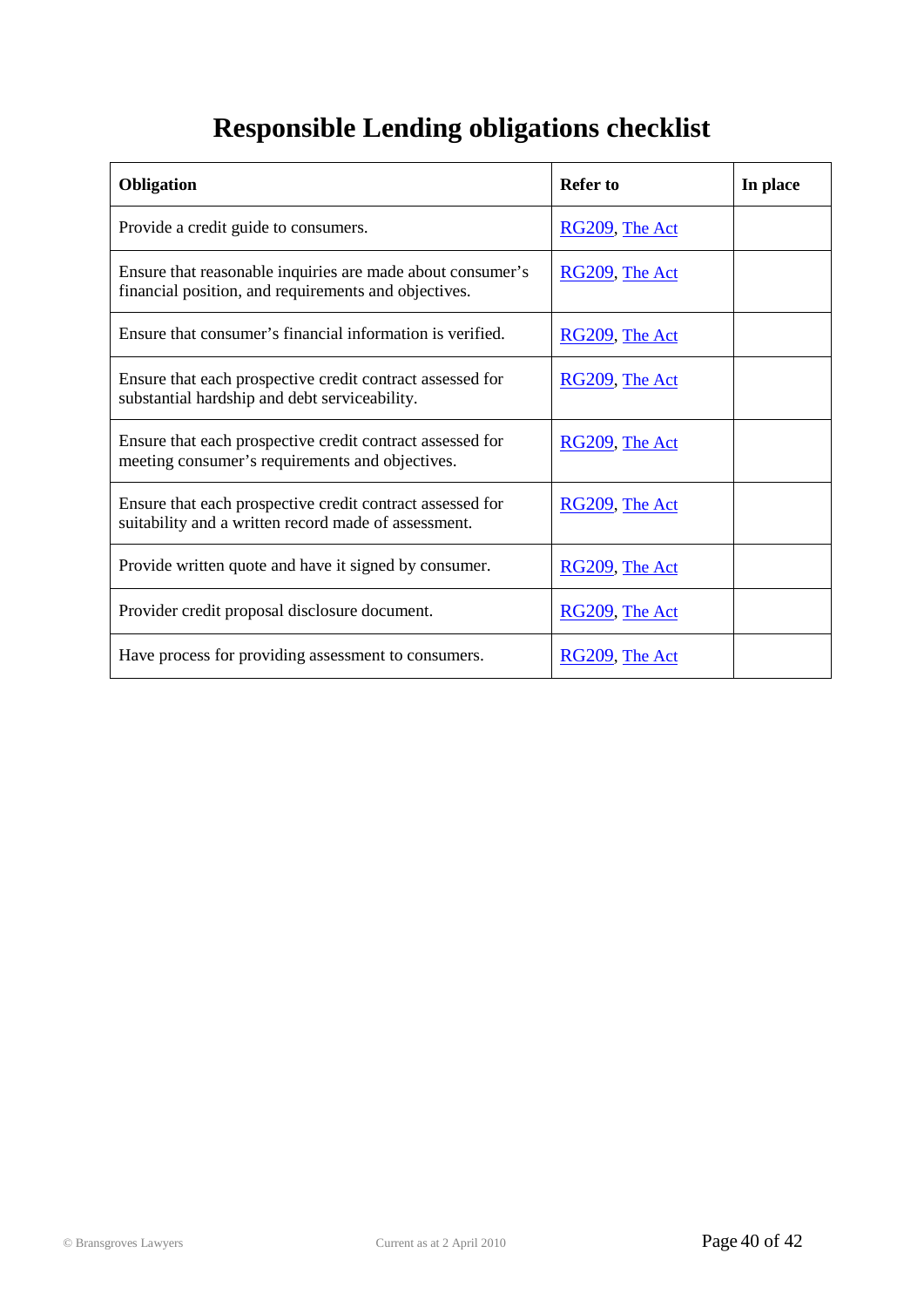# **Responsible Lending obligations checklist**

| <b>Obligation</b>                                                                                                  | <b>Refer to</b>   | In place |
|--------------------------------------------------------------------------------------------------------------------|-------------------|----------|
| Provide a credit guide to consumers.                                                                               | $RG209$ , The Act |          |
| Ensure that reasonable inquiries are made about consumer's<br>financial position, and requirements and objectives. | RG209, The Act    |          |
| Ensure that consumer's financial information is verified.                                                          | $RG209$ , The Act |          |
| Ensure that each prospective credit contract assessed for<br>substantial hardship and debt serviceability.         | $RG209$ , The Act |          |
| Ensure that each prospective credit contract assessed for<br>meeting consumer's requirements and objectives.       | RG209, The Act    |          |
| Ensure that each prospective credit contract assessed for<br>suitability and a written record made of assessment.  | RG209, The Act    |          |
| Provide written quote and have it signed by consumer.                                                              | RG209, The Act    |          |
| Provider credit proposal disclosure document.                                                                      | RG209, The Act    |          |
| Have process for providing assessment to consumers.                                                                | RG209, The Act    |          |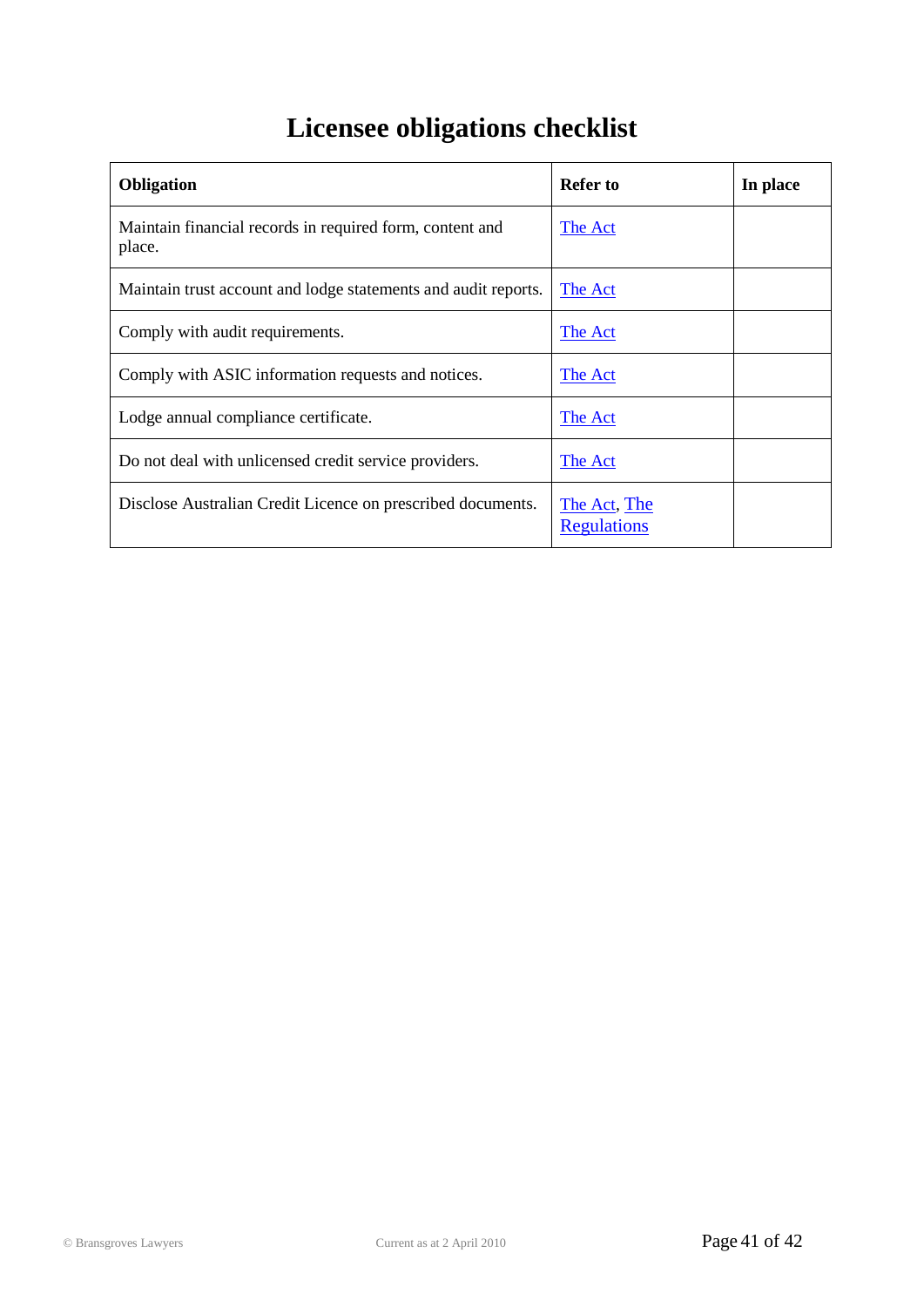# **Licensee obligations checklist**

| <b>Obligation</b>                                                  | Refer to                           | In place |
|--------------------------------------------------------------------|------------------------------------|----------|
| Maintain financial records in required form, content and<br>place. | The Act                            |          |
| Maintain trust account and lodge statements and audit reports.     | The Act                            |          |
| Comply with audit requirements.                                    | The Act                            |          |
| Comply with ASIC information requests and notices.                 | The Act                            |          |
| Lodge annual compliance certificate.                               | The Act                            |          |
| Do not deal with unlicensed credit service providers.              | The Act                            |          |
| Disclose Australian Credit Licence on prescribed documents.        | The Act, The<br><b>Regulations</b> |          |